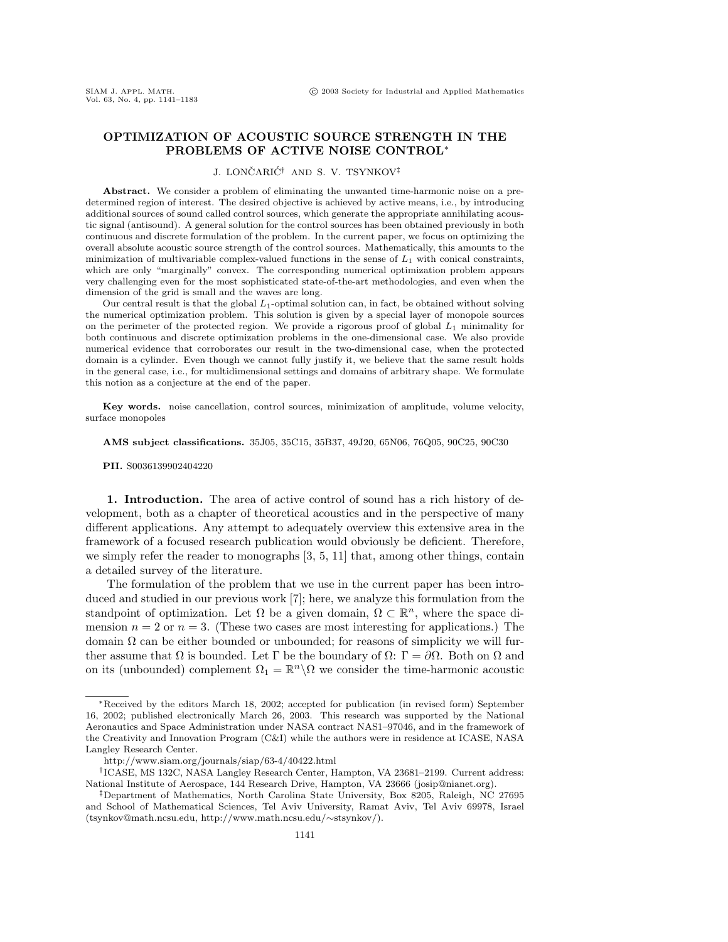## **OPTIMIZATION OF ACOUSTIC SOURCE STRENGTH IN THE PROBLEMS OF ACTIVE NOISE CONTROL**<sup>∗</sup>

J. LONČARIĆ<sup>†</sup> AND S. V. TSYNKOV<sup>‡</sup>

**Abstract.** We consider a problem of eliminating the unwanted time-harmonic noise on a predetermined region of interest. The desired objective is achieved by active means, i.e., by introducing additional sources of sound called control sources, which generate the appropriate annihilating acoustic signal (antisound). A general solution for the control sources has been obtained previously in both continuous and discrete formulation of the problem. In the current paper, we focus on optimizing the overall absolute acoustic source strength of the control sources. Mathematically, this amounts to the minimization of multivariable complex-valued functions in the sense of  $L_1$  with conical constraints, which are only "marginally" convex. The corresponding numerical optimization problem appears very challenging even for the most sophisticated state-of-the-art methodologies, and even when the dimension of the grid is small and the waves are long.

Our central result is that the global  $L_1$ -optimal solution can, in fact, be obtained without solving the numerical optimization problem. This solution is given by a special layer of monopole sources on the perimeter of the protected region. We provide a rigorous proof of global  $L_1$  minimality for both continuous and discrete optimization problems in the one-dimensional case. We also provide numerical evidence that corroborates our result in the two-dimensional case, when the protected domain is a cylinder. Even though we cannot fully justify it, we believe that the same result holds in the general case, i.e., for multidimensional settings and domains of arbitrary shape. We formulate this notion as a conjecture at the end of the paper.

**Key words.** noise cancellation, control sources, minimization of amplitude, volume velocity, surface monopoles

**AMS subject classifications.** 35J05, 35C15, 35B37, 49J20, 65N06, 76Q05, 90C25, 90C30

**PII.** S0036139902404220

**1. Introduction.** The area of active control of sound has a rich history of development, both as a chapter of theoretical acoustics and in the perspective of many different applications. Any attempt to adequately overview this extensive area in the framework of a focused research publication would obviously be deficient. Therefore, we simply refer the reader to monographs [3, 5, 11] that, among other things, contain a detailed survey of the literature.

The formulation of the problem that we use in the current paper has been introduced and studied in our previous work [7]; here, we analyze this formulation from the standpoint of optimization. Let  $\Omega$  be a given domain,  $\Omega \subset \mathbb{R}^n$ , where the space dimension  $n = 2$  or  $n = 3$ . (These two cases are most interesting for applications.) The domain  $\Omega$  can be either bounded or unbounded; for reasons of simplicity we will further assume that  $\Omega$  is bounded. Let  $\Gamma$  be the boundary of  $\Omega$ :  $\Gamma = \partial \Omega$ . Both on  $\Omega$  and on its (unbounded) complement  $\Omega_1 = \mathbb{R}^n \backslash \Omega$  we consider the time-harmonic acoustic

<sup>∗</sup>Received by the editors March 18, 2002; accepted for publication (in revised form) September 16, 2002; published electronically March 26, 2003. This research was supported by the National Aeronautics and Space Administration under NASA contract NAS1–97046, and in the framework of the Creativity and Innovation Program (C&I) while the authors were in residence at ICASE, NASA Langley Research Center.

http://www.siam.org/journals/siap/63-4/40422.html

<sup>†</sup>ICASE, MS 132C, NASA Langley Research Center, Hampton, VA 23681–2199. Current address: National Institute of Aerospace, 144 Research Drive, Hampton, VA 23666 (josip@nianet.org).

<sup>‡</sup>Department of Mathematics, North Carolina State University, Box 8205, Raleigh, NC 27695 and School of Mathematical Sciences, Tel Aviv University, Ramat Aviv, Tel Aviv 69978, Israel (tsynkov@math.ncsu.edu, http://www.math.ncsu.edu/∼stsynkov/).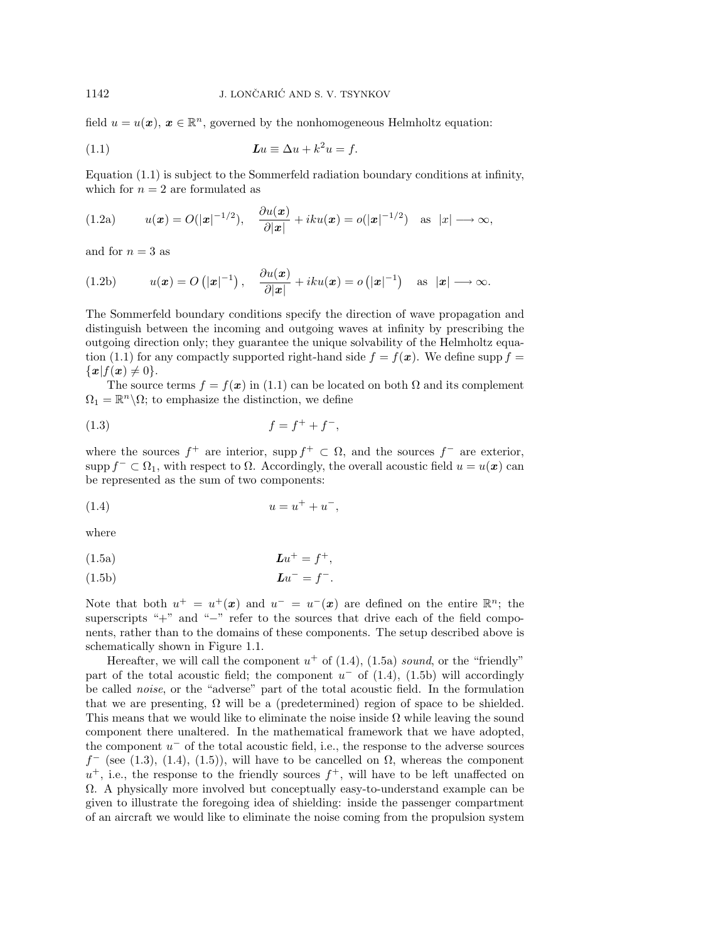field  $u = u(x)$ ,  $x \in \mathbb{R}^n$ , governed by the nonhomogeneous Helmholtz equation:

*L*u ≡ ∆u + k<sup>2</sup> (1.1) u = f.

Equation  $(1.1)$  is subject to the Sommerfeld radiation boundary conditions at infinity, which for  $n = 2$  are formulated as

$$
(1.2a) \t u(\boldsymbol{x}) = O(|\boldsymbol{x}|^{-1/2}), \quad \frac{\partial u(\boldsymbol{x})}{\partial |\boldsymbol{x}|} + iku(\boldsymbol{x}) = o(|\boldsymbol{x}|^{-1/2}) \quad \text{as} \quad |x| \longrightarrow \infty,
$$

and for  $n = 3$  as

(1.2b) 
$$
u(\mathbf{x}) = O(|\mathbf{x}|^{-1}), \quad \frac{\partial u(\mathbf{x})}{\partial |\mathbf{x}|} + iku(\mathbf{x}) = o(|\mathbf{x}|^{-1}) \text{ as } |\mathbf{x}| \longrightarrow \infty.
$$

The Sommerfeld boundary conditions specify the direction of wave propagation and distinguish between the incoming and outgoing waves at infinity by prescribing the outgoing direction only; they guarantee the unique solvability of the Helmholtz equation (1.1) for any compactly supported right-hand side  $f = f(\mathbf{x})$ . We define supp  $f =$  $\{x|f(x)\neq 0\}.$ 

The source terms  $f = f(x)$  in (1.1) can be located on both  $\Omega$  and its complement  $\Omega_1 = \mathbb{R}^n \backslash \Omega$ ; to emphasize the distinction, we define

(1.3) 
$$
f = f^+ + f^-,
$$

where the sources  $f^+$  are interior, supp  $f^+ \subset \Omega$ , and the sources  $f^-$  are exterior, supp  $f^- \subset \Omega_1$ , with respect to  $\Omega$ . Accordingly, the overall acoustic field  $u = u(x)$  can be represented as the sum of two components:

$$
(1.4) \t\t u = u^{+} + u^{-},
$$

where

*L*u<sup>+</sup> = f <sup>+</sup> (1.5a) ,

*L*u<sup>−</sup> = f <sup>−</sup> (1.5b) .

Note that both  $u^+ = u^+(\boldsymbol{x})$  and  $u^- = u^-(\boldsymbol{x})$  are defined on the entire  $\mathbb{R}^n$ ; the superscripts "+" and "−" refer to the sources that drive each of the field components, rather than to the domains of these components. The setup described above is schematically shown in Figure 1.1.

Hereafter, we will call the component  $u^+$  of (1.4), (1.5a) sound, or the "friendly" part of the total acoustic field; the component  $u^-$  of (1.4), (1.5b) will accordingly be called noise, or the "adverse" part of the total acoustic field. In the formulation that we are presenting,  $\Omega$  will be a (predetermined) region of space to be shielded. This means that we would like to eliminate the noise inside  $\Omega$  while leaving the sound component there unaltered. In the mathematical framework that we have adopted, the component  $u^-$  of the total acoustic field, i.e., the response to the adverse sources  $f^-\$  (see (1.3), (1.4), (1.5)), will have to be cancelled on  $\Omega$ , whereas the component  $u^+$ , i.e., the response to the friendly sources  $f^+$ , will have to be left unaffected on Ω. A physically more involved but conceptually easy-to-understand example can be given to illustrate the foregoing idea of shielding: inside the passenger compartment of an aircraft we would like to eliminate the noise coming from the propulsion system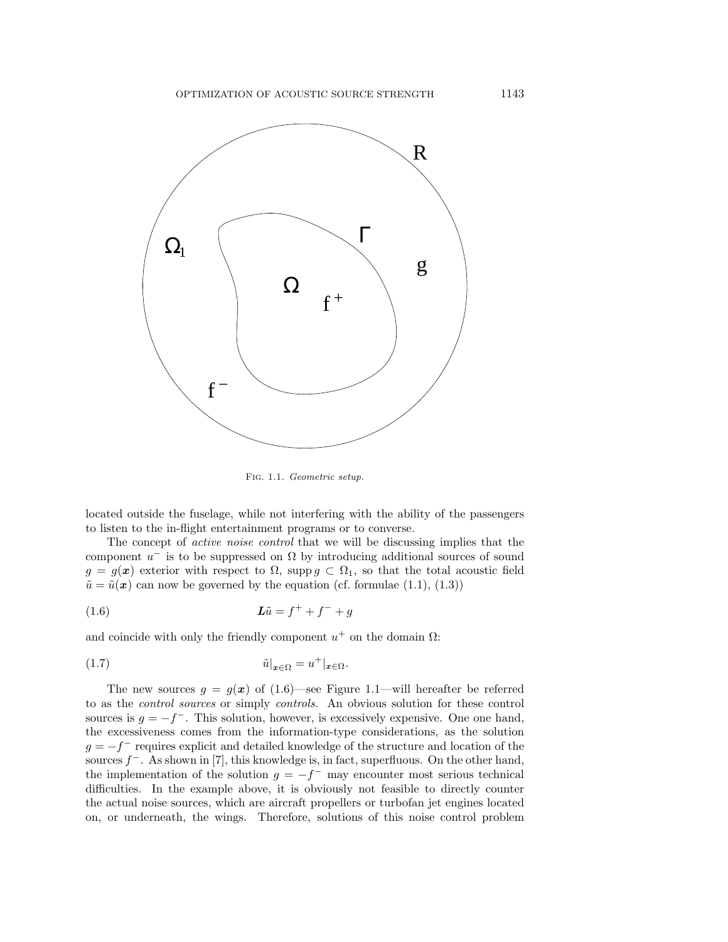

Fig. 1.1. Geometric setup.

located outside the fuselage, while not interfering with the ability of the passengers to listen to the in-flight entertainment programs or to converse.

The concept of active noise control that we will be discussing implies that the component  $u^-$  is to be suppressed on  $\Omega$  by introducing additional sources of sound  $g = g(x)$  exterior with respect to  $\Omega$ , supp  $g \subset \Omega_1$ , so that the total acoustic field  $\tilde{u} = \tilde{u}(\mathbf{x})$  can now be governed by the equation (cf. formulae (1.1), (1.3))

*L*u˜ = f <sup>+</sup> + f <sup>−</sup> (1.6) + g

and coincide with only the friendly component  $u^+$  on the domain  $\Omega$ :

$$
\tilde{u}|_{x \in \Omega} = u^+|_{x \in \Omega}.
$$

The new sources  $g = g(x)$  of (1.6)—see Figure 1.1—will hereafter be referred to as the control sources or simply controls. An obvious solution for these control sources is  $g = -f^-$ . This solution, however, is excessively expensive. One one hand, the excessiveness comes from the information-type considerations, as the solution  $g = -f^-$  requires explicit and detailed knowledge of the structure and location of the sources  $f^-$ . As shown in [7], this knowledge is, in fact, superfluous. On the other hand, the implementation of the solution  $g = -f^-$  may encounter most serious technical difficulties. In the example above, it is obviously not feasible to directly counter the actual noise sources, which are aircraft propellers or turbofan jet engines located on, or underneath, the wings. Therefore, solutions of this noise control problem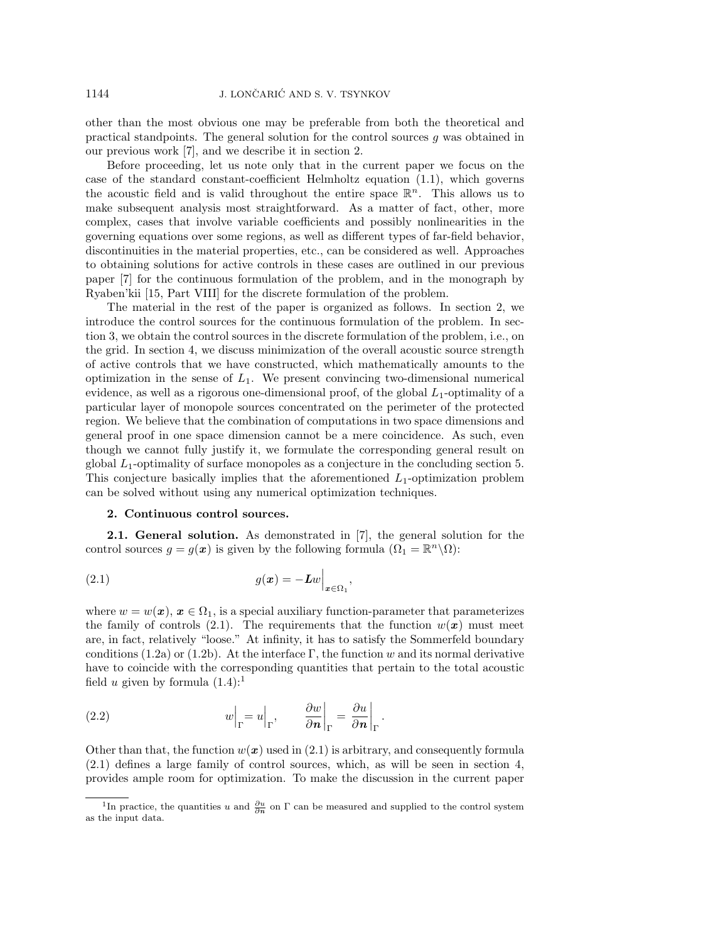other than the most obvious one may be preferable from both the theoretical and practical standpoints. The general solution for the control sources  $g$  was obtained in our previous work [7], and we describe it in section 2.

Before proceeding, let us note only that in the current paper we focus on the case of the standard constant-coefficient Helmholtz equation (1.1), which governs the acoustic field and is valid throughout the entire space  $\mathbb{R}^n$ . This allows us to make subsequent analysis most straightforward. As a matter of fact, other, more complex, cases that involve variable coefficients and possibly nonlinearities in the governing equations over some regions, as well as different types of far-field behavior, discontinuities in the material properties, etc., can be considered as well. Approaches to obtaining solutions for active controls in these cases are outlined in our previous paper [7] for the continuous formulation of the problem, and in the monograph by Ryaben'kii [15, Part VIII] for the discrete formulation of the problem.

The material in the rest of the paper is organized as follows. In section 2, we introduce the control sources for the continuous formulation of the problem. In section 3, we obtain the control sources in the discrete formulation of the problem, i.e., on the grid. In section 4, we discuss minimization of the overall acoustic source strength of active controls that we have constructed, which mathematically amounts to the optimization in the sense of  $L_1$ . We present convincing two-dimensional numerical evidence, as well as a rigorous one-dimensional proof, of the global  $L_1$ -optimality of a particular layer of monopole sources concentrated on the perimeter of the protected region. We believe that the combination of computations in two space dimensions and general proof in one space dimension cannot be a mere coincidence. As such, even though we cannot fully justify it, we formulate the corresponding general result on global  $L_1$ -optimality of surface monopoles as a conjecture in the concluding section 5. This conjecture basically implies that the aforementioned  $L_1$ -optimization problem can be solved without using any numerical optimization techniques.

## 2. Continuous control sources.

**2.1. General solution.** As demonstrated in [7], the general solution for the control sources  $g = g(x)$  is given by the following formula  $(\Omega_1 = \mathbb{R}^n \setminus \Omega)$ :

(2.1) 
$$
g(\boldsymbol{x}) = -Lw\Big|_{\boldsymbol{x}\in\Omega_1},
$$

where  $w = w(\mathbf{x}), \mathbf{x} \in \Omega_1$ , is a special auxiliary function-parameter that parameterizes the family of controls  $(2.1)$ . The requirements that the function  $w(x)$  must meet are, in fact, relatively "loose." At infinity, it has to satisfy the Sommerfeld boundary conditions (1.2a) or (1.2b). At the interface  $\Gamma$ , the function w and its normal derivative have to coincide with the corresponding quantities that pertain to the total acoustic field u given by formula  $(1.4)$ :<sup>1</sup>

(2.2) 
$$
w\Big|_{\Gamma} = u\Big|_{\Gamma}, \qquad \frac{\partial w}{\partial n}\Big|_{\Gamma} = \frac{\partial u}{\partial n}\Big|_{\Gamma}.
$$

Other than that, the function  $w(x)$  used in (2.1) is arbitrary, and consequently formula (2.1) defines a large family of control sources, which, as will be seen in section 4, provides ample room for optimization. To make the discussion in the current paper

<sup>&</sup>lt;sup>1</sup>In practice, the quantities u and  $\frac{\partial u}{\partial n}$  on Γ can be measured and supplied to the control system as the input data.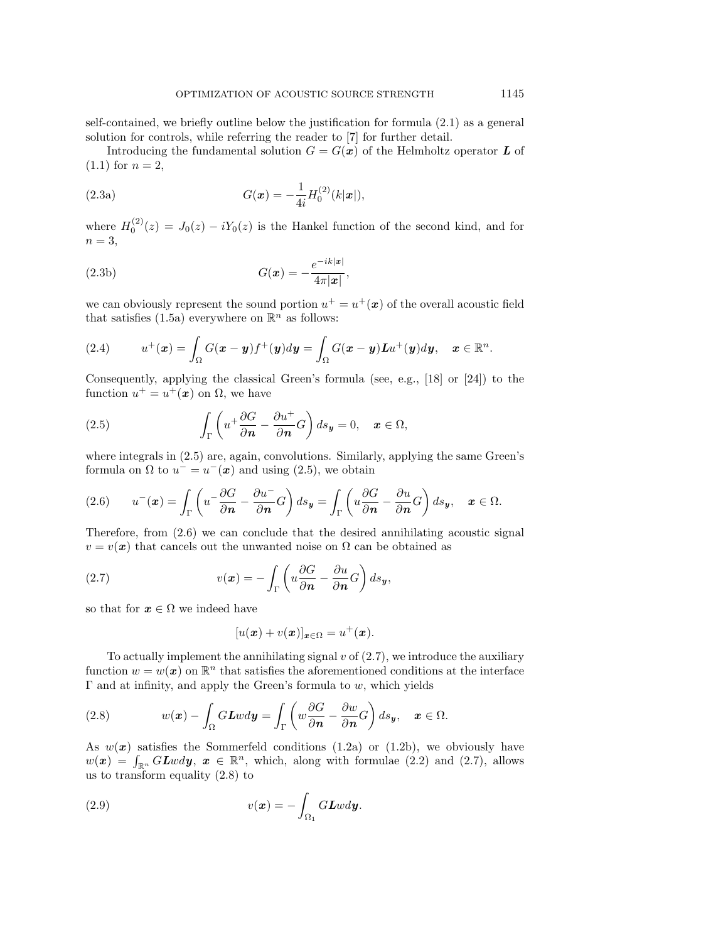self-contained, we briefly outline below the justification for formula (2.1) as a general solution for controls, while referring the reader to [7] for further detail.

Introducing the fundamental solution  $G = G(\mathbf{x})$  of the Helmholtz operator  $\mathbf{L}$  of  $(1.1)$  for  $n = 2$ ,

(2.3a) 
$$
G(\boldsymbol{x}) = -\frac{1}{4i} H_0^{(2)}(k|\boldsymbol{x}|),
$$

where  $H_0^{(2)}(z) = J_0(z) - iY_0(z)$  is the Hankel function of the second kind, and for  $n = 3$ ,

$$
G(\mathbf{x}) = -\frac{e^{-ik|\mathbf{x}|}}{4\pi|\mathbf{x}|},
$$

we can obviously represent the sound portion  $u^+ = u^+(\mathbf{x})$  of the overall acoustic field that satisfies (1.5a) everywhere on  $\mathbb{R}^n$  as follows:

(2.4) 
$$
u^+(x) = \int_{\Omega} G(x-y)f^+(y)dy = \int_{\Omega} G(x-y)Lu^+(y)dy, \quad x \in \mathbb{R}^n.
$$

Consequently, applying the classical Green's formula (see, e.g., [18] or [24]) to the function  $u^+ = u^+(\mathbf{x})$  on  $\Omega$ , we have

(2.5) 
$$
\int_{\Gamma} \left( u^+ \frac{\partial G}{\partial n} - \frac{\partial u^+}{\partial n} G \right) ds_y = 0, \quad x \in \Omega,
$$

where integrals in (2.5) are, again, convolutions. Similarly, applying the same Green's formula on  $\Omega$  to  $u^- = u^-({\bf x})$  and using (2.5), we obtain

$$
(2.6) \t u-(\boldsymbol{x}) = \int_{\Gamma} \left( u^{-} \frac{\partial G}{\partial n} - \frac{\partial u^{-}}{\partial n} G \right) ds_{\boldsymbol{y}} = \int_{\Gamma} \left( u \frac{\partial G}{\partial n} - \frac{\partial u}{\partial n} G \right) ds_{\boldsymbol{y}}, \quad \boldsymbol{x} \in \Omega.
$$

Therefore, from (2.6) we can conclude that the desired annihilating acoustic signal  $v = v(\boldsymbol{x})$  that cancels out the unwanted noise on  $\Omega$  can be obtained as

(2.7) 
$$
v(\mathbf{x}) = -\int_{\Gamma} \left( u \frac{\partial G}{\partial \mathbf{n}} - \frac{\partial u}{\partial \mathbf{n}} G \right) ds_{\mathbf{y}},
$$

so that for  $x \in \Omega$  we indeed have

$$
[u(\boldsymbol{x}) + v(\boldsymbol{x})]_{\boldsymbol{x} \in \Omega} = u^+(\boldsymbol{x}).
$$

To actually implement the annihilating signal  $v$  of  $(2.7)$ , we introduce the auxiliary function  $w = w(\boldsymbol{x})$  on  $\mathbb{R}^n$  that satisfies the aforementioned conditions at the interface  $\Gamma$  and at infinity, and apply the Green's formula to w, which yields

(2.8) 
$$
w(\boldsymbol{x}) - \int_{\Omega} G L w d\boldsymbol{y} = \int_{\Gamma} \left( w \frac{\partial G}{\partial \boldsymbol{n}} - \frac{\partial w}{\partial \boldsymbol{n}} G \right) ds_{\boldsymbol{y}}, \quad \boldsymbol{x} \in \Omega.
$$

As  $w(x)$  satisfies the Sommerfeld conditions (1.2a) or (1.2b), we obviously have  $w(\boldsymbol{x}) = \int_{\mathbb{R}^n} G\boldsymbol{L} w d\boldsymbol{y}, \ \boldsymbol{x} \in \mathbb{R}^n$ , which, along with formulae (2.2) and (2.7), allows us to transform equality (2.8) to

(2.9) 
$$
v(\boldsymbol{x}) = -\int_{\Omega_1} G \boldsymbol{L} w d\boldsymbol{y}.
$$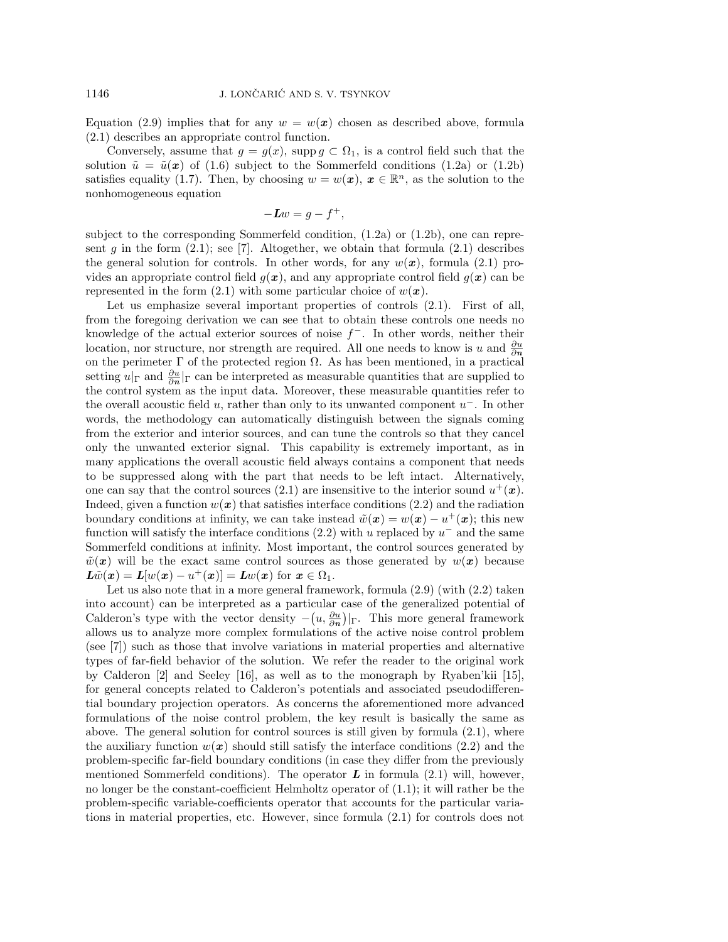Equation (2.9) implies that for any  $w = w(x)$  chosen as described above, formula (2.1) describes an appropriate control function.

Conversely, assume that  $g = g(x)$ , supp  $g \subset \Omega_1$ , is a control field such that the solution  $\tilde{u} = \tilde{u}(\mathbf{x})$  of (1.6) subject to the Sommerfeld conditions (1.2a) or (1.2b) satisfies equality (1.7). Then, by choosing  $w = w(x)$ ,  $x \in \mathbb{R}^n$ , as the solution to the nonhomogeneous equation

$$
-\boldsymbol{L}w = g - f^+,
$$

subject to the corresponding Sommerfeld condition, (1.2a) or (1.2b), one can represent g in the form  $(2.1)$ ; see [7]. Altogether, we obtain that formula  $(2.1)$  describes the general solution for controls. In other words, for any  $w(\mathbf{x})$ , formula (2.1) provides an appropriate control field  $g(x)$ , and any appropriate control field  $g(x)$  can be represented in the form  $(2.1)$  with some particular choice of  $w(\boldsymbol{x})$ .

Let us emphasize several important properties of controls  $(2.1)$ . First of all, from the foregoing derivation we can see that to obtain these controls one needs no knowledge of the actual exterior sources of noise  $f^-$ . In other words, neither their location, nor structure, nor strength are required. All one needs to know is u and  $\frac{\partial u}{\partial n}$ on the perimeter  $\Gamma$  of the protected region  $\Omega$ . As has been mentioned, in a practical setting  $u|_{\Gamma}$  and  $\frac{\partial u}{\partial n}|_{\Gamma}$  can be interpreted as measurable quantities that are supplied to the control system as the input data. Moreover, these measurable quantities refer to the overall acoustic field u, rather than only to its unwanted component  $u^-$ . In other words, the methodology can automatically distinguish between the signals coming from the exterior and interior sources, and can tune the controls so that they cancel only the unwanted exterior signal. This capability is extremely important, as in many applications the overall acoustic field always contains a component that needs to be suppressed along with the part that needs to be left intact. Alternatively, one can say that the control sources (2.1) are insensitive to the interior sound  $u^+(x)$ . Indeed, given a function  $w(x)$  that satisfies interface conditions (2.2) and the radiation boundary conditions at infinity, we can take instead  $\tilde{w}(\mathbf{x}) = w(\mathbf{x}) - u^+(\mathbf{x})$ ; this new function will satisfy the interface conditions  $(2.2)$  with u replaced by u<sup>−</sup> and the same Sommerfeld conditions at infinity. Most important, the control sources generated by  $\tilde{w}(\mathbf{x})$  will be the exact same control sources as those generated by  $w(\mathbf{x})$  because  $\hat{L}w(\bm{x}) = \mathbf{L}[w(\bm{x}) - u^+(\bm{x})] = \mathbf{L}w(\bm{x})$  for  $\bm{x} \in \Omega_1$ .

Let us also note that in a more general framework, formula  $(2.9)$  (with  $(2.2)$  taken into account) can be interpreted as a particular case of the generalized potential of Calderon's type with the vector density  $-(u, \frac{\partial u}{\partial n})|_{\Gamma}$ . This more general framework allows us to analyze more complex formulations of the active noise control problem (see [7]) such as those that involve variations in material properties and alternative types of far-field behavior of the solution. We refer the reader to the original work by Calderon [2] and Seeley [16], as well as to the monograph by Ryaben'kii [15], for general concepts related to Calderon's potentials and associated pseudodifferential boundary projection operators. As concerns the aforementioned more advanced formulations of the noise control problem, the key result is basically the same as above. The general solution for control sources is still given by formula  $(2.1)$ , where the auxiliary function  $w(x)$  should still satisfy the interface conditions (2.2) and the problem-specific far-field boundary conditions (in case they differ from the previously mentioned Sommerfeld conditions). The operator  $\boldsymbol{L}$  in formula (2.1) will, however, no longer be the constant-coefficient Helmholtz operator of (1.1); it will rather be the problem-specific variable-coefficients operator that accounts for the particular variations in material properties, etc. However, since formula (2.1) for controls does not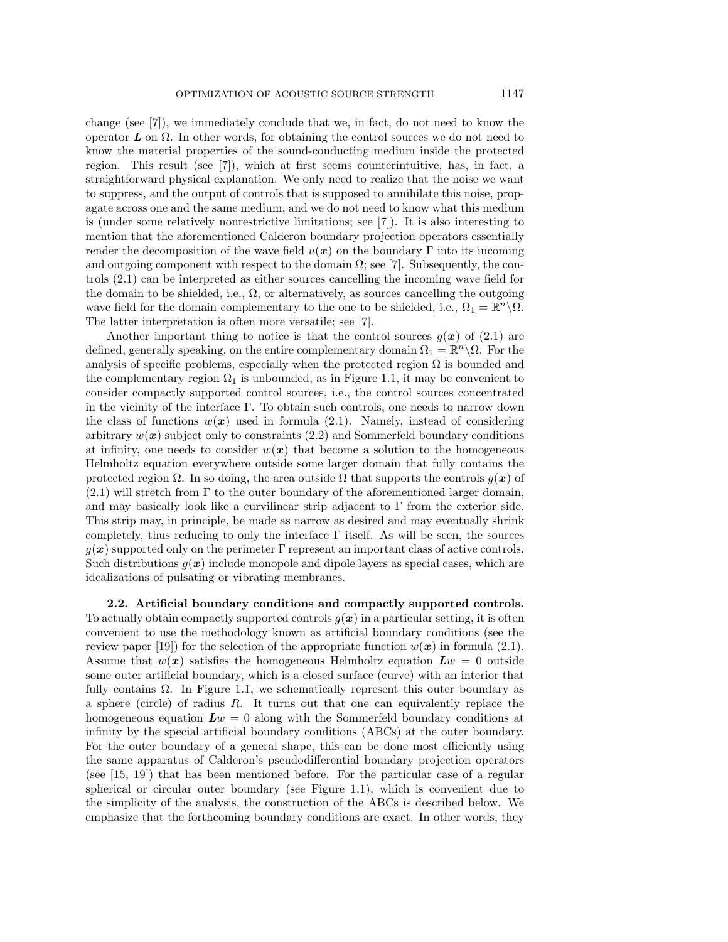change (see [7]), we immediately conclude that we, in fact, do not need to know the operator  $\bf{L}$  on  $\Omega$ . In other words, for obtaining the control sources we do not need to know the material properties of the sound-conducting medium inside the protected region. This result (see [7]), which at first seems counterintuitive, has, in fact, a straightforward physical explanation. We only need to realize that the noise we want to suppress, and the output of controls that is supposed to annihilate this noise, propagate across one and the same medium, and we do not need to know what this medium is (under some relatively nonrestrictive limitations; see [7]). It is also interesting to mention that the aforementioned Calderon boundary projection operators essentially render the decomposition of the wave field  $u(x)$  on the boundary Γ into its incoming and outgoing component with respect to the domain  $\Omega$ ; see [7]. Subsequently, the controls (2.1) can be interpreted as either sources cancelling the incoming wave field for the domain to be shielded, i.e.,  $\Omega$ , or alternatively, as sources cancelling the outgoing wave field for the domain complementary to the one to be shielded, i.e.,  $\Omega_1 = \mathbb{R}^n \backslash \Omega$ . The latter interpretation is often more versatile; see [7].

Another important thing to notice is that the control sources  $q(x)$  of (2.1) are defined, generally speaking, on the entire complementary domain  $\Omega_1 = \mathbb{R}^n \backslash \Omega$ . For the analysis of specific problems, especially when the protected region  $\Omega$  is bounded and the complementary region  $\Omega_1$  is unbounded, as in Figure 1.1, it may be convenient to consider compactly supported control sources, i.e., the control sources concentrated in the vicinity of the interface Γ. To obtain such controls, one needs to narrow down the class of functions  $w(x)$  used in formula (2.1). Namely, instead of considering arbitrary  $w(x)$  subject only to constraints  $(2.2)$  and Sommerfeld boundary conditions at infinity, one needs to consider  $w(x)$  that become a solution to the homogeneous Helmholtz equation everywhere outside some larger domain that fully contains the protected region Ω. In so doing, the area outside Ω that supports the controls  $q(x)$  of  $(2.1)$  will stretch from  $\Gamma$  to the outer boundary of the aforementioned larger domain, and may basically look like a curvilinear strip adjacent to  $\Gamma$  from the exterior side. This strip may, in principle, be made as narrow as desired and may eventually shrink completely, thus reducing to only the interface  $\Gamma$  itself. As will be seen, the sources  $g(x)$  supported only on the perimeter  $\Gamma$  represent an important class of active controls. Such distributions  $q(x)$  include monopole and dipole layers as special cases, which are idealizations of pulsating or vibrating membranes.

**2.2. Artificial boundary conditions and compactly supported controls.** To actually obtain compactly supported controls  $q(x)$  in a particular setting, it is often convenient to use the methodology known as artificial boundary conditions (see the review paper [19]) for the selection of the appropriate function  $w(\mathbf{x})$  in formula (2.1). Assume that  $w(x)$  satisfies the homogeneous Helmholtz equation  $Lw = 0$  outside some outer artificial boundary, which is a closed surface (curve) with an interior that fully contains  $\Omega$ . In Figure 1.1, we schematically represent this outer boundary as a sphere (circle) of radius  $R$ . It turns out that one can equivalently replace the homogeneous equation  $Lw = 0$  along with the Sommerfeld boundary conditions at infinity by the special artificial boundary conditions (ABCs) at the outer boundary. For the outer boundary of a general shape, this can be done most efficiently using the same apparatus of Calderon's pseudodifferential boundary projection operators (see [15, 19]) that has been mentioned before. For the particular case of a regular spherical or circular outer boundary (see Figure 1.1), which is convenient due to the simplicity of the analysis, the construction of the ABCs is described below. We emphasize that the forthcoming boundary conditions are exact. In other words, they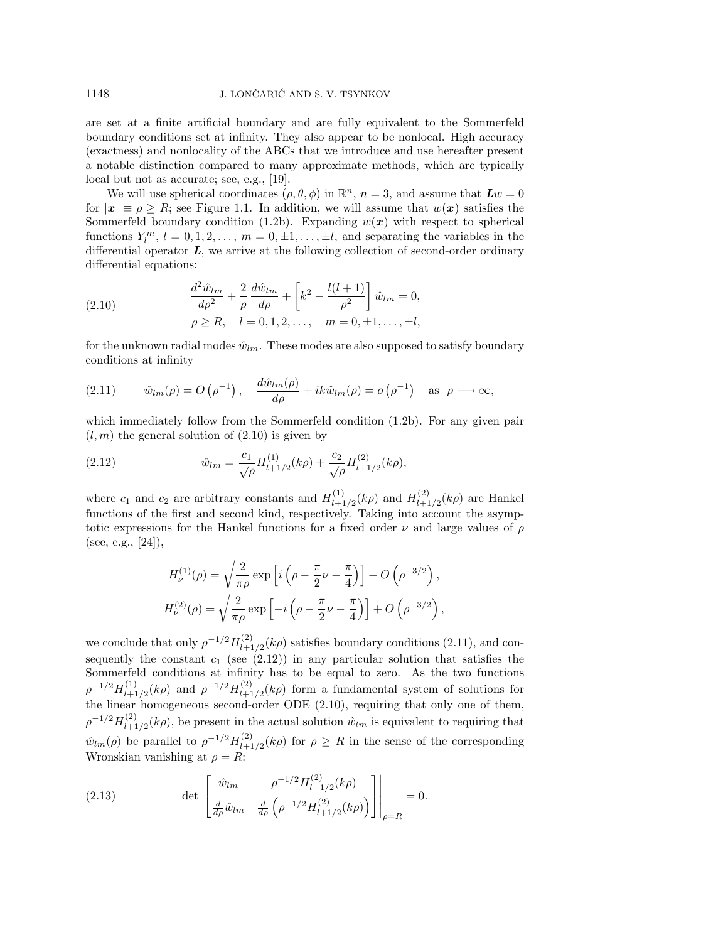are set at a finite artificial boundary and are fully equivalent to the Sommerfeld boundary conditions set at infinity. They also appear to be nonlocal. High accuracy (exactness) and nonlocality of the ABCs that we introduce and use hereafter present a notable distinction compared to many approximate methods, which are typically local but not as accurate; see, e.g., [19].

We will use spherical coordinates  $(\rho, \theta, \phi)$  in  $\mathbb{R}^n$ ,  $n = 3$ , and assume that  $Lw = 0$ for  $|\mathbf{x}| \equiv \rho \geq R$ ; see Figure 1.1. In addition, we will assume that  $w(\mathbf{x})$  satisfies the Sommerfeld boundary condition  $(1.2b)$ . Expanding  $w(x)$  with respect to spherical functions  $Y_l^m$ ,  $l = 0, 1, 2, \ldots, m = 0, \pm 1, \ldots, \pm l$ , and separating the variables in the differential operator *L*, we arrive at the following collection of second-order ordinary differential equations:

(2.10) 
$$
\frac{d^2 \hat{w}_{lm}}{d\rho^2} + \frac{2}{\rho} \frac{d \hat{w}_{lm}}{d\rho} + \left[k^2 - \frac{l(l+1)}{\rho^2}\right] \hat{w}_{lm} = 0, \rho \ge R, \quad l = 0, 1, 2, ..., \quad m = 0, \pm 1, ..., \pm l,
$$

for the unknown radial modes  $\hat{w}_{lm}$ . These modes are also supposed to satisfy boundary conditions at infinity

(2.11) 
$$
\hat{w}_{lm}(\rho) = O\left(\rho^{-1}\right), \quad \frac{d\hat{w}_{lm}(\rho)}{d\rho} + ik\hat{w}_{lm}(\rho) = o\left(\rho^{-1}\right) \quad \text{as} \quad \rho \longrightarrow \infty,
$$

which immediately follow from the Sommerfeld condition (1.2b). For any given pair  $(l, m)$  the general solution of  $(2.10)$  is given by

(2.12) 
$$
\hat{w}_{lm} = \frac{c_1}{\sqrt{\rho}} H_{l+1/2}^{(1)}(k\rho) + \frac{c_2}{\sqrt{\rho}} H_{l+1/2}^{(2)}(k\rho),
$$

where  $c_1$  and  $c_2$  are arbitrary constants and  $H_{l+1/2}^{(1)}(k\rho)$  and  $H_{l+1/2}^{(2)}(k\rho)$  are Hankel functions of the first and second kind, respectively. Taking into account the asymptotic expressions for the Hankel functions for a fixed order  $\nu$  and large values of  $\rho$ (see, e.g., [24]),

$$
H_{\nu}^{(1)}(\rho) = \sqrt{\frac{2}{\pi \rho}} \exp\left[i\left(\rho - \frac{\pi}{2}\nu - \frac{\pi}{4}\right)\right] + O\left(\rho^{-3/2}\right),
$$
  

$$
H_{\nu}^{(2)}(\rho) = \sqrt{\frac{2}{\pi \rho}} \exp\left[-i\left(\rho - \frac{\pi}{2}\nu - \frac{\pi}{4}\right)\right] + O\left(\rho^{-3/2}\right),
$$

we conclude that only  $\rho^{-1/2} H^{(2)}_{l+1/2}(k\rho)$  satisfies boundary conditions (2.11), and consequently the constant  $c_1$  (see (2.12)) in any particular solution that satisfies the Sommerfeld conditions at infinity has to be equal to zero. As the two functions  $\rho^{-1/2}H_{l+1/2}^{(1)}(k\rho)$  and  $\rho^{-1/2}H_{l+1/2}^{(2)}(k\rho)$  form a fundamental system of solutions for the linear homogeneous second-order ODE (2.10), requiring that only one of them,  $\rho^{-1/2} H^{(2)}_{l+1/2}(k\rho)$ , be present in the actual solution  $\hat{w}_{lm}$  is equivalent to requiring that  $\hat{w}_{lm}(\rho)$  be parallel to  $\rho^{-1/2}H^{(2)}_{l+1/2}(k\rho)$  for  $\rho \geq R$  in the sense of the corresponding Wronskian vanishing at  $\rho = R$ :

(2.13) 
$$
\det \begin{bmatrix} \hat{w}_{lm} & \rho^{-1/2} H_{l+1/2}^{(2)}(k\rho) \\ \frac{d}{d\rho} \hat{w}_{lm} & \frac{d}{d\rho} \left( \rho^{-1/2} H_{l+1/2}^{(2)}(k\rho) \right) \end{bmatrix} \Bigg|_{\rho=R} = 0.
$$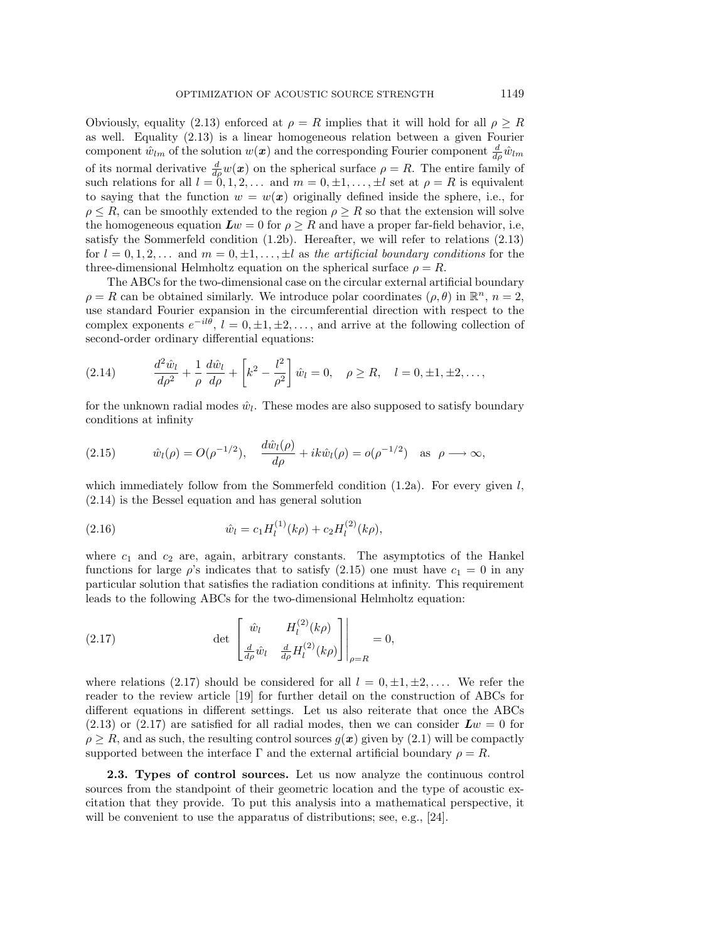Obviously, equality (2.13) enforced at  $\rho = R$  implies that it will hold for all  $\rho \geq R$ as well. Equality (2.13) is a linear homogeneous relation between a given Fourier component  $\hat{w}_{lm}$  of the solution  $w(x)$  and the corresponding Fourier component  $\frac{d}{d\rho}\hat{w}_{lm}$ of its normal derivative  $\frac{d}{d\rho}w(x)$  on the spherical surface  $\rho = R$ . The entire family of such relations for all  $l = 0, 1, 2, \ldots$  and  $m = 0, \pm 1, \ldots, \pm l$  set at  $\rho = R$  is equivalent to saying that the function  $w = w(x)$  originally defined inside the sphere, i.e., for  $\rho \leq R$ , can be smoothly extended to the region  $\rho \geq R$  so that the extension will solve the homogeneous equation  $Lw = 0$  for  $\rho \geq R$  and have a proper far-field behavior, i.e, satisfy the Sommerfeld condition (1.2b). Hereafter, we will refer to relations (2.13) for  $l = 0, 1, 2, \ldots$  and  $m = 0, \pm 1, \ldots, \pm l$  as the artificial boundary conditions for the three-dimensional Helmholtz equation on the spherical surface  $\rho = R$ .

The ABCs for the two-dimensional case on the circular external artificial boundary  $\rho = R$  can be obtained similarly. We introduce polar coordinates  $(\rho, \theta)$  in  $\mathbb{R}^n$ ,  $n = 2$ , use standard Fourier expansion in the circumferential direction with respect to the complex exponents  $e^{-il\theta}$ ,  $l = 0, \pm 1, \pm 2, \ldots$ , and arrive at the following collection of second-order ordinary differential equations:

(2.14) 
$$
\frac{d^2\hat{w}_l}{d\rho^2} + \frac{1}{\rho} \frac{d\hat{w}_l}{d\rho} + \left[k^2 - \frac{l^2}{\rho^2}\right] \hat{w}_l = 0, \quad \rho \ge R, \quad l = 0, \pm 1, \pm 2, \dots,
$$

for the unknown radial modes  $\hat{w}_l$ . These modes are also supposed to satisfy boundary conditions at infinity

(2.15) 
$$
\hat{w}_l(\rho) = O(\rho^{-1/2}), \quad \frac{d\hat{w}_l(\rho)}{d\rho} + ik\hat{w}_l(\rho) = o(\rho^{-1/2}) \quad \text{as} \quad \rho \longrightarrow \infty,
$$

which immediately follow from the Sommerfeld condition  $(1.2a)$ . For every given l, (2.14) is the Bessel equation and has general solution

(2.16) 
$$
\hat{w}_l = c_1 H_l^{(1)}(k\rho) + c_2 H_l^{(2)}(k\rho),
$$

where  $c_1$  and  $c_2$  are, again, arbitrary constants. The asymptotics of the Hankel functions for large  $\rho$ 's indicates that to satisfy (2.15) one must have  $c_1 = 0$  in any particular solution that satisfies the radiation conditions at infinity. This requirement leads to the following ABCs for the two-dimensional Helmholtz equation:

(2.17) 
$$
\det \begin{bmatrix} \hat{w}_l & H_l^{(2)}(k\rho) \\ \frac{d}{d\rho}\hat{w}_l & \frac{d}{d\rho}H_l^{(2)}(k\rho) \end{bmatrix}\Big|_{\rho=R} = 0,
$$

where relations (2.17) should be considered for all  $l = 0, \pm 1, \pm 2, \ldots$ . We refer the reader to the review article [19] for further detail on the construction of ABCs for different equations in different settings. Let us also reiterate that once the ABCs  $(2.13)$  or  $(2.17)$  are satisfied for all radial modes, then we can consider  $Lw = 0$  for  $\rho \geq R$ , and as such, the resulting control sources  $g(x)$  given by (2.1) will be compactly supported between the interface  $\Gamma$  and the external artificial boundary  $\rho = R$ .

**2.3. Types of control sources.** Let us now analyze the continuous control sources from the standpoint of their geometric location and the type of acoustic excitation that they provide. To put this analysis into a mathematical perspective, it will be convenient to use the apparatus of distributions; see, e.g., [24].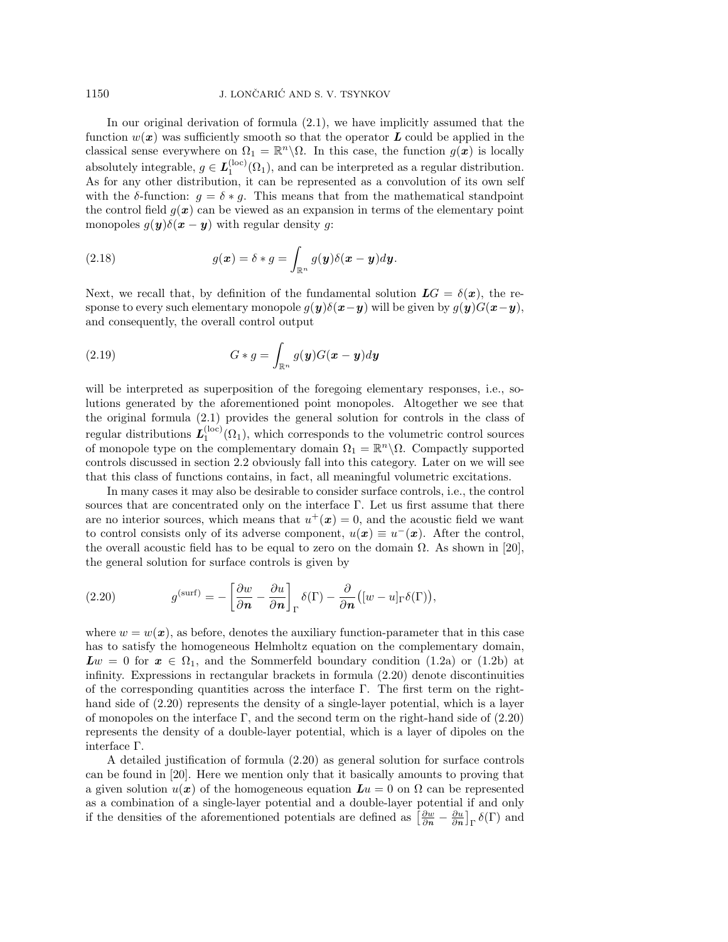In our original derivation of formula (2.1), we have implicitly assumed that the function  $w(x)$  was sufficiently smooth so that the operator **L** could be applied in the classical sense everywhere on  $\Omega_1 = \mathbb{R}^n \backslash \Omega$ . In this case, the function  $g(x)$  is locally absolutely integrable,  $g \in L_1^{(\text{loc})}(\Omega_1)$ , and can be interpreted as a regular distribution. As for any other distribution, it can be represented as a convolution of its own self with the  $\delta$ -function:  $g = \delta * g$ . This means that from the mathematical standpoint the control field  $q(x)$  can be viewed as an expansion in terms of the elementary point monopoles  $g(y)\delta(x-y)$  with regular density g:

(2.18) 
$$
g(\boldsymbol{x}) = \delta * g = \int_{\mathbb{R}^n} g(\boldsymbol{y}) \delta(\boldsymbol{x} - \boldsymbol{y}) d\boldsymbol{y}.
$$

Next, we recall that, by definition of the fundamental solution  $LG = \delta(x)$ , the response to every such elementary monopole  $g(y)\delta(x-y)$  will be given by  $g(y)G(x-y)$ , and consequently, the overall control output

(2.19) 
$$
G * g = \int_{\mathbb{R}^n} g(\mathbf{y}) G(\mathbf{x} - \mathbf{y}) d\mathbf{y}
$$

will be interpreted as superposition of the foregoing elementary responses, i.e., solutions generated by the aforementioned point monopoles. Altogether we see that the original formula (2.1) provides the general solution for controls in the class of regular distributions  $L_1^{(\text{loc})}(\Omega_1)$ , which corresponds to the volumetric control sources of monopole type on the complementary domain  $\Omega_1 = \mathbb{R}^n \backslash \Omega$ . Compactly supported controls discussed in section 2.2 obviously fall into this category. Later on we will see that this class of functions contains, in fact, all meaningful volumetric excitations.

In many cases it may also be desirable to consider surface controls, i.e., the control sources that are concentrated only on the interface Γ. Let us first assume that there are no interior sources, which means that  $u^+(\mathbf{x}) = 0$ , and the acoustic field we want to control consists only of its adverse component,  $u(x) \equiv u^{-1}(x)$ . After the control, the overall acoustic field has to be equal to zero on the domain  $\Omega$ . As shown in [20], the general solution for surface controls is given by

(2.20) 
$$
g^{(\text{surf})} = -\left[\frac{\partial w}{\partial n} - \frac{\partial u}{\partial n}\right]_{\Gamma} \delta(\Gamma) - \frac{\partial}{\partial n} \left([w - u]_{\Gamma} \delta(\Gamma)\right),
$$

where  $w = w(x)$ , as before, denotes the auxiliary function-parameter that in this case has to satisfy the homogeneous Helmholtz equation on the complementary domain,  $Lw = 0$  for  $x \in \Omega_1$ , and the Sommerfeld boundary condition (1.2a) or (1.2b) at infinity. Expressions in rectangular brackets in formula (2.20) denote discontinuities of the corresponding quantities across the interface Γ. The first term on the righthand side of  $(2.20)$  represents the density of a single-layer potential, which is a layer of monopoles on the interface  $\Gamma$ , and the second term on the right-hand side of (2.20) represents the density of a double-layer potential, which is a layer of dipoles on the interface Γ.

A detailed justification of formula (2.20) as general solution for surface controls can be found in [20]. Here we mention only that it basically amounts to proving that a given solution  $u(x)$  of the homogeneous equation  $Lu = 0$  on  $\Omega$  can be represented as a combination of a single-layer potential and a double-layer potential if and only if the densities of the aforementioned potentials are defined as  $\left[\frac{\partial w}{\partial n} - \frac{\partial u}{\partial n}\right]_P \delta(\Gamma)$  and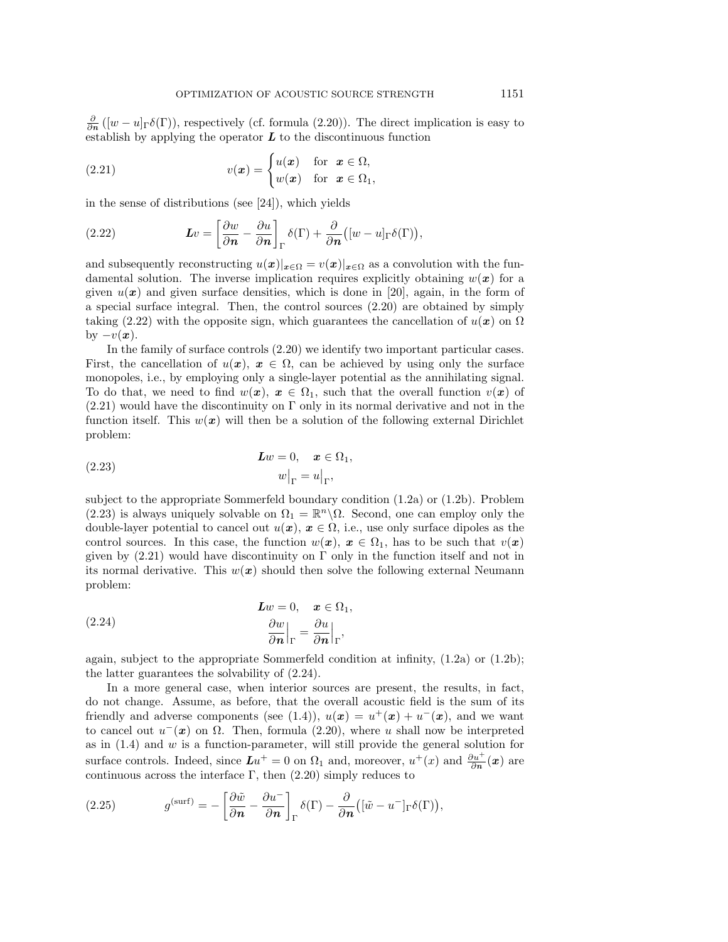$\frac{\partial}{\partial n}([w-u]_F \delta(\Gamma))$ , respectively (cf. formula (2.20)). The direct implication is easy to establish by applying the operator  $L$  to the discontinuous function

(2.21) 
$$
v(\boldsymbol{x}) = \begin{cases} u(\boldsymbol{x}) & \text{for } \boldsymbol{x} \in \Omega, \\ w(\boldsymbol{x}) & \text{for } \boldsymbol{x} \in \Omega_1, \end{cases}
$$

in the sense of distributions (see [24]), which yields

(2.22) 
$$
\boldsymbol{L}v = \left[\frac{\partial w}{\partial \boldsymbol{n}} - \frac{\partial u}{\partial \boldsymbol{n}}\right]_{\Gamma} \delta(\Gamma) + \frac{\partial}{\partial \boldsymbol{n}} \big([w - u]_{\Gamma} \delta(\Gamma)\big),
$$

and subsequently reconstructing  $u(x)|_{x \in \Omega} = v(x)|_{x \in \Omega}$  as a convolution with the fundamental solution. The inverse implication requires explicitly obtaining  $w(x)$  for a given  $u(x)$  and given surface densities, which is done in [20], again, in the form of a special surface integral. Then, the control sources (2.20) are obtained by simply taking (2.22) with the opposite sign, which guarantees the cancellation of  $u(x)$  on  $\Omega$ by  $-v(x)$ .

In the family of surface controls (2.20) we identify two important particular cases. First, the cancellation of  $u(x)$ ,  $x \in \Omega$ , can be achieved by using only the surface monopoles, i.e., by employing only a single-layer potential as the annihilating signal. To do that, we need to find  $w(x)$ ,  $x \in \Omega_1$ , such that the overall function  $v(x)$  of  $(2.21)$  would have the discontinuity on  $\Gamma$  only in its normal derivative and not in the function itself. This  $w(x)$  will then be a solution of the following external Dirichlet problem:

(2.23) 
$$
\mathbf{L}w = 0, \quad \mathbf{x} \in \Omega_1,
$$

$$
w|_{\Gamma} = u|_{\Gamma},
$$

subject to the appropriate Sommerfeld boundary condition (1.2a) or (1.2b). Problem (2.23) is always uniquely solvable on  $\Omega_1 = \mathbb{R}^n \backslash \Omega$ . Second, one can employ only the double-layer potential to cancel out  $u(x)$ ,  $x \in \Omega$ , i.e., use only surface dipoles as the control sources. In this case, the function  $w(x)$ ,  $x \in \Omega_1$ , has to be such that  $v(x)$ given by  $(2.21)$  would have discontinuity on  $\Gamma$  only in the function itself and not in its normal derivative. This  $w(x)$  should then solve the following external Neumann problem:

(2.24) 
$$
\mathbf{L}w = 0, \quad \mathbf{x} \in \Omega_1,
$$

$$
\frac{\partial w}{\partial \mathbf{n}}\Big|_{\Gamma} = \frac{\partial u}{\partial \mathbf{n}}\Big|_{\Gamma},
$$

again, subject to the appropriate Sommerfeld condition at infinity,  $(1.2a)$  or  $(1.2b)$ ; the latter guarantees the solvability of (2.24).

In a more general case, when interior sources are present, the results, in fact, do not change. Assume, as before, that the overall acoustic field is the sum of its friendly and adverse components (see (1.4)),  $u(x) = u^+(x) + u^-(x)$ , and we want to cancel out  $u^-(x)$  on  $\Omega$ . Then, formula (2.20), where u shall now be interpreted as in  $(1.4)$  and w is a function-parameter, will still provide the general solution for surface controls. Indeed, since  $Lu^+ = 0$  on  $\Omega_1$  and, moreover,  $u^+(x)$  and  $\frac{\partial u^+}{\partial n}(x)$  are continuous across the interface  $\Gamma$ , then (2.20) simply reduces to

(2.25) 
$$
g^{(\text{surf})} = -\left[\frac{\partial \tilde{w}}{\partial n} - \frac{\partial u^{-}}{\partial n}\right]_{\Gamma} \delta(\Gamma) - \frac{\partial}{\partial n} \left([\tilde{w} - u^{-}]\Gamma \delta(\Gamma)\right),
$$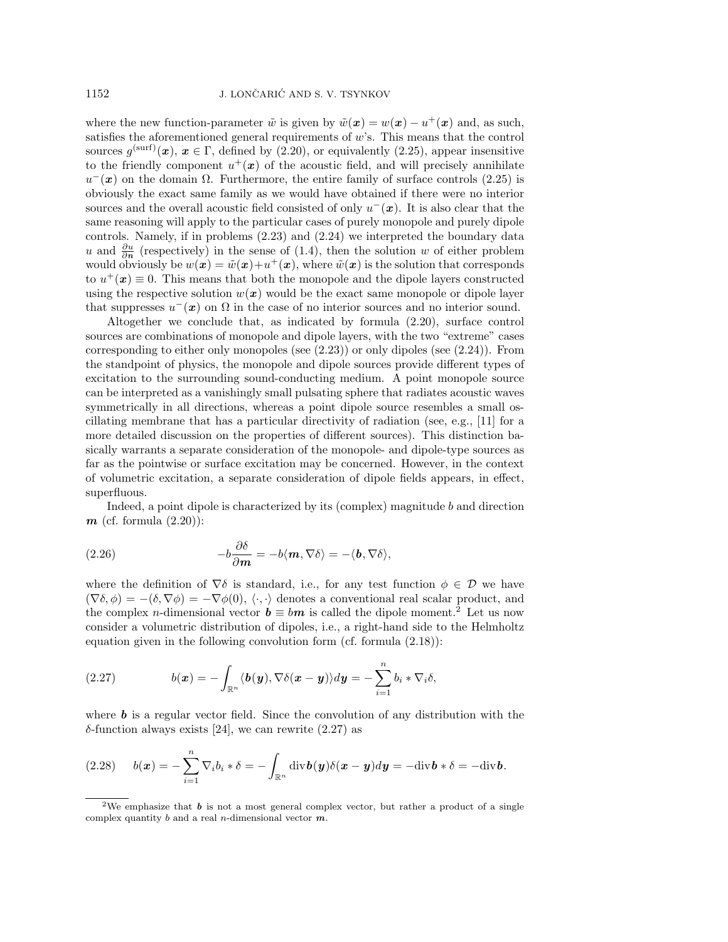where the new function-parameter  $\tilde{w}$  is given by  $\tilde{w}(\mathbf{x}) = w(\mathbf{x}) - u^{+}(\mathbf{x})$  and, as such, satisfies the aforementioned general requirements of  $w$ 's. This means that the control sources  $g^{(\text{surf})}(\boldsymbol{x}), \boldsymbol{x} \in \Gamma$ , defined by (2.20), or equivalently (2.25), appear insensitive to the friendly component  $u^+(\mathbf{x})$  of the acoustic field, and will precisely annihilate  $u^-(x)$  on the domain  $\Omega$ . Furthermore, the entire family of surface controls (2.25) is obviously the exact same family as we would have obtained if there were no interior sources and the overall acoustic field consisted of only  $u^-(x)$ . It is also clear that the same reasoning will apply to the particular cases of purely monopole and purely dipole controls. Namely, if in problems (2.23) and (2.24) we interpreted the boundary data *u* and  $\frac{\partial u}{\partial n}$  (respectively) in the sense of (1.4), then the solution w of either problem would obviously be  $w(\mathbf{x}) = \tilde{w}(\mathbf{x})+u^+(\mathbf{x})$ , where  $\tilde{w}(\mathbf{x})$  is the solution that corresponds to  $u^+(\mathbf{x}) \equiv 0$ . This means that both the monopole and the dipole layers constructed using the respective solution  $w(x)$  would be the exact same monopole or dipole layer that suppresses  $u^{-}(x)$  on  $\Omega$  in the case of no interior sources and no interior sound.

Altogether we conclude that, as indicated by formula (2.20), surface control sources are combinations of monopole and dipole layers, with the two "extreme" cases corresponding to either only monopoles (see  $(2.23)$ ) or only dipoles (see  $(2.24)$ ). From the standpoint of physics, the monopole and dipole sources provide different types of excitation to the surrounding sound-conducting medium. A point monopole source can be interpreted as a vanishingly small pulsating sphere that radiates acoustic waves symmetrically in all directions, whereas a point dipole source resembles a small oscillating membrane that has a particular directivity of radiation (see, e.g., [11] for a more detailed discussion on the properties of different sources). This distinction basically warrants a separate consideration of the monopole- and dipole-type sources as far as the pointwise or surface excitation may be concerned. However, in the context of volumetric excitation, a separate consideration of dipole fields appears, in effect, superfluous.

Indeed, a point dipole is characterized by its (complex) magnitude  $b$  and direction *m* (cf. formula (2.20)):

(2.26) 
$$
-b\frac{\partial \delta}{\partial \mathbf{m}} = -b\langle \mathbf{m}, \nabla \delta \rangle = -\langle \mathbf{b}, \nabla \delta \rangle,
$$

where the definition of  $\nabla \delta$  is standard, i.e., for any test function  $\phi \in \mathcal{D}$  we have  $(\nabla \delta, \phi) = -(\delta, \nabla \phi) = -\nabla \phi(0), \langle \cdot, \cdot \rangle$  denotes a conventional real scalar product, and the complex *n*-dimensional vector  $\mathbf{b} \equiv b\mathbf{m}$  is called the dipole moment.<sup>2</sup> Let us now consider a volumetric distribution of dipoles, i.e., a right-hand side to the Helmholtz equation given in the following convolution form (cf. formula (2.18)):

(2.27) 
$$
b(\mathbf{x}) = -\int_{\mathbb{R}^n} \langle b(\mathbf{y}), \nabla b(\mathbf{x} - \mathbf{y}) \rangle d\mathbf{y} = -\sum_{i=1}^n b_i * \nabla_i b,
$$

where **b** is a regular vector field. Since the convolution of any distribution with the  $\delta$ -function always exists [24], we can rewrite (2.27) as

$$
(2.28) \t b(\mathbf{x}) = -\sum_{i=1}^n \nabla_i b_i * \delta = -\int_{\mathbb{R}^n} \mathrm{div} \boldsymbol{b}(\mathbf{y}) \delta(\mathbf{x} - \mathbf{y}) d\mathbf{y} = -\mathrm{div} \boldsymbol{b} * \delta = -\mathrm{div} \boldsymbol{b}.
$$

<sup>&</sup>lt;sup>2</sup>We emphasize that  **is not a most general complex vector, but rather a product of a single** complex quantity b and a real n-dimensional vector *m*.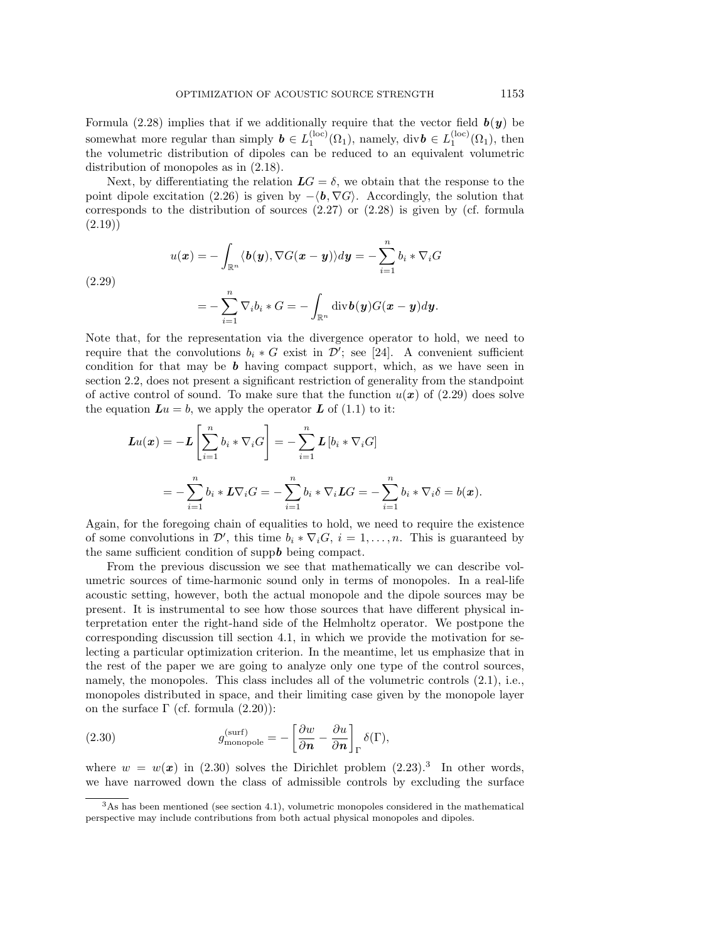Formula (2.28) implies that if we additionally require that the vector field  $b(y)$  be somewhat more regular than simply  $\mathbf{b} \in L_1^{(\text{loc})}(\Omega_1)$ , namely, div $\mathbf{b} \in L_1^{(\text{loc})}(\Omega_1)$ , then the volumetric distribution of dipoles can be reduced to an equivalent volumetric distribution of monopoles as in (2.18).

Next, by differentiating the relation  $LG = \delta$ , we obtain that the response to the point dipole excitation (2.26) is given by  $-\langle \mathbf{b}, \nabla G \rangle$ . Accordingly, the solution that corresponds to the distribution of sources  $(2.27)$  or  $(2.28)$  is given by (cf. formula  $(2.19)$ 

$$
u(\boldsymbol{x}) = -\int_{\mathbb{R}^n} \langle \boldsymbol{b}(\boldsymbol{y}), \nabla G(\boldsymbol{x} - \boldsymbol{y}) \rangle d\boldsymbol{y} = -\sum_{i=1}^n b_i * \nabla_i G
$$

(2.29)

$$
=-\sum_{i=1}^n \nabla_i b_i * G = -\int_{\mathbb{R}^n} \mathrm{div} \boldsymbol{b}(\boldsymbol{y}) G(\boldsymbol{x}-\boldsymbol{y}) d\boldsymbol{y}.
$$

Note that, for the representation via the divergence operator to hold, we need to require that the convolutions  $b_i * G$  exist in  $\mathcal{D}'$ ; see [24]. A convenient sufficient condition for that may be *b* having compact support, which, as we have seen in section 2.2, does not present a significant restriction of generality from the standpoint of active control of sound. To make sure that the function  $u(x)$  of (2.29) does solve the equation  $Lu = b$ , we apply the operator  $L$  of (1.1) to it:

$$
Lu(\boldsymbol{x}) = -L\left[\sum_{i=1}^n b_i * \nabla_i G\right] = -\sum_{i=1}^n L\left[b_i * \nabla_i G\right]
$$
  
= 
$$
-\sum_{i=1}^n b_i * L \nabla_i G = -\sum_{i=1}^n b_i * \nabla_i LG = -\sum_{i=1}^n b_i * \nabla_i \delta = b(\boldsymbol{x}).
$$

Again, for the foregoing chain of equalities to hold, we need to require the existence of some convolutions in  $\mathcal{D}'$ , this time  $b_i * \nabla_i G$ ,  $i = 1, ..., n$ . This is guaranteed by the same sufficient condition of supp*b* being compact.

From the previous discussion we see that mathematically we can describe volumetric sources of time-harmonic sound only in terms of monopoles. In a real-life acoustic setting, however, both the actual monopole and the dipole sources may be present. It is instrumental to see how those sources that have different physical interpretation enter the right-hand side of the Helmholtz operator. We postpone the corresponding discussion till section 4.1, in which we provide the motivation for selecting a particular optimization criterion. In the meantime, let us emphasize that in the rest of the paper we are going to analyze only one type of the control sources, namely, the monopoles. This class includes all of the volumetric controls (2.1), i.e., monopoles distributed in space, and their limiting case given by the monopole layer on the surface  $\Gamma$  (cf. formula  $(2.20)$ ):

(2.30) 
$$
g_{\text{monopole}}^{(\text{surf})} = -\left[\frac{\partial w}{\partial n} - \frac{\partial u}{\partial n}\right]_{\Gamma} \delta(\Gamma),
$$

where  $w = w(x)$  in (2.30) solves the Dirichlet problem (2.23).<sup>3</sup> In other words, we have narrowed down the class of admissible controls by excluding the surface

 $3$ As has been mentioned (see section 4.1), volumetric monopoles considered in the mathematical perspective may include contributions from both actual physical monopoles and dipoles.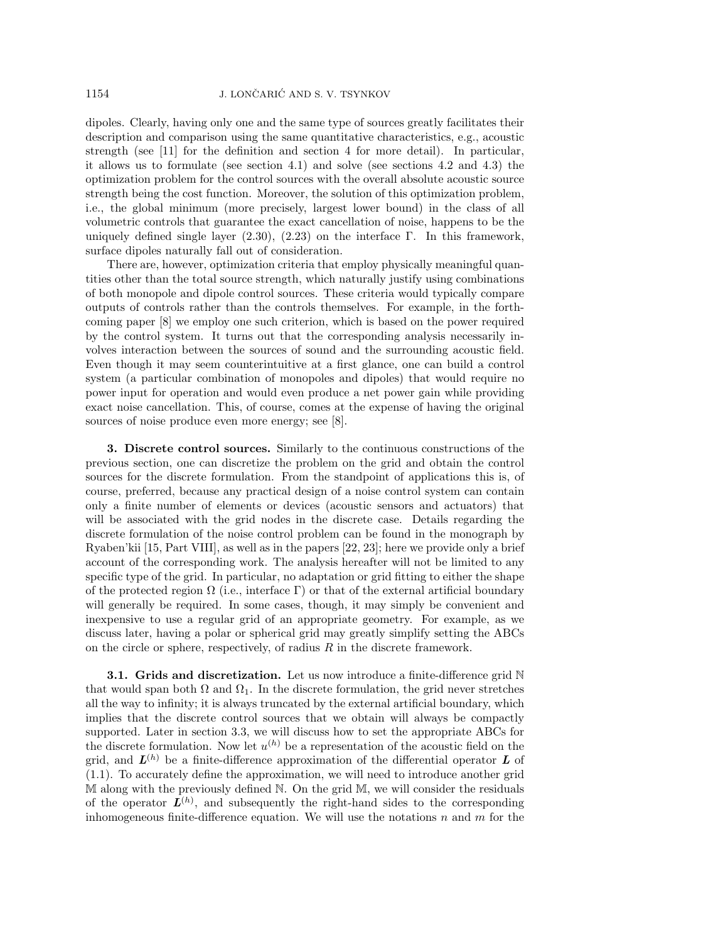dipoles. Clearly, having only one and the same type of sources greatly facilitates their description and comparison using the same quantitative characteristics, e.g., acoustic strength (see [11] for the definition and section 4 for more detail). In particular, it allows us to formulate (see section 4.1) and solve (see sections 4.2 and 4.3) the optimization problem for the control sources with the overall absolute acoustic source strength being the cost function. Moreover, the solution of this optimization problem, i.e., the global minimum (more precisely, largest lower bound) in the class of all volumetric controls that guarantee the exact cancellation of noise, happens to be the uniquely defined single layer  $(2.30)$ ,  $(2.23)$  on the interface Γ. In this framework, surface dipoles naturally fall out of consideration.

There are, however, optimization criteria that employ physically meaningful quantities other than the total source strength, which naturally justify using combinations of both monopole and dipole control sources. These criteria would typically compare outputs of controls rather than the controls themselves. For example, in the forthcoming paper [8] we employ one such criterion, which is based on the power required by the control system. It turns out that the corresponding analysis necessarily involves interaction between the sources of sound and the surrounding acoustic field. Even though it may seem counterintuitive at a first glance, one can build a control system (a particular combination of monopoles and dipoles) that would require no power input for operation and would even produce a net power gain while providing exact noise cancellation. This, of course, comes at the expense of having the original sources of noise produce even more energy; see [8].

**3. Discrete control sources.** Similarly to the continuous constructions of the previous section, one can discretize the problem on the grid and obtain the control sources for the discrete formulation. From the standpoint of applications this is, of course, preferred, because any practical design of a noise control system can contain only a finite number of elements or devices (acoustic sensors and actuators) that will be associated with the grid nodes in the discrete case. Details regarding the discrete formulation of the noise control problem can be found in the monograph by Ryaben'kii [15, Part VIII], as well as in the papers [22, 23]; here we provide only a brief account of the corresponding work. The analysis hereafter will not be limited to any specific type of the grid. In particular, no adaptation or grid fitting to either the shape of the protected region  $\Omega$  (i.e., interface Γ) or that of the external artificial boundary will generally be required. In some cases, though, it may simply be convenient and inexpensive to use a regular grid of an appropriate geometry. For example, as we discuss later, having a polar or spherical grid may greatly simplify setting the ABCs on the circle or sphere, respectively, of radius  $R$  in the discrete framework.

**3.1. Grids and discretization.** Let us now introduce a finite-difference grid N that would span both  $\Omega$  and  $\Omega_1$ . In the discrete formulation, the grid never stretches all the way to infinity; it is always truncated by the external artificial boundary, which implies that the discrete control sources that we obtain will always be compactly supported. Later in section 3.3, we will discuss how to set the appropriate ABCs for the discrete formulation. Now let  $u^{(h)}$  be a representation of the acoustic field on the grid, and  $L^{(h)}$  be a finite-difference approximation of the differential operator  $L$  of (1.1). To accurately define the approximation, we will need to introduce another grid M along with the previously defined N. On the grid M, we will consider the residuals of the operator  $L^{(h)}$ , and subsequently the right-hand sides to the corresponding inhomogeneous finite-difference equation. We will use the notations  $n$  and  $m$  for the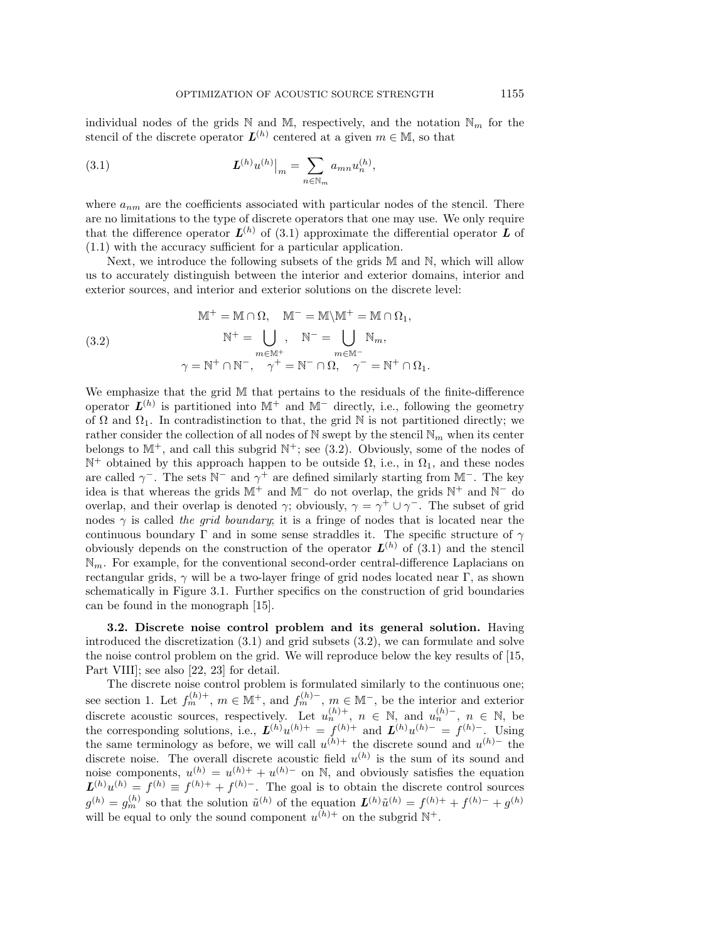individual nodes of the grids N and M, respectively, and the notation  $\mathbb{N}_m$  for the stencil of the discrete operator  $L^{(h)}$  centered at a given  $m \in M$ , so that

(3.1) 
$$
\mathbf{L}^{(h)}u^{(h)}\big|_{m} = \sum_{n \in \mathbb{N}_m} a_{mn} u_n^{(h)},
$$

where  $a_{nm}$  are the coefficients associated with particular nodes of the stencil. There are no limitations to the type of discrete operators that one may use. We only require that the difference operator  $L^{(h)}$  of (3.1) approximate the differential operator  $L$  of (1.1) with the accuracy sufficient for a particular application.

Next, we introduce the following subsets of the grids M and N, which will allow us to accurately distinguish between the interior and exterior domains, interior and exterior sources, and interior and exterior solutions on the discrete level:

(3.2) 
$$
\mathbb{M}^+ = \mathbb{M} \cap \Omega, \quad \mathbb{M}^- = \mathbb{M} \setminus \mathbb{M}^+ = \mathbb{M} \cap \Omega_1,
$$

$$
\mathbb{N}^+ = \bigcup_{m \in \mathbb{M}^+} \qquad \mathbb{N}^- = \bigcup_{m \in \mathbb{M}^-} \mathbb{N}_m,
$$

$$
\gamma = \mathbb{N}^+ \cap \mathbb{N}^-, \quad \gamma^+ = \mathbb{N}^- \cap \Omega, \quad \gamma^- = \mathbb{N}^+ \cap \Omega_1.
$$

We emphasize that the grid M that pertains to the residuals of the finite-difference operator  $L^{(h)}$  is partitioned into M<sup>+</sup> and M<sup>-</sup> directly, i.e., following the geometry of  $\Omega$  and  $\Omega_1$ . In contradistinction to that, the grid N is not partitioned directly; we rather consider the collection of all nodes of N swept by the stencil  $N_m$  when its center belongs to  $\mathbb{M}^+$ , and call this subgrid  $\mathbb{N}^+$ ; see (3.2). Obviously, some of the nodes of  $\mathbb{N}^+$  obtained by this approach happen to be outside  $\Omega$ , i.e., in  $\Omega_1$ , and these nodes are called  $\gamma^-$ . The sets N<sup>−</sup> and  $\gamma^+$  are defined similarly starting from M<sup>−</sup>. The key idea is that whereas the grids  $\mathbb{M}^+$  and  $\mathbb{M}^-$  do not overlap, the grids  $\mathbb{N}^+$  and  $\mathbb{N}^-$  do overlap, and their overlap is denoted  $\gamma$ ; obviously,  $\gamma = \gamma^+ \cup \gamma^-$ . The subset of grid nodes  $\gamma$  is called the grid boundary; it is a fringe of nodes that is located near the continuous boundary Γ and in some sense straddles it. The specific structure of  $\gamma$ obviously depends on the construction of the operator  $\mathbf{L}^{(h)}$  of (3.1) and the stencil  $\mathbb{N}_m$ . For example, for the conventional second-order central-difference Laplacians on rectangular grids,  $\gamma$  will be a two-layer fringe of grid nodes located near Γ, as shown schematically in Figure 3.1. Further specifics on the construction of grid boundaries can be found in the monograph [15].

**3.2.** Discrete noise control problem and its general solution. Having introduced the discretization (3.1) and grid subsets (3.2), we can formulate and solve the noise control problem on the grid. We will reproduce below the key results of [15, Part VIII]; see also [22, 23] for detail.

The discrete noise control problem is formulated similarly to the continuous one; see section 1. Let  $f_m^{(h)+}, m \in \mathbb{M}^+$ , and  $f_m^{(h)-}, m \in \mathbb{M}^-$ , be the interior and exterior discrete acoustic sources, respectively. Let  $u_n^{(h)+}$ ,  $n \in \mathbb{N}$ , and  $u_n^{(h)-}$ ,  $n \in \mathbb{N}$ , be the corresponding solutions, i.e.,  $\mathbf{L}^{(h)}u^{(h)+} = f^{(h)+}$  and  $\mathbf{L}^{(h)}u^{(h)-} = f^{(h)-}$ . Using the same terminology as before, we will call  $u^{(h)+}$  the discrete sound and  $u^{(h)-}$  the discrete noise. The overall discrete acoustic field  $u^{(h)}$  is the sum of its sound and noise components,  $u^{(h)} = u^{(h)+} + u^{(h)-}$  on N, and obviously satisfies the equation  $L^{(h)}u^{(h)} = f^{(h)} \equiv f^{(h)+} + f^{(h)-}$ . The goal is to obtain the discrete control sources  $g^{(h)} = g_m^{(h)}$  so that the solution  $\tilde{u}^{(h)}$  of the equation  $\mathbf{L}^{(h)}\tilde{u}^{(h)} = f^{(h)+} + f^{(h)-} + g^{(h)}$ will be equal to only the sound component  $u^{(h)+}$  on the subgrid  $\mathbb{N}^+$ .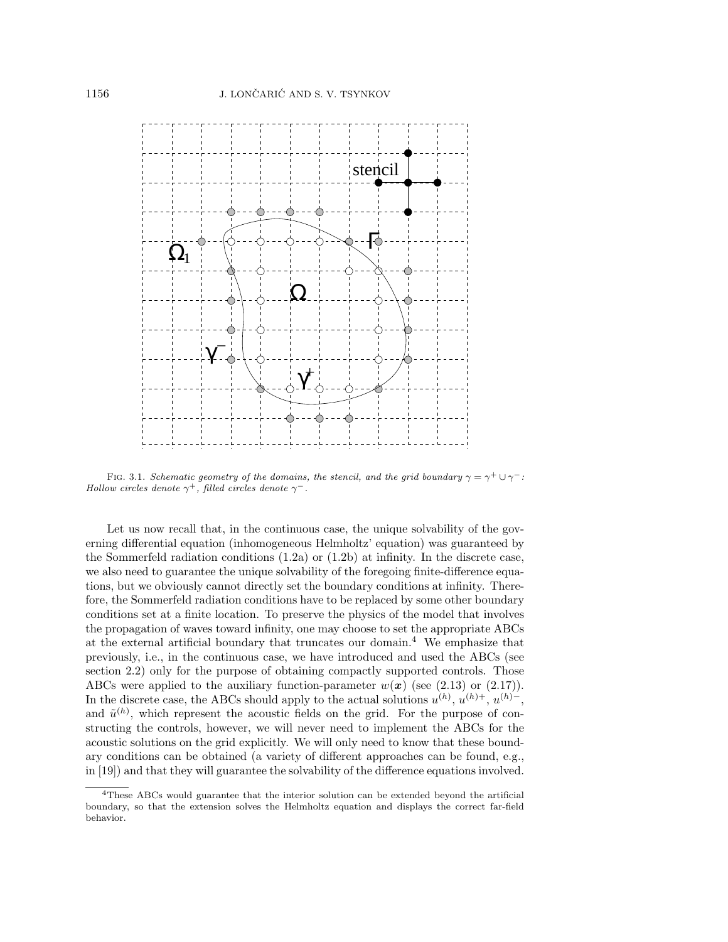

FIG. 3.1. Schematic geometry of the domains, the stencil, and the grid boundary  $\gamma = \gamma^+ \cup \gamma^-$ : Hollow circles denote  $\gamma^+$ , filled circles denote  $\gamma^-$ .

Let us now recall that, in the continuous case, the unique solvability of the governing differential equation (inhomogeneous Helmholtz' equation) was guaranteed by the Sommerfeld radiation conditions (1.2a) or (1.2b) at infinity. In the discrete case, we also need to guarantee the unique solvability of the foregoing finite-difference equations, but we obviously cannot directly set the boundary conditions at infinity. Therefore, the Sommerfeld radiation conditions have to be replaced by some other boundary conditions set at a finite location. To preserve the physics of the model that involves the propagation of waves toward infinity, one may choose to set the appropriate ABCs at the external artificial boundary that truncates our domain.<sup>4</sup> We emphasize that previously, i.e., in the continuous case, we have introduced and used the ABCs (see section 2.2) only for the purpose of obtaining compactly supported controls. Those ABCs were applied to the auxiliary function-parameter  $w(x)$  (see (2.13) or (2.17)). In the discrete case, the ABCs should apply to the actual solutions  $u^{(h)}$ ,  $u^{(h)+}$ ,  $u^{(h)-}$ , and  $\tilde{u}^{(h)}$ , which represent the acoustic fields on the grid. For the purpose of constructing the controls, however, we will never need to implement the ABCs for the acoustic solutions on the grid explicitly. We will only need to know that these boundary conditions can be obtained (a variety of different approaches can be found, e.g., in [19]) and that they will guarantee the solvability of the difference equations involved.

<sup>4</sup>These ABCs would guarantee that the interior solution can be extended beyond the artificial boundary, so that the extension solves the Helmholtz equation and displays the correct far-field behavior.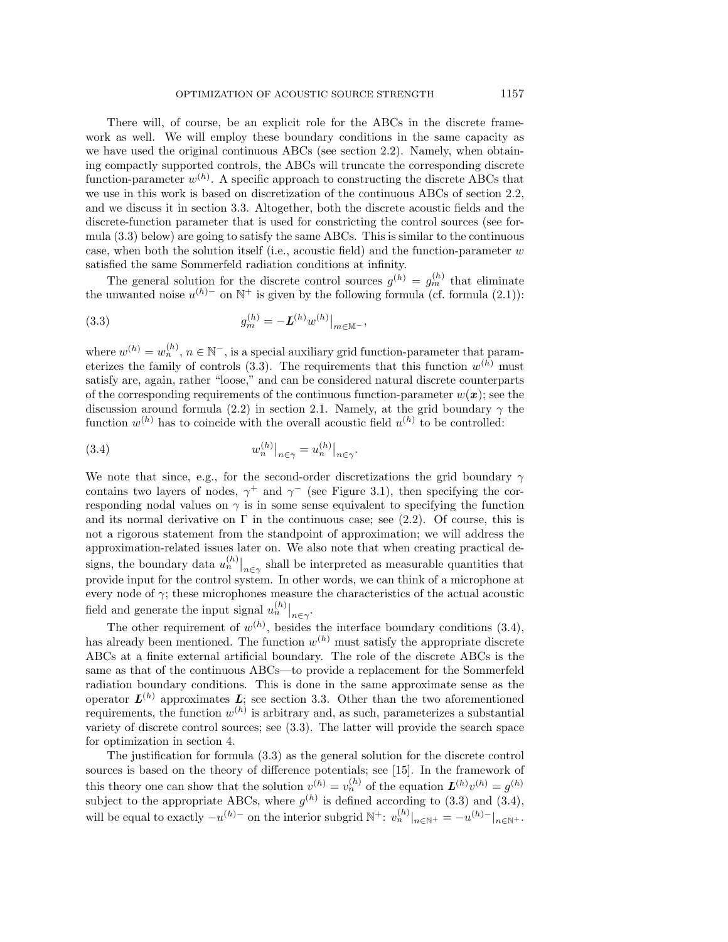There will, of course, be an explicit role for the ABCs in the discrete framework as well. We will employ these boundary conditions in the same capacity as we have used the original continuous ABCs (see section 2.2). Namely, when obtaining compactly supported controls, the ABCs will truncate the corresponding discrete function-parameter  $w^{(h)}$ . A specific approach to constructing the discrete ABCs that we use in this work is based on discretization of the continuous ABCs of section 2.2, and we discuss it in section 3.3. Altogether, both the discrete acoustic fields and the discrete-function parameter that is used for constricting the control sources (see formula (3.3) below) are going to satisfy the same ABCs. This is similar to the continuous case, when both the solution itself (i.e., acoustic field) and the function-parameter  $w$ satisfied the same Sommerfeld radiation conditions at infinity.

The general solution for the discrete control sources  $g^{(h)} = g_m^{(h)}$  that eliminate the unwanted noise  $u^{(h)}$  on N<sup>+</sup> is given by the following formula (cf. formula (2.1)):

(3.3) 
$$
g_m^{(h)} = -L^{(h)} w^{(h)}|_{m \in \mathbb{M}^-},
$$

where  $w^{(h)} = w_n^{(h)}$ ,  $n \in \mathbb{N}^-$ , is a special auxiliary grid function-parameter that parameterizes the family of controls (3.3). The requirements that this function  $w^{(h)}$  must satisfy are, again, rather "loose," and can be considered natural discrete counterparts of the corresponding requirements of the continuous function-parameter  $w(\boldsymbol{x})$ ; see the discussion around formula (2.2) in section 2.1. Namely, at the grid boundary  $\gamma$  the function  $w^{(h)}$  has to coincide with the overall acoustic field  $u^{(h)}$  to be controlled:

(3.4) 
$$
w_n^{(h)}|_{n \in \gamma} = u_n^{(h)}|_{n \in \gamma}.
$$

We note that since, e.g., for the second-order discretizations the grid boundary  $\gamma$ contains two layers of nodes,  $\gamma^+$  and  $\gamma^-$  (see Figure 3.1), then specifying the corresponding nodal values on  $\gamma$  is in some sense equivalent to specifying the function and its normal derivative on  $\Gamma$  in the continuous case; see (2.2). Of course, this is not a rigorous statement from the standpoint of approximation; we will address the approximation-related issues later on. We also note that when creating practical designs, the boundary data  $u_n^{(h)}\big|_{n \in \gamma}$  shall be interpreted as measurable quantities that provide input for the control system. In other words, we can think of a microphone at every node of  $\gamma$ ; these microphones measure the characteristics of the actual acoustic field and generate the input signal  $u_n^{(h)}|_{n \in \gamma}$ .

The other requirement of  $w^{(h)}$ , besides the interface boundary conditions (3.4), has already been mentioned. The function  $w^{(h)}$  must satisfy the appropriate discrete ABCs at a finite external artificial boundary. The role of the discrete ABCs is the same as that of the continuous ABCs—to provide a replacement for the Sommerfeld radiation boundary conditions. This is done in the same approximate sense as the operator  $L^{(h)}$  approximates  $L$ ; see section 3.3. Other than the two aforementioned requirements, the function  $w^{(h)}$  is arbitrary and, as such, parameterizes a substantial variety of discrete control sources; see (3.3). The latter will provide the search space for optimization in section 4.

The justification for formula (3.3) as the general solution for the discrete control sources is based on the theory of difference potentials; see [15]. In the framework of this theory one can show that the solution  $v^{(h)} = v_n^{(h)}$  of the equation  $\mathbf{L}^{(h)}v^{(h)} = g^{(h)}$ subject to the appropriate ABCs, where  $g^{(h)}$  is defined according to (3.3) and (3.4), will be equal to exactly  $-u^{(h)}$  on the interior subgrid  $\mathbb{N}^+$ :  $v_n^{(h)}|_{n \in \mathbb{N}^+} = -u^{(h)-}|_{n \in \mathbb{N}^+}$ .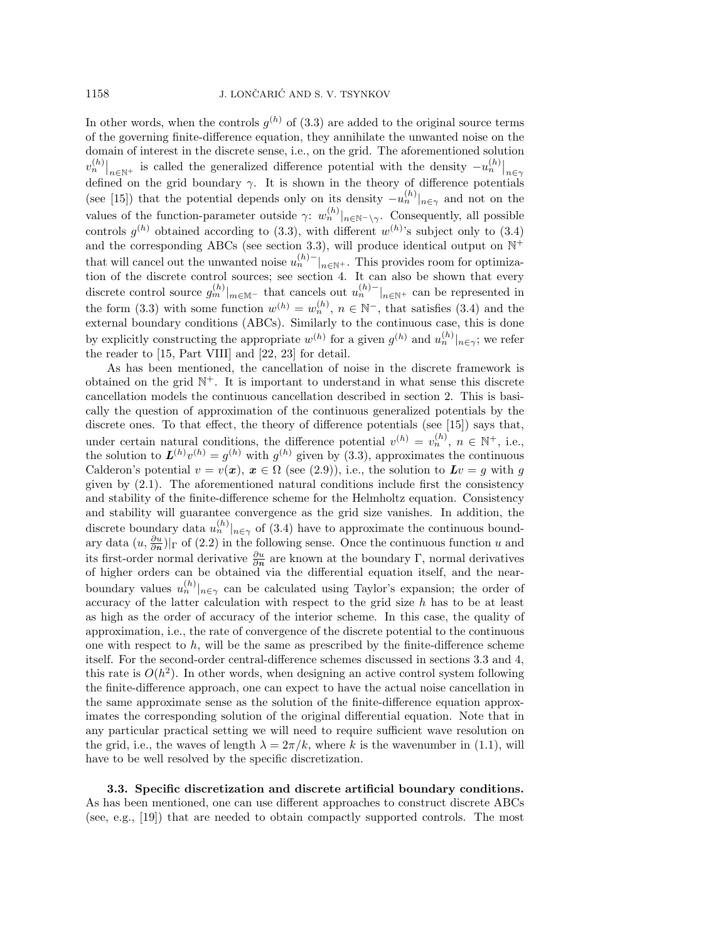In other words, when the controls  $q^{(h)}$  of (3.3) are added to the original source terms of the governing finite-difference equation, they annihilate the unwanted noise on the domain of interest in the discrete sense, i.e., on the grid. The aforementioned solution  $v_n^{(h)}|_{n \in \mathbb{N}^+}$  is called the generalized difference potential with the density  $-u_n^{(h)}|_{n \in \gamma}$ defined on the grid boundary  $\gamma$ . It is shown in the theory of difference potentials (see [15]) that the potential depends only on its density  $-u_n^{(h)}|_{n \in \gamma}$  and not on the values of the function-parameter outside  $\gamma: w_n^{(h)}|_{n \in \mathbb{N}^-\setminus \gamma}$ . Consequently, all possible controls  $g^{(h)}$  obtained according to (3.3), with different  $w^{(h)}$ 's subject only to (3.4) and the corresponding ABCs (see section 3.3), will produce identical output on  $\mathbb{N}^+$ that will cancel out the unwanted noise  $u_n^{(h)-}|_{n\in\mathbb{N}^+}$ . This provides room for optimization of the discrete control sources; see section 4. It can also be shown that every discrete control source  $g_m^{(h)}|_{m \in \mathbb{M}^-}$  that cancels out  $u_n^{(h)-}|_{n \in \mathbb{N}^+}$  can be represented in the form (3.3) with some function  $w^{(h)} = w_n^{(h)}$ ,  $n \in \mathbb{N}^-$ , that satisfies (3.4) and the external boundary conditions (ABCs). Similarly to the continuous case, this is done by explicitly constructing the appropriate  $w^{(h)}$  for a given  $g^{(h)}$  and  $u_n^{(h)}|_{n \in \gamma}$ ; we refer the reader to [15, Part VIII] and [22, 23] for detail.

As has been mentioned, the cancellation of noise in the discrete framework is obtained on the grid  $\mathbb{N}^+$ . It is important to understand in what sense this discrete cancellation models the continuous cancellation described in section 2. This is basically the question of approximation of the continuous generalized potentials by the discrete ones. To that effect, the theory of difference potentials (see [15]) says that, under certain natural conditions, the difference potential  $v^{(h)} = v_n^{(h)}$ ,  $n \in \mathbb{N}^+$ , i.e., the solution to  $\mathbf{L}^{(h)}v^{(h)} = g^{(h)}$  with  $g^{(h)}$  given by (3.3), approximates the continuous Calderon's potential  $v = v(x)$ ,  $x \in \Omega$  (see (2.9)), i.e., the solution to  $Lv = g$  with g given by (2.1). The aforementioned natural conditions include first the consistency and stability of the finite-difference scheme for the Helmholtz equation. Consistency and stability will guarantee convergence as the grid size vanishes. In addition, the discrete boundary data  $u_n^{(h)}|_{n \in \gamma}$  of (3.4) have to approximate the continuous boundary data  $(u, \frac{\partial u}{\partial n})|_{\Gamma}$  of (2.2) in the following sense. Once the continuous function u and its first-order normal derivative  $\frac{\partial u}{\partial n}$  are known at the boundary Γ, normal derivatives of higher orders can be obtained via the differential equation itself, and the nearboundary values  $u_n^{(h)}|_{n \in \gamma}$  can be calculated using Taylor's expansion; the order of accuracy of the latter calculation with respect to the grid size  $h$  has to be at least as high as the order of accuracy of the interior scheme. In this case, the quality of approximation, i.e., the rate of convergence of the discrete potential to the continuous one with respect to  $h$ , will be the same as prescribed by the finite-difference scheme itself. For the second-order central-difference schemes discussed in sections 3.3 and 4, this rate is  $O(h^2)$ . In other words, when designing an active control system following the finite-difference approach, one can expect to have the actual noise cancellation in the same approximate sense as the solution of the finite-difference equation approximates the corresponding solution of the original differential equation. Note that in any particular practical setting we will need to require sufficient wave resolution on the grid, i.e., the waves of length  $\lambda = 2\pi/k$ , where k is the wavenumber in (1.1), will have to be well resolved by the specific discretization.

**3.3. Specific discretization and discrete artificialboundary conditions.** As has been mentioned, one can use different approaches to construct discrete ABCs (see, e.g., [19]) that are needed to obtain compactly supported controls. The most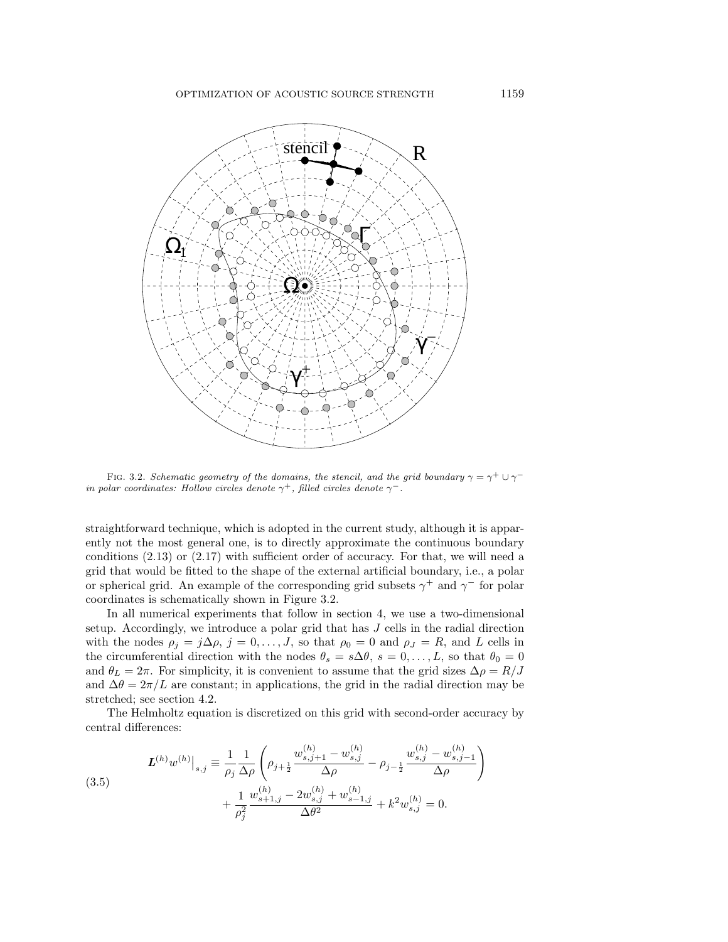

FIG. 3.2. Schematic geometry of the domains, the stencil, and the grid boundary  $\gamma = \gamma^+ \cup \gamma^$ in polar coordinates: Hollow circles denote  $\gamma^+$ , filled circles denote  $\gamma^-$ .

straightforward technique, which is adopted in the current study, although it is apparently not the most general one, is to directly approximate the continuous boundary conditions (2.13) or (2.17) with sufficient order of accuracy. For that, we will need a grid that would be fitted to the shape of the external artificial boundary, i.e., a polar or spherical grid. An example of the corresponding grid subsets  $\gamma^+$  and  $\gamma^-$  for polar coordinates is schematically shown in Figure 3.2.

In all numerical experiments that follow in section 4, we use a two-dimensional setup. Accordingly, we introduce a polar grid that has  $J$  cells in the radial direction with the nodes  $\rho_j = j\Delta \rho$ ,  $j = 0, \ldots, J$ , so that  $\rho_0 = 0$  and  $\rho_j = R$ , and L cells in the circumferential direction with the nodes  $\theta_s = s\Delta\theta$ ,  $s = 0, \ldots, L$ , so that  $\theta_0 = 0$ and  $\theta_L = 2\pi$ . For simplicity, it is convenient to assume that the grid sizes  $\Delta \rho = R/J$ and  $\Delta\theta = 2\pi/L$  are constant; in applications, the grid in the radial direction may be stretched; see section 4.2.

The Helmholtz equation is discretized on this grid with second-order accuracy by central differences:

(3.5)  

$$
\mathbf{L}^{(h)}w^{(h)}\big|_{s,j} \equiv \frac{1}{\rho_j} \frac{1}{\Delta \rho} \left( \rho_{j+\frac{1}{2}} \frac{w_{s,j+1}^{(h)} - w_{s,j}^{(h)}}{\Delta \rho} - \rho_{j-\frac{1}{2}} \frac{w_{s,j}^{(h)} - w_{s,j-1}^{(h)}}{\Delta \rho} \right) + \frac{1}{\rho_j^2} \frac{w_{s+1,j}^{(h)} - 2w_{s,j}^{(h)} + w_{s-1,j}^{(h)}}{\Delta \theta^2} + k^2 w_{s,j}^{(h)} = 0.
$$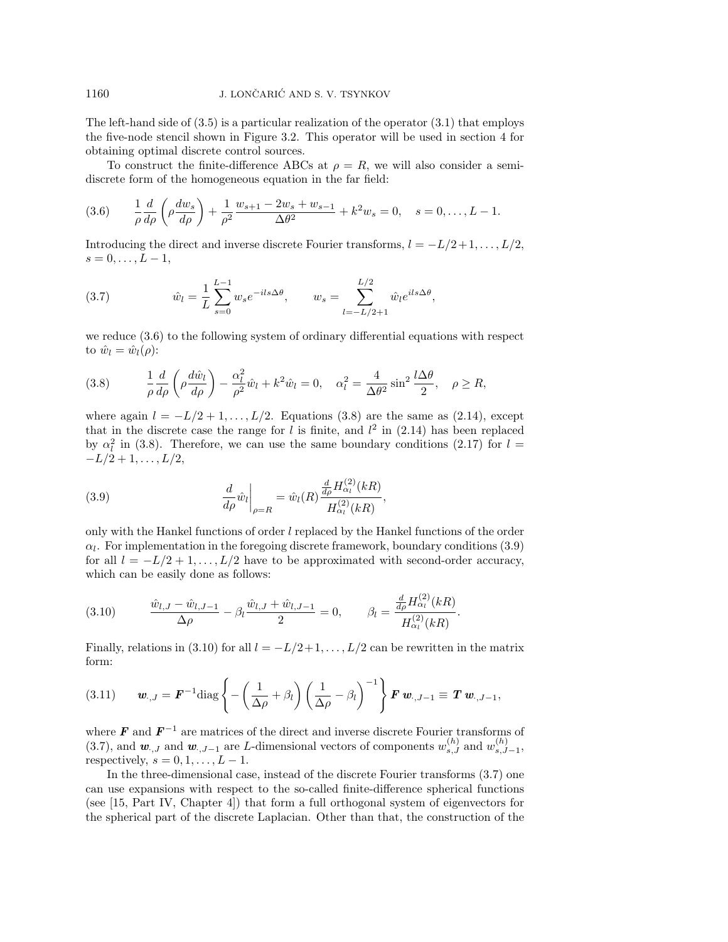The left-hand side of (3.5) is a particular realization of the operator (3.1) that employs the five-node stencil shown in Figure 3.2. This operator will be used in section 4 for obtaining optimal discrete control sources.

To construct the finite-difference ABCs at  $\rho = R$ , we will also consider a semidiscrete form of the homogeneous equation in the far field:

(3.6) 
$$
\frac{1}{\rho} \frac{d}{d\rho} \left( \rho \frac{dw_s}{d\rho} \right) + \frac{1}{\rho^2} \frac{w_{s+1} - 2w_s + w_{s-1}}{\Delta \theta^2} + k^2 w_s = 0, \quad s = 0, \dots, L-1.
$$

Introducing the direct and inverse discrete Fourier transforms,  $l = -L/2+1, \ldots, L/2$ ,  $s = 0, \ldots, L - 1,$ 

(3.7) 
$$
\hat{w}_l = \frac{1}{L} \sum_{s=0}^{L-1} w_s e^{-ils\Delta\theta}, \qquad w_s = \sum_{l=-L/2+1}^{L/2} \hat{w}_l e^{ils\Delta\theta},
$$

we reduce (3.6) to the following system of ordinary differential equations with respect to  $\hat{w}_l = \hat{w}_l(\rho)$ :

(3.8) 
$$
\frac{1}{\rho} \frac{d}{d\rho} \left( \rho \frac{d\hat{w}_l}{d\rho} \right) - \frac{\alpha_l^2}{\rho^2} \hat{w}_l + k^2 \hat{w}_l = 0, \quad \alpha_l^2 = \frac{4}{\Delta \theta^2} \sin^2 \frac{l \Delta \theta}{2}, \quad \rho \ge R,
$$

where again  $l = -L/2+1, \ldots, L/2$ . Equations (3.8) are the same as (2.14), except that in the discrete case the range for  $l$  is finite, and  $l^2$  in (2.14) has been replaced by  $\alpha_l^2$  in (3.8). Therefore, we can use the same boundary conditions (2.17) for  $l =$  $-L/2+1, \ldots, L/2,$ 

(3.9) 
$$
\frac{d}{d\rho}\hat{w}_l\bigg|_{\rho=R} = \hat{w}_l(R)\frac{\frac{d}{d\rho}H_{\alpha_l}^{(2)}(kR)}{H_{\alpha_l}^{(2)}(kR)},
$$

only with the Hankel functions of order  $l$  replaced by the Hankel functions of the order  $\alpha_l$ . For implementation in the foregoing discrete framework, boundary conditions (3.9) for all  $l = -L/2+1, \ldots, L/2$  have to be approximated with second-order accuracy, which can be easily done as follows:

$$
(3.10) \t\t \t\t \frac{\hat{w}_{l,J} - \hat{w}_{l,J-1}}{\Delta \rho} - \beta_l \frac{\hat{w}_{l,J} + \hat{w}_{l,J-1}}{2} = 0, \t\t \beta_l = \frac{\frac{d}{d\rho} H_{\alpha_l}^{(2)}(kR)}{H_{\alpha_l}^{(2)}(kR)}.
$$

Finally, relations in (3.10) for all  $l = -L/2+1, \ldots, L/2$  can be rewritten in the matrix form:

$$
(3.11) \t\t\t\t\boldsymbol{w}_{\cdot,J} = \boldsymbol{F}^{-1} \text{diag}\left\{-\left(\frac{1}{\Delta\rho}+\beta_l\right)\left(\frac{1}{\Delta\rho}-\beta_l\right)^{-1}\right\} \boldsymbol{F} \ \boldsymbol{w}_{\cdot,J-1} \equiv \boldsymbol{T} \ \boldsymbol{w}_{\cdot,J-1},
$$

where  $\mathbf{F}$  and  $\mathbf{F}^{-1}$  are matrices of the direct and inverse discrete Fourier transforms of (3.7), and  $w_{\cdot,J}$  and  $w_{\cdot,J-1}$  are L-dimensional vectors of components  $w_{s,J}^{(h)}$  and  $w_{s,J-1}^{(h)}$ , respectively,  $s = 0, 1, \ldots, L - 1$ .

In the three-dimensional case, instead of the discrete Fourier transforms (3.7) one can use expansions with respect to the so-called finite-difference spherical functions (see [15, Part IV, Chapter 4]) that form a full orthogonal system of eigenvectors for the spherical part of the discrete Laplacian. Other than that, the construction of the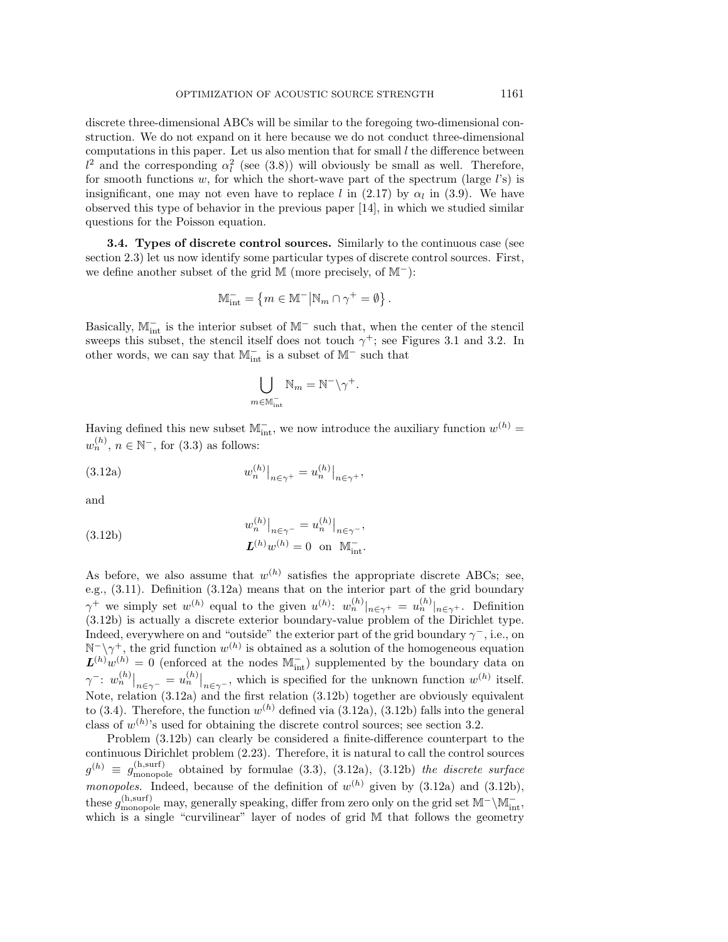discrete three-dimensional ABCs will be similar to the foregoing two-dimensional construction. We do not expand on it here because we do not conduct three-dimensional computations in this paper. Let us also mention that for small  $l$  the difference between  $l^2$  and the corresponding  $\alpha_l^2$  (see (3.8)) will obviously be small as well. Therefore, for smooth functions  $w$ , for which the short-wave part of the spectrum (large  $l$ 's) is insignificant, one may not even have to replace l in (2.17) by  $\alpha_l$  in (3.9). We have observed this type of behavior in the previous paper [14], in which we studied similar questions for the Poisson equation.

**3.4. Types of discrete control sources.** Similarly to the continuous case (see section 2.3) let us now identify some particular types of discrete control sources. First, we define another subset of the grid M (more precisely, of M<sup>−</sup>):

$$
\mathbb{M}_{\text{int}}^- = \left\{ m \in \mathbb{M}^- \middle| \mathbb{N}_m \cap \gamma^+ = \emptyset \right\}.
$$

Basically,  $M_{int}^-$  is the interior subset of  $M^-$  such that, when the center of the stencil sweeps this subset, the stencil itself does not touch  $\gamma^+$ ; see Figures 3.1 and 3.2. In other words, we can say that  $\mathbb{M}_{\rm int}^-$  is a subset of  $\mathbb{M}^-$  such that

$$
\bigcup_{m \in \mathbb{M}_{\rm int}^-} \mathbb{N}_m = \mathbb{N}^- \backslash \gamma^+.
$$

Having defined this new subset  $\mathbb{M}_{int}^-$ , we now introduce the auxiliary function  $w^{(h)}$  =  $w_n^{(h)}$ ,  $n \in \mathbb{N}^-$ , for (3.3) as follows:

(3.12a) 
$$
w_n^{(h)}|_{n \in \gamma^+} = u_n^{(h)}|_{n \in \gamma^+},
$$

and

(3.12b)  

$$
w_n^{(h)}|_{n \in \gamma^-} = u_n^{(h)}|_{n \in \gamma^-},
$$

$$
\mathbf{L}^{(h)} w^{(h)} = 0 \text{ on } \mathbb{M}_{\text{int}}^-.
$$

As before, we also assume that  $w^{(h)}$  satisfies the appropriate discrete ABCs; see, e.g., (3.11). Definition (3.12a) means that on the interior part of the grid boundary  $\gamma^+$  we simply set  $w^{(h)}$  equal to the given  $u^{(h)}$ :  $w_n^{(h)}|_{n \in \gamma^+} = u_n^{(h)}|_{n \in \gamma^+}$ . Definition (3.12b) is actually a discrete exterior boundary-value problem of the Dirichlet type. Indeed, everywhere on and "outside" the exterior part of the grid boundary  $\gamma^-$ , i.e., on  $\mathbb{N}^-\setminus\gamma^+$ , the grid function  $w^{(h)}$  is obtained as a solution of the homogeneous equation  $L^{(h)}w^{(h)} = 0$  (enforced at the nodes  $\mathbb{M}_{int}^-$ ) supplemented by the boundary data on  $\gamma^-: w_n^{(h)}|_{n \in \gamma^-} = u_n^{(h)}|_{n \in \gamma^-}$ , which is specified for the unknown function  $w^{(h)}$  itself. Note, relation  $(3.12a)$  and the first relation  $(3.12b)$  together are obviously equivalent to (3.4). Therefore, the function  $w^{(h)}$  defined via (3.12a), (3.12b) falls into the general class of  $w^{(h)}$ 's used for obtaining the discrete control sources; see section 3.2.

Problem (3.12b) can clearly be considered a finite-difference counterpart to the continuous Dirichlet problem (2.23). Therefore, it is natural to call the control sources  $g^{(h)} \equiv g_{\text{monopole}}^{(h,surf)}$  obtained by formulae (3.3), (3.12a), (3.12b) the discrete surface monopoles. Indeed, because of the definition of  $w^{(h)}$  given by (3.12a) and (3.12b), these  $g_{\text{monopole}}^{(h,surf)}$  may, generally speaking, differ from zero only on the grid set  $M^- \backslash M_{\text{int}}^-$ , which is a single "curvilinear" layer of nodes of grid M that follows the geometry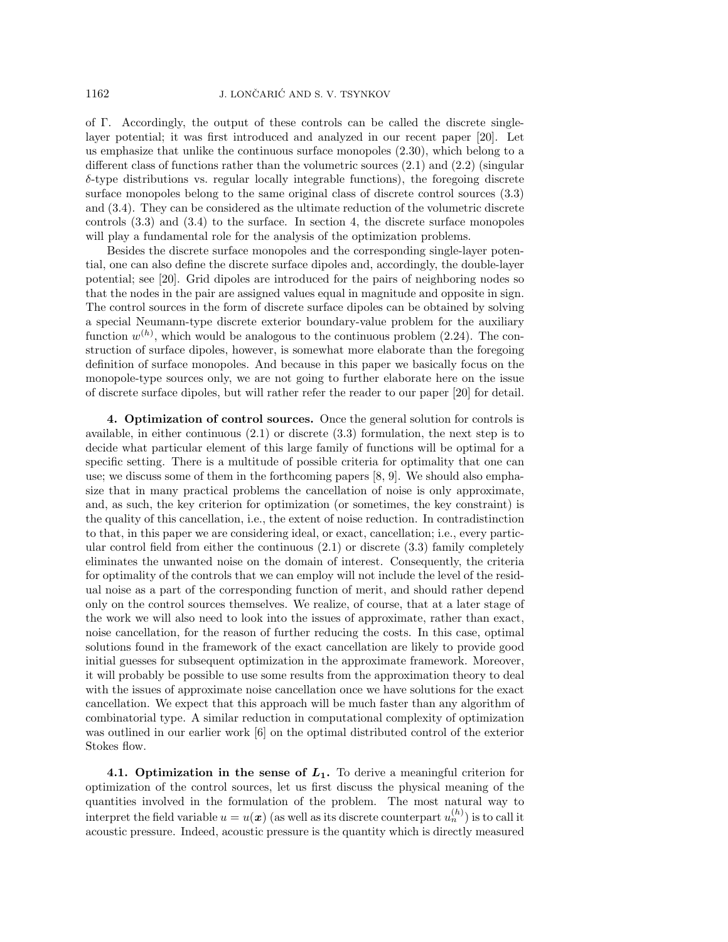of Γ. Accordingly, the output of these controls can be called the discrete singlelayer potential; it was first introduced and analyzed in our recent paper [20]. Let us emphasize that unlike the continuous surface monopoles (2.30), which belong to a different class of functions rather than the volumetric sources  $(2.1)$  and  $(2.2)$  (singular  $\delta$ -type distributions vs. regular locally integrable functions), the foregoing discrete surface monopoles belong to the same original class of discrete control sources (3.3) and (3.4). They can be considered as the ultimate reduction of the volumetric discrete controls (3.3) and (3.4) to the surface. In section 4, the discrete surface monopoles will play a fundamental role for the analysis of the optimization problems.

Besides the discrete surface monopoles and the corresponding single-layer potential, one can also define the discrete surface dipoles and, accordingly, the double-layer potential; see [20]. Grid dipoles are introduced for the pairs of neighboring nodes so that the nodes in the pair are assigned values equal in magnitude and opposite in sign. The control sources in the form of discrete surface dipoles can be obtained by solving a special Neumann-type discrete exterior boundary-value problem for the auxiliary function  $w^{(h)}$ , which would be analogous to the continuous problem (2.24). The construction of surface dipoles, however, is somewhat more elaborate than the foregoing definition of surface monopoles. And because in this paper we basically focus on the monopole-type sources only, we are not going to further elaborate here on the issue of discrete surface dipoles, but will rather refer the reader to our paper [20] for detail.

**4. Optimization of controlsources.** Once the general solution for controls is available, in either continuous  $(2.1)$  or discrete  $(3.3)$  formulation, the next step is to decide what particular element of this large family of functions will be optimal for a specific setting. There is a multitude of possible criteria for optimality that one can use; we discuss some of them in the forthcoming papers [8, 9]. We should also emphasize that in many practical problems the cancellation of noise is only approximate, and, as such, the key criterion for optimization (or sometimes, the key constraint) is the quality of this cancellation, i.e., the extent of noise reduction. In contradistinction to that, in this paper we are considering ideal, or exact, cancellation; i.e., every particular control field from either the continuous  $(2.1)$  or discrete  $(3.3)$  family completely eliminates the unwanted noise on the domain of interest. Consequently, the criteria for optimality of the controls that we can employ will not include the level of the residual noise as a part of the corresponding function of merit, and should rather depend only on the control sources themselves. We realize, of course, that at a later stage of the work we will also need to look into the issues of approximate, rather than exact, noise cancellation, for the reason of further reducing the costs. In this case, optimal solutions found in the framework of the exact cancellation are likely to provide good initial guesses for subsequent optimization in the approximate framework. Moreover, it will probably be possible to use some results from the approximation theory to deal with the issues of approximate noise cancellation once we have solutions for the exact cancellation. We expect that this approach will be much faster than any algorithm of combinatorial type. A similar reduction in computational complexity of optimization was outlined in our earlier work [6] on the optimal distributed control of the exterior Stokes flow.

**4.1. Optimization in the sense of**  $L_1$ **.** To derive a meaningful criterion for optimization of the control sources, let us first discuss the physical meaning of the quantities involved in the formulation of the problem. The most natural way to interpret the field variable  $u = u(x)$  (as well as its discrete counterpart  $u_n^{(h)}$ ) is to call it acoustic pressure. Indeed, acoustic pressure is the quantity which is directly measured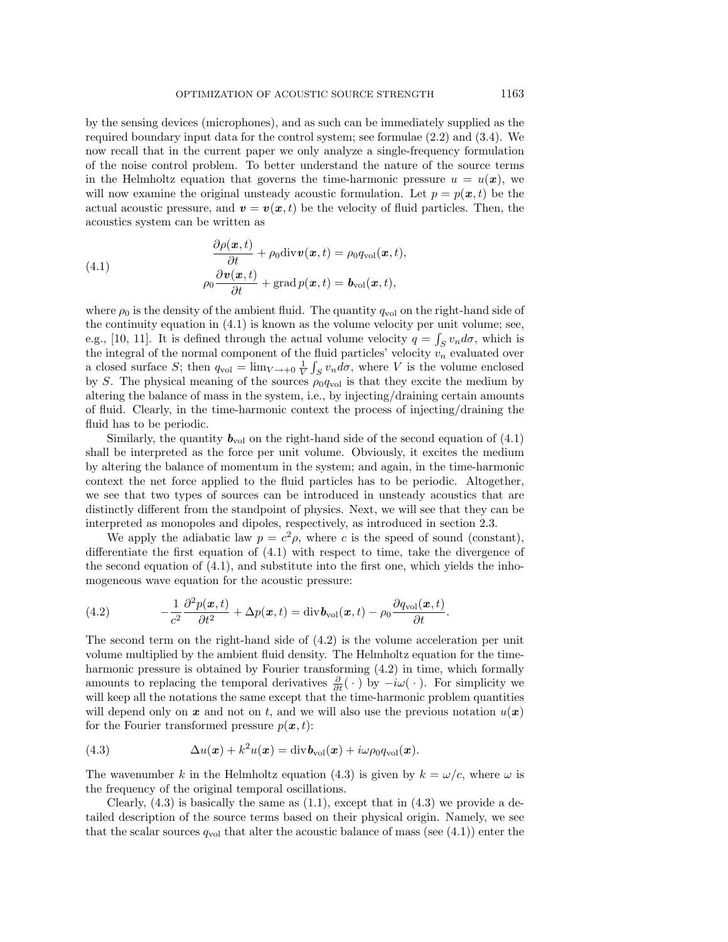by the sensing devices (microphones), and as such can be immediately supplied as the required boundary input data for the control system; see formulae (2.2) and (3.4). We now recall that in the current paper we only analyze a single-frequency formulation of the noise control problem. To better understand the nature of the source terms in the Helmholtz equation that governs the time-harmonic pressure  $u = u(\mathbf{x})$ , we will now examine the original unsteady acoustic formulation. Let  $p = p(\boldsymbol{x}, t)$  be the actual acoustic pressure, and  $v = v(x, t)$  be the velocity of fluid particles. Then, the acoustics system can be written as

(4.1) 
$$
\frac{\partial \rho(\boldsymbol{x},t)}{\partial t} + \rho_0 \text{div} \boldsymbol{v}(\boldsymbol{x},t) = \rho_0 q_{\text{vol}}(\boldsymbol{x},t),
$$

$$
\rho_0 \frac{\partial \boldsymbol{v}(\boldsymbol{x},t)}{\partial t} + \text{grad} \, p(\boldsymbol{x},t) = \boldsymbol{b}_{\text{vol}}(\boldsymbol{x},t),
$$

where  $\rho_0$  is the density of the ambient fluid. The quantity  $q_{\text{vol}}$  on the right-hand side of the continuity equation in (4.1) is known as the volume velocity per unit volume; see, e.g., [10, 11]. It is defined through the actual volume velocity  $q = \int_S v_n d\sigma$ , which is the integral of the normal component of the fluid particles' velocity  $v_n$  evaluated over a closed surface S; then  $q_{\text{vol}} = \lim_{V \to +0} \frac{1}{V} \int_S v_n d\sigma$ , where V is the volume enclosed by S. The physical meaning of the sources  $\rho_0 q_{\text{vol}}$  is that they excite the medium by altering the balance of mass in the system, i.e., by injecting/draining certain amounts of fluid. Clearly, in the time-harmonic context the process of injecting/draining the fluid has to be periodic.

Similarly, the quantity  $b_{\text{vol}}$  on the right-hand side of the second equation of (4.1) shall be interpreted as the force per unit volume. Obviously, it excites the medium by altering the balance of momentum in the system; and again, in the time-harmonic context the net force applied to the fluid particles has to be periodic. Altogether, we see that two types of sources can be introduced in unsteady acoustics that are distinctly different from the standpoint of physics. Next, we will see that they can be interpreted as monopoles and dipoles, respectively, as introduced in section 2.3.

We apply the adiabatic law  $p = c^2 \rho$ , where c is the speed of sound (constant), differentiate the first equation of (4.1) with respect to time, take the divergence of the second equation of (4.1), and substitute into the first one, which yields the inhomogeneous wave equation for the acoustic pressure:

(4.2) 
$$
-\frac{1}{c^2}\frac{\partial^2 p(\boldsymbol{x},t)}{\partial t^2} + \Delta p(\boldsymbol{x},t) = \text{div}\,\boldsymbol{b}_{\text{vol}}(\boldsymbol{x},t) - \rho_0 \frac{\partial q_{\text{vol}}(\boldsymbol{x},t)}{\partial t}.
$$

The second term on the right-hand side of (4.2) is the volume acceleration per unit volume multiplied by the ambient fluid density. The Helmholtz equation for the timeharmonic pressure is obtained by Fourier transforming (4.2) in time, which formally amounts to replacing the temporal derivatives  $\frac{\partial}{\partial t}(\cdot)$  by  $-i\omega(\cdot)$ . For simplicity we will keep all the notations the same except that the time-harmonic problem quantities will depend only on  $x$  and not on t, and we will also use the previous notation  $u(x)$ for the Fourier transformed pressure  $p(x, t)$ :

(4.3) 
$$
\Delta u(\boldsymbol{x}) + k^2 u(\boldsymbol{x}) = \text{div} \boldsymbol{b}_{\text{vol}}(\boldsymbol{x}) + i \omega \rho_0 q_{\text{vol}}(\boldsymbol{x}).
$$

The wavenumber k in the Helmholtz equation (4.3) is given by  $k = \omega/c$ , where  $\omega$  is the frequency of the original temporal oscillations.

Clearly,  $(4.3)$  is basically the same as  $(1.1)$ , except that in  $(4.3)$  we provide a detailed description of the source terms based on their physical origin. Namely, we see that the scalar sources  $q_{\text{vol}}$  that alter the acoustic balance of mass (see (4.1)) enter the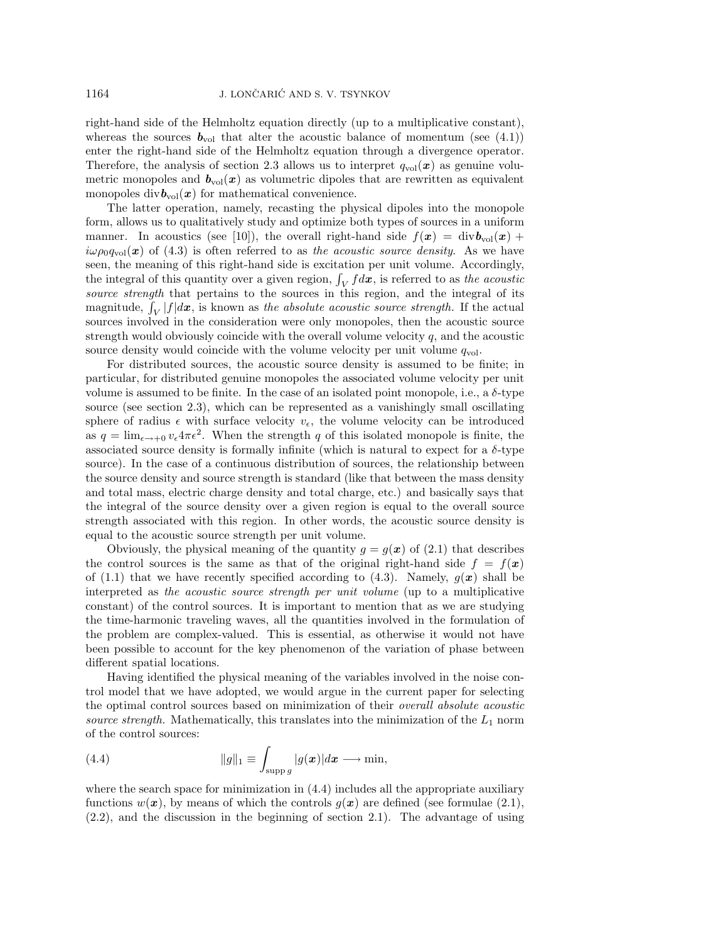right-hand side of the Helmholtz equation directly (up to a multiplicative constant), whereas the sources  $\mathbf{b}_{\text{vol}}$  that alter the acoustic balance of momentum (see (4.1)) enter the right-hand side of the Helmholtz equation through a divergence operator. Therefore, the analysis of section 2.3 allows us to interpret  $q_{\text{vol}}(x)$  as genuine volumetric monopoles and  $b_{\text{vol}}(x)$  as volumetric dipoles that are rewritten as equivalent monopoles  $div \mathbf{b}_{vol}(\mathbf{x})$  for mathematical convenience.

The latter operation, namely, recasting the physical dipoles into the monopole form, allows us to qualitatively study and optimize both types of sources in a uniform manner. In acoustics (see [10]), the overall right-hand side  $f(x) = \text{div} b_{\text{vol}}(x) +$  $i\omega\rho_0q_{\text{vol}}(x)$  of (4.3) is often referred to as the acoustic source density. As we have seen, the meaning of this right-hand side is excitation per unit volume. Accordingly, the integral of this quantity over a given region,  $\int_V f \, dx$ , is referred to as the acoustic source strength that pertains to the sources in this region, and the integral of its magnitude,  $\int_V |f| dx$ , is known as the absolute acoustic source strength. If the actual sources involved in the consideration were only monopoles, then the acoustic source strength would obviously coincide with the overall volume velocity  $q$ , and the acoustic source density would coincide with the volume velocity per unit volume  $q_{\text{vol}}$ .

For distributed sources, the acoustic source density is assumed to be finite; in particular, for distributed genuine monopoles the associated volume velocity per unit volume is assumed to be finite. In the case of an isolated point monopole, i.e., a  $\delta$ -type source (see section 2.3), which can be represented as a vanishingly small oscillating sphere of radius  $\epsilon$  with surface velocity  $v_{\epsilon}$ , the volume velocity can be introduced as  $q = \lim_{\epsilon \to +0} v_{\epsilon} 4\pi \epsilon^2$ . When the strength q of this isolated monopole is finite, the associated source density is formally infinite (which is natural to expect for a  $\delta$ -type source). In the case of a continuous distribution of sources, the relationship between the source density and source strength is standard (like that between the mass density and total mass, electric charge density and total charge, etc.) and basically says that the integral of the source density over a given region is equal to the overall source strength associated with this region. In other words, the acoustic source density is equal to the acoustic source strength per unit volume.

Obviously, the physical meaning of the quantity  $g = g(x)$  of (2.1) that describes the control sources is the same as that of the original right-hand side  $f = f(x)$ of (1.1) that we have recently specified according to (4.3). Namely,  $g(x)$  shall be interpreted as the acoustic source strength per unit volume (up to a multiplicative constant) of the control sources. It is important to mention that as we are studying the time-harmonic traveling waves, all the quantities involved in the formulation of the problem are complex-valued. This is essential, as otherwise it would not have been possible to account for the key phenomenon of the variation of phase between different spatial locations.

Having identified the physical meaning of the variables involved in the noise control model that we have adopted, we would argue in the current paper for selecting the optimal control sources based on minimization of their overall absolute acoustic source strength. Mathematically, this translates into the minimization of the  $L_1$  norm of the control sources:

(4.4) 
$$
\|g\|_1 \equiv \int_{\text{supp }g} |g(\boldsymbol{x})|d\boldsymbol{x} \longrightarrow \min,
$$

where the search space for minimization in  $(4.4)$  includes all the appropriate auxiliary functions  $w(x)$ , by means of which the controls  $g(x)$  are defined (see formulae (2.1), (2.2), and the discussion in the beginning of section 2.1). The advantage of using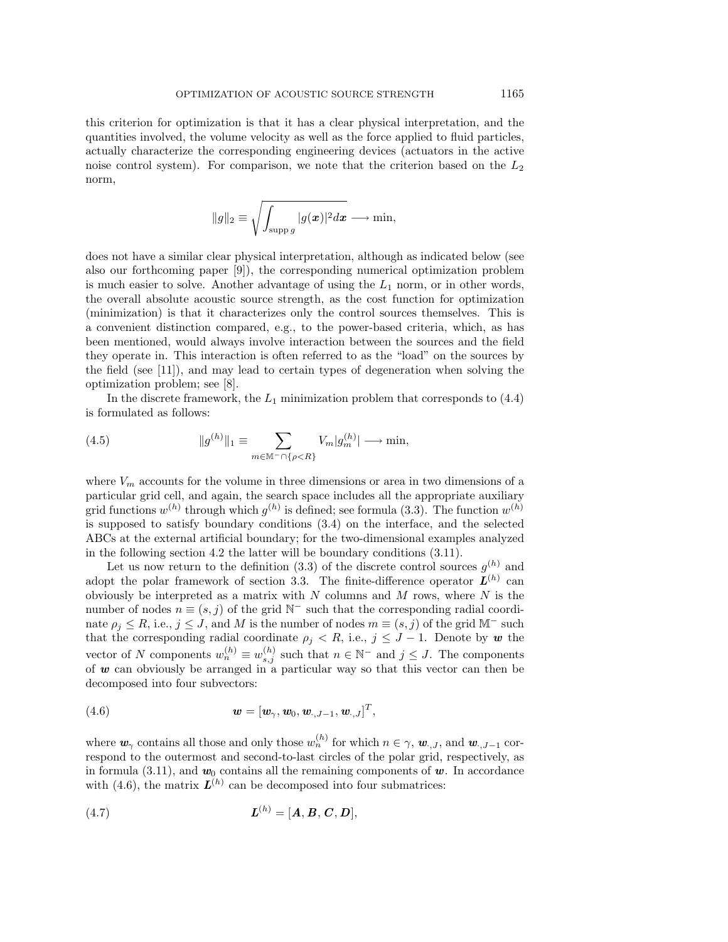this criterion for optimization is that it has a clear physical interpretation, and the quantities involved, the volume velocity as well as the force applied to fluid particles, actually characterize the corresponding engineering devices (actuators in the active noise control system). For comparison, we note that the criterion based on the  $L_2$ norm,

$$
||g||_2 \equiv \sqrt{\int_{\text{supp }g} |g(\boldsymbol{x})|^2 d\boldsymbol{x}} \longrightarrow \min,
$$

does not have a similar clear physical interpretation, although as indicated below (see also our forthcoming paper [9]), the corresponding numerical optimization problem is much easier to solve. Another advantage of using the  $L_1$  norm, or in other words, the overall absolute acoustic source strength, as the cost function for optimization (minimization) is that it characterizes only the control sources themselves. This is a convenient distinction compared, e.g., to the power-based criteria, which, as has been mentioned, would always involve interaction between the sources and the field they operate in. This interaction is often referred to as the "load" on the sources by the field (see [11]), and may lead to certain types of degeneration when solving the optimization problem; see [8].

In the discrete framework, the  $L_1$  minimization problem that corresponds to  $(4.4)$ is formulated as follows:

(4.5) 
$$
||g^{(h)}||_1 \equiv \sum_{m \in \mathbb{M}^- \cap \{\rho < R\}} V_m |g_m^{(h)}| \longrightarrow \min,
$$

where  $V_m$  accounts for the volume in three dimensions or area in two dimensions of a particular grid cell, and again, the search space includes all the appropriate auxiliary grid functions  $w^{(h)}$  through which  $g^{(h)}$  is defined; see formula (3.3). The function  $w^{(h)}$ is supposed to satisfy boundary conditions (3.4) on the interface, and the selected ABCs at the external artificial boundary; for the two-dimensional examples analyzed in the following section 4.2 the latter will be boundary conditions (3.11).

Let us now return to the definition (3.3) of the discrete control sources  $q^{(h)}$  and adopt the polar framework of section 3.3. The finite-difference operator  $L^{(h)}$  can obviously be interpreted as a matrix with  $N$  columns and  $M$  rows, where  $N$  is the number of nodes  $n \equiv (s, j)$  of the grid N<sup>-</sup> such that the corresponding radial coordinate  $\rho_j \leq R$ , i.e.,  $j \leq J$ , and M is the number of nodes  $m \equiv (s, j)$  of the grid M<sup>-</sup> such that the corresponding radial coordinate  $\rho_j < R$ , i.e.,  $j \leq J - 1$ . Denote by *w* the vector of N components  $w_n^{(h)} \equiv w_{s,j}^{(h)}$  such that  $n \in \mathbb{N}^-$  and  $j \leq J$ . The components of *w* can obviously be arranged in a particular way so that this vector can then be decomposed into four subvectors:

$$
\text{(4.6)} \quad \mathbf{w} = [\mathbf{w}_{\gamma}, \mathbf{w}_{0}, \mathbf{w}_{\cdot}, \mathbf{y}_{-1}, \mathbf{w}_{\cdot}, \mathbf{y}]^{T},
$$

where  $w_{\gamma}$  contains all those and only those  $w_n^{(h)}$  for which  $n \in \gamma$ ,  $w_{\gamma}$ , and  $w_{\gamma}$ ,  $j-1$  correspond to the outermost and second-to-last circles of the polar grid, respectively, as in formula  $(3.11)$ , and  $w_0$  contains all the remaining components of  $w$ . In accordance with (4.6), the matrix  $\mathbf{L}^{(h)}$  can be decomposed into four submatrices:

(4.7) 
$$
L^{(h)} = [A, B, C, D],
$$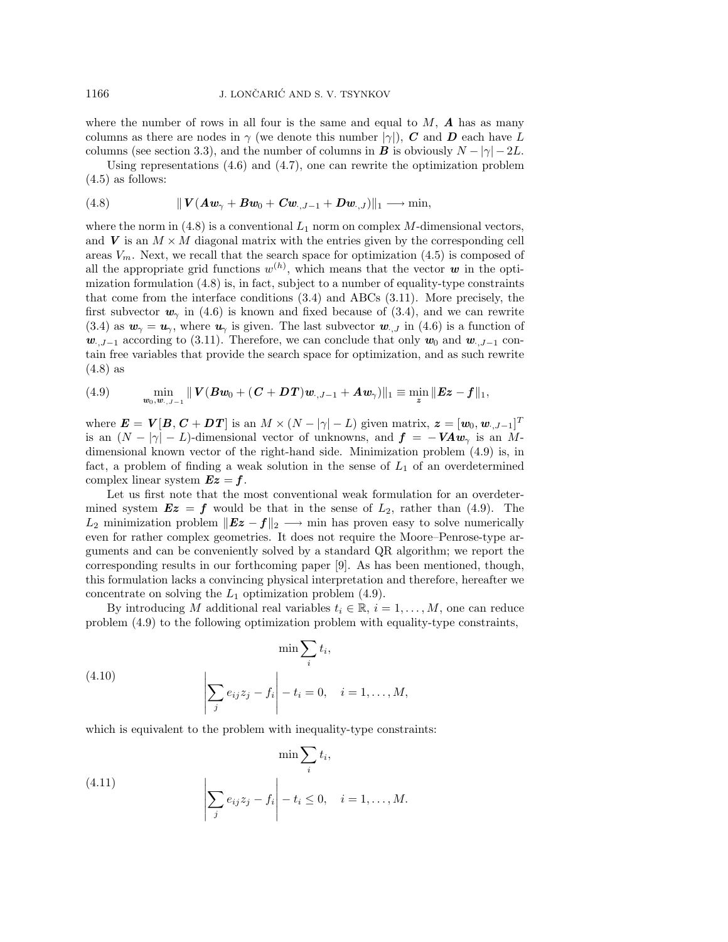where the number of rows in all four is the same and equal to  $M$ ,  $\boldsymbol{A}$  has as many columns as there are nodes in  $\gamma$  (we denote this number  $|\gamma|$ ), *C* and *D* each have L columns (see section 3.3), and the number of columns in *B* is obviously  $N - |\gamma| - 2L$ .

Using representations (4.6) and (4.7), one can rewrite the optimization problem  $(4.5)$  as follows:

(4.8) *V* (*Aw*<sup>γ</sup> + *Bw*<sup>0</sup> + *Cw*·,J−<sup>1</sup> + *Dw*·,J )<sup>1</sup> −→ min,

where the norm in  $(4.8)$  is a conventional  $L_1$  norm on complex M-dimensional vectors, and  $V$  is an  $M \times M$  diagonal matrix with the entries given by the corresponding cell areas  $V_m$ . Next, we recall that the search space for optimization  $(4.5)$  is composed of all the appropriate grid functions  $w^{(h)}$ , which means that the vector  $w$  in the optimization formulation (4.8) is, in fact, subject to a number of equality-type constraints that come from the interface conditions (3.4) and ABCs (3.11). More precisely, the first subvector  $w_{\gamma}$  in (4.6) is known and fixed because of (3.4), and we can rewrite (3.4) as  $w_{\gamma} = u_{\gamma}$ , where  $u_{\gamma}$  is given. The last subvector  $w_{\gamma}$  in (4.6) is a function of  $w_{\cdot,J-1}$  according to (3.11). Therefore, we can conclude that only  $w_0$  and  $w_{\cdot,J-1}$  contain free variables that provide the search space for optimization, and as such rewrite (4.8) as

(4.9) 
$$
\min_{w_0, w_{.,J-1}} \| V(Bw_0 + (C + DT)w_{.,J-1} + Aw_\gamma) \|_1 \equiv \min_z \| Ez - f \|_1,
$$

where  $\boldsymbol{E} = \boldsymbol{V}[\boldsymbol{B}, \boldsymbol{C} + \boldsymbol{D}\boldsymbol{T}]$  is an  $M \times (N - |\gamma| - L)$  given matrix,  $\boldsymbol{z} = [\boldsymbol{w}_0, \boldsymbol{w}_{\cdot, J-1}]^T$ is an  $(N - |\gamma| - L)$ -dimensional vector of unknowns, and  $f = -VAw_{\gamma}$  is an Mdimensional known vector of the right-hand side. Minimization problem (4.9) is, in fact, a problem of finding a weak solution in the sense of  $L_1$  of an overdetermined complex linear system  $\boldsymbol{E} \boldsymbol{z} = \boldsymbol{f}$ .

Let us first note that the most conventional weak formulation for an overdetermined system  $Ez = f$  would be that in the sense of  $L_2$ , rather than (4.9). The  $L_2$  minimization problem  $||\mathbf{E}z - f||_2$  → min has proven easy to solve numerically even for rather complex geometries. It does not require the Moore–Penrose-type arguments and can be conveniently solved by a standard QR algorithm; we report the corresponding results in our forthcoming paper [9]. As has been mentioned, though, this formulation lacks a convincing physical interpretation and therefore, hereafter we concentrate on solving the  $L_1$  optimization problem (4.9).

By introducing M additional real variables  $t_i \in \mathbb{R}$ ,  $i = 1, \ldots, M$ , one can reduce problem (4.9) to the following optimization problem with equality-type constraints,

(4.10) 
$$
\left|\sum_{j} e_{ij} z_j - f_i\right| - t_i = 0, \quad i = 1, \dots, M,
$$

which is equivalent to the problem with inequality-type constraints:

(4.11) 
$$
\left|\sum_{j} e_{ij} z_{j} - f_{i}\right| - t_{i} \leq 0, \quad i = 1, ..., M.
$$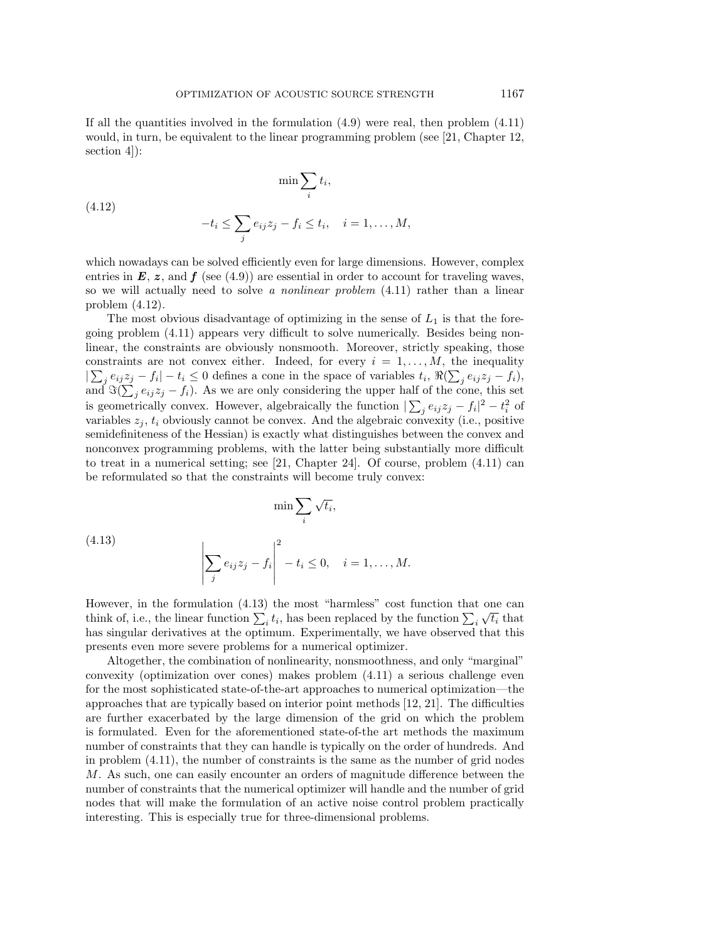If all the quantities involved in the formulation  $(4.9)$  were real, then problem  $(4.11)$ would, in turn, be equivalent to the linear programming problem (see [21, Chapter 12, section 4]):

$$
\min \sum_{i} t_i,
$$
\n
$$
(4.12) \qquad \qquad -t_i \le \sum_{j} e_{ij} z_j - f_i \le t_i, \quad i = 1, \dots, M,
$$

which nowadays can be solved efficiently even for large dimensions. However, complex entries in  $\bm{E}$ ,  $\bm{z}$ , and  $\bm{f}$  (see (4.9)) are essential in order to account for traveling waves, so we will actually need to solve a nonlinear problem  $(4.11)$  rather than a linear problem (4.12).

The most obvious disadvantage of optimizing in the sense of  $L_1$  is that the foregoing problem (4.11) appears very difficult to solve numerically. Besides being nonlinear, the constraints are obviously nonsmooth. Moreover, strictly speaking, those constraints are not convex either. Indeed, for every  $i = 1, \ldots, M$ , the inequality  $|\sum_j e_{ij}z_j - f_i| - t_i \leq 0$  defines a cone in the space of variables  $t_i$ ,  $\Re(\sum_j e_{ij}z_j - f_i)$ , and  $\Im(\sum_j e_{ij} z_j - f_i)$ . As we are only considering the upper half of the cone, this set is geometrically convex. However, algebraically the function  $\sum_j e_{ij}z_j - f_i|^2 - t_i^2$  of variables  $z_i$ ,  $t_i$  obviously cannot be convex. And the algebraic convexity (i.e., positive semidefiniteness of the Hessian) is exactly what distinguishes between the convex and nonconvex programming problems, with the latter being substantially more difficult to treat in a numerical setting; see [21, Chapter 24]. Of course, problem (4.11) can be reformulated so that the constraints will become truly convex:

(4.13)  
\n
$$
\min \sum_{i} \sqrt{t_i},
$$
\n
$$
\left| \sum_{j} e_{ij} z_j - f_i \right|^2 - t_i \le 0, \quad i = 1, \dots, M.
$$

However, in the formulation (4.13) the most "harmless" cost function that one can Thowever, in the formulation (4.13) the most harmless cost function that one can<br>think of, i.e., the linear function  $\sum_i t_i$ , has been replaced by the function  $\sum_i \sqrt{t_i}$  that has singular derivatives at the optimum. Experimentally, we have observed that this presents even more severe problems for a numerical optimizer.

Altogether, the combination of nonlinearity, nonsmoothness, and only "marginal" convexity (optimization over cones) makes problem (4.11) a serious challenge even for the most sophisticated state-of-the-art approaches to numerical optimization—the approaches that are typically based on interior point methods [12, 21]. The difficulties are further exacerbated by the large dimension of the grid on which the problem is formulated. Even for the aforementioned state-of-the art methods the maximum number of constraints that they can handle is typically on the order of hundreds. And in problem (4.11), the number of constraints is the same as the number of grid nodes M. As such, one can easily encounter an orders of magnitude difference between the number of constraints that the numerical optimizer will handle and the number of grid nodes that will make the formulation of an active noise control problem practically interesting. This is especially true for three-dimensional problems.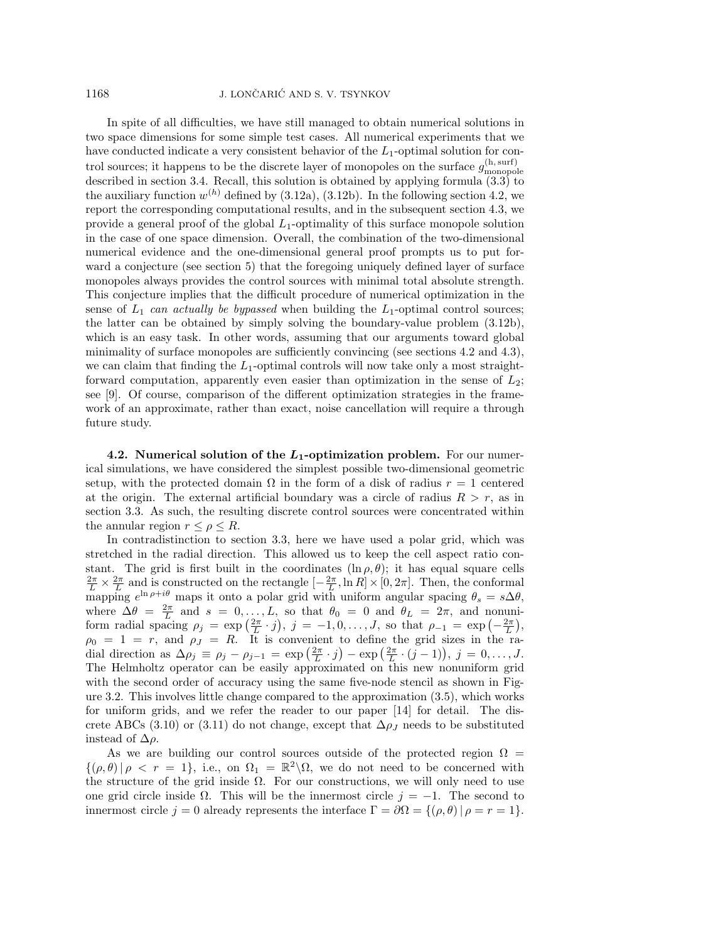In spite of all difficulties, we have still managed to obtain numerical solutions in two space dimensions for some simple test cases. All numerical experiments that we have conducted indicate a very consistent behavior of the  $L_1$ -optimal solution for control sources; it happens to be the discrete layer of monopoles on the surface  $g_{\text{mono}}^{(h,\text{surf})}$ monopole described in section 3.4. Recall, this solution is obtained by applying formula  $(3.3)$  to the auxiliary function  $w^{(h)}$  defined by (3.12a), (3.12b). In the following section 4.2, we report the corresponding computational results, and in the subsequent section 4.3, we provide a general proof of the global  $L_1$ -optimality of this surface monopole solution in the case of one space dimension. Overall, the combination of the two-dimensional numerical evidence and the one-dimensional general proof prompts us to put forward a conjecture (see section 5) that the foregoing uniquely defined layer of surface monopoles always provides the control sources with minimal total absolute strength. This conjecture implies that the difficult procedure of numerical optimization in the sense of  $L_1$  can actually be bypassed when building the  $L_1$ -optimal control sources; the latter can be obtained by simply solving the boundary-value problem (3.12b), which is an easy task. In other words, assuming that our arguments toward global minimality of surface monopoles are sufficiently convincing (see sections 4.2 and 4.3), we can claim that finding the  $L_1$ -optimal controls will now take only a most straightforward computation, apparently even easier than optimization in the sense of  $L_2$ ; see [9]. Of course, comparison of the different optimization strategies in the framework of an approximate, rather than exact, noise cancellation will require a through future study.

**4.2. Numerical solution of the L<sub>1</sub>-optimization problem.** For our numerical simulations, we have considered the simplest possible two-dimensional geometric setup, with the protected domain  $\Omega$  in the form of a disk of radius  $r = 1$  centered at the origin. The external artificial boundary was a circle of radius  $R>r$ , as in section 3.3. As such, the resulting discrete control sources were concentrated within the annular region  $r \leq \rho \leq R$ .

In contradistinction to section 3.3, here we have used a polar grid, which was stretched in the radial direction. This allowed us to keep the cell aspect ratio constant. The grid is first built in the coordinates  $(\ln \rho, \theta)$ ; it has equal square cells  $\frac{2\pi}{L} \times \frac{2\pi}{L}$  and is constructed on the rectangle  $\left[-\frac{2\pi}{L}, \ln R\right] \times [0, 2\pi]$ . Then, the conformal mapping  $e^{\ln \rho + i\theta}$  maps it onto a polar grid with uniform angular spacing  $\theta_s = s\Delta\theta$ , where  $\Delta\theta = \frac{2\pi}{L}$  and  $s = 0, \ldots, L$ , so that  $\theta_0 = 0$  and  $\theta_L = 2\pi$ , and nonuniform radial spacing  $\rho_j = \exp\left(\frac{2\pi}{L} \cdot j\right), j = -1, 0, \ldots, J$ , so that  $\rho_{-1} = \exp\left(-\frac{2\pi}{L}\right)$ ,  $\rho_0 = 1 = r$ , and  $\rho_J = R$ . It is convenient to define the grid sizes in the radial direction as  $\Delta \rho_j \equiv \rho_j - \rho_{j-1} = \exp\left(\frac{2\pi}{L} \cdot j\right) - \exp\left(\frac{2\pi}{L} \cdot (j-1)\right), j = 0, \ldots, J.$ The Helmholtz operator can be easily approximated on this new nonuniform grid with the second order of accuracy using the same five-node stencil as shown in Figure 3.2. This involves little change compared to the approximation (3.5), which works for uniform grids, and we refer the reader to our paper [14] for detail. The discrete ABCs (3.10) or (3.11) do not change, except that  $\Delta \rho_J$  needs to be substituted instead of  $\Delta \rho$ .

As we are building our control sources outside of the protected region  $\Omega =$  ${(\rho, \theta) | \rho < r = 1}, i.e., \text{ on } \Omega_1 = \mathbb{R}^2 \backslash \Omega$ , we do not need to be concerned with the structure of the grid inside  $\Omega$ . For our constructions, we will only need to use one grid circle inside  $\Omega$ . This will be the innermost circle  $j = -1$ . The second to innermost circle  $j = 0$  already represents the interface  $\Gamma = \partial \Omega = \{(\rho, \theta) | \rho = r = 1\}.$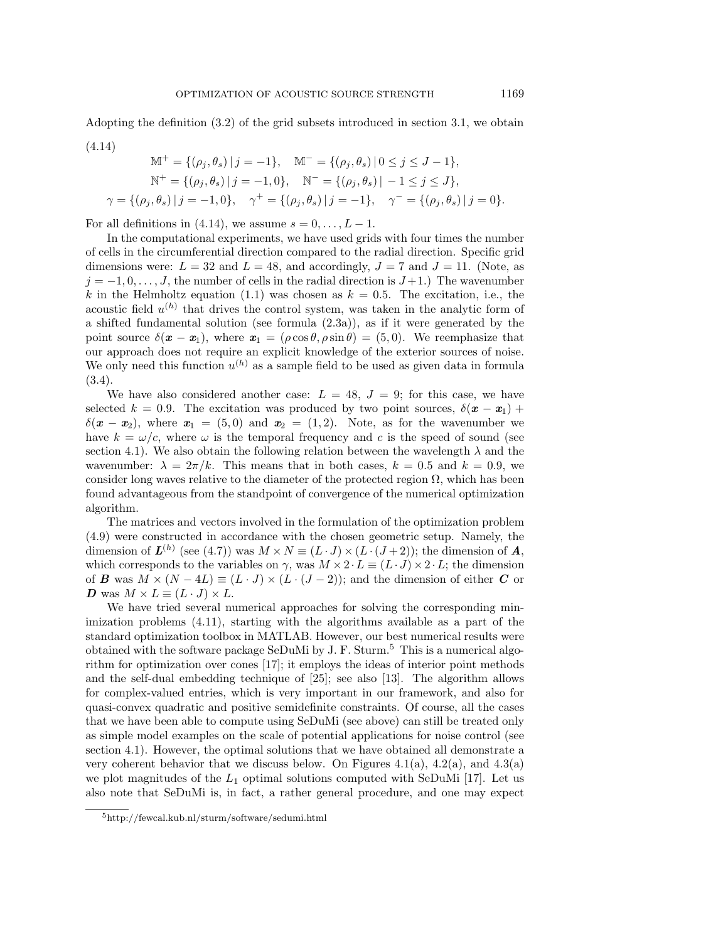Adopting the definition (3.2) of the grid subsets introduced in section 3.1, we obtain

(4.14)

$$
\mathbb{M}^+ = \{ (\rho_j, \theta_s) \mid j = -1 \}, \quad \mathbb{M}^- = \{ (\rho_j, \theta_s) \mid 0 \le j \le J - 1 \},
$$
  

$$
\mathbb{N}^+ = \{ (\rho_j, \theta_s) \mid j = -1, 0 \}, \quad \mathbb{N}^- = \{ (\rho_j, \theta_s) \mid -1 \le j \le J \},
$$
  

$$
\gamma = \{ (\rho_j, \theta_s) \mid j = -1, 0 \}, \quad \gamma^+ = \{ (\rho_j, \theta_s) \mid j = -1 \}, \quad \gamma^- = \{ (\rho_j, \theta_s) \mid j = 0 \}.
$$

For all definitions in (4.14), we assume  $s = 0, \ldots, L - 1$ .

In the computational experiments, we have used grids with four times the number of cells in the circumferential direction compared to the radial direction. Specific grid dimensions were:  $L = 32$  and  $L = 48$ , and accordingly,  $J = 7$  and  $J = 11$ . (Note, as  $j = -1, 0, \ldots, J$ , the number of cells in the radial direction is  $J+1$ .) The wavenumber k in the Helmholtz equation (1.1) was chosen as  $k = 0.5$ . The excitation, i.e., the acoustic field  $u^{(h)}$  that drives the control system, was taken in the analytic form of a shifted fundamental solution (see formula (2.3a)), as if it were generated by the point source  $\delta(\mathbf{x} - \mathbf{x}_1)$ , where  $\mathbf{x}_1 = (\rho \cos \theta, \rho \sin \theta) = (5, 0)$ . We reemphasize that our approach does not require an explicit knowledge of the exterior sources of noise. We only need this function  $u^{(h)}$  as a sample field to be used as given data in formula (3.4).

We have also considered another case:  $L = 48$ ,  $J = 9$ ; for this case, we have selected  $k = 0.9$ . The excitation was produced by two point sources,  $\delta(\mathbf{x} - \mathbf{x}_1)$  +  $\delta(\mathbf{x} - \mathbf{x}_2)$ , where  $\mathbf{x}_1 = (5, 0)$  and  $\mathbf{x}_2 = (1, 2)$ . Note, as for the wavenumber we have  $k = \omega/c$ , where  $\omega$  is the temporal frequency and c is the speed of sound (see section 4.1). We also obtain the following relation between the wavelength  $\lambda$  and the wavenumber:  $\lambda = 2\pi/k$ . This means that in both cases,  $k = 0.5$  and  $k = 0.9$ , we consider long waves relative to the diameter of the protected region  $\Omega$ , which has been found advantageous from the standpoint of convergence of the numerical optimization algorithm.

The matrices and vectors involved in the formulation of the optimization problem (4.9) were constructed in accordance with the chosen geometric setup. Namely, the dimension of  $\mathbf{L}^{(h)}$  (see (4.7)) was  $M \times N \equiv (L \cdot J) \times (L \cdot (J + 2))$ ; the dimension of **A**, which corresponds to the variables on  $\gamma$ , was  $M \times 2 \cdot L \equiv (L \cdot J) \times 2 \cdot L$ ; the dimension of *B* was  $M \times (N - 4L) \equiv (L \cdot J) \times (L \cdot (J - 2))$ ; and the dimension of either *C* or *D* was  $M \times L \equiv (L \cdot J) \times L$ .

We have tried several numerical approaches for solving the corresponding minimization problems (4.11), starting with the algorithms available as a part of the standard optimization toolbox in MATLAB. However, our best numerical results were obtained with the software package SeDuMi by J. F. Sturm.<sup>5</sup> This is a numerical algorithm for optimization over cones [17]; it employs the ideas of interior point methods and the self-dual embedding technique of [25]; see also [13]. The algorithm allows for complex-valued entries, which is very important in our framework, and also for quasi-convex quadratic and positive semidefinite constraints. Of course, all the cases that we have been able to compute using SeDuMi (see above) can still be treated only as simple model examples on the scale of potential applications for noise control (see section 4.1). However, the optimal solutions that we have obtained all demonstrate a very coherent behavior that we discuss below. On Figures  $4.1(a)$ ,  $4.2(a)$ , and  $4.3(a)$ we plot magnitudes of the  $L_1$  optimal solutions computed with SeDuMi [17]. Let us also note that SeDuMi is, in fact, a rather general procedure, and one may expect

<sup>5</sup>http://fewcal.kub.nl/sturm/software/sedumi.html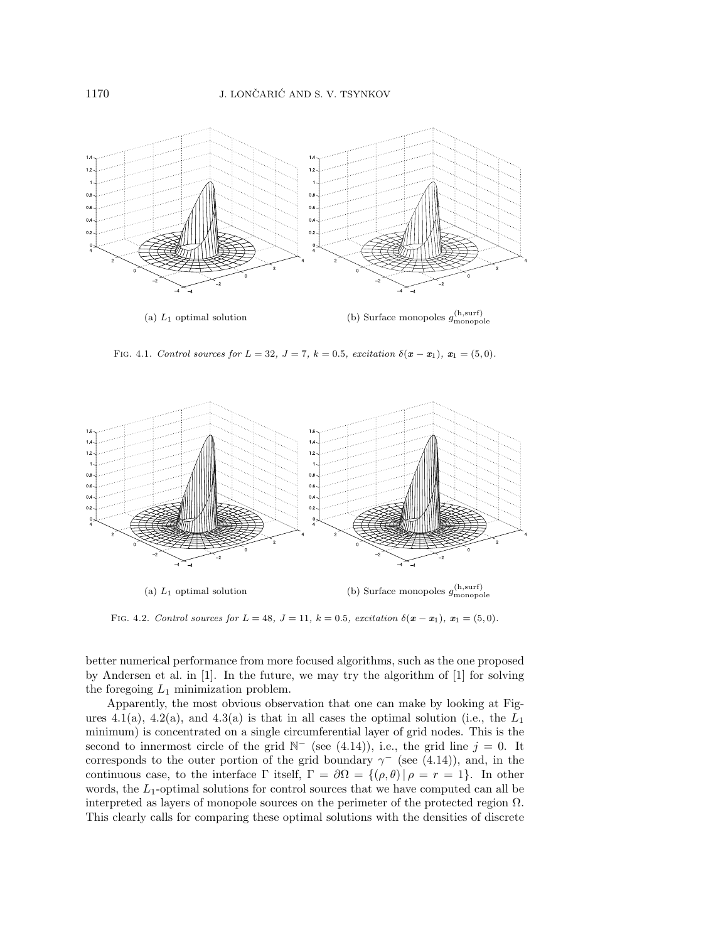

FIG. 4.1. Control sources for  $L = 32$ ,  $J = 7$ ,  $k = 0.5$ , excitation  $\delta(x - x_1)$ ,  $x_1 = (5, 0)$ .



FIG. 4.2. Control sources for  $L = 48$ ,  $J = 11$ ,  $k = 0.5$ , excitation  $\delta(x - x_1)$ ,  $x_1 = (5, 0)$ .

better numerical performance from more focused algorithms, such as the one proposed by Andersen et al. in [1]. In the future, we may try the algorithm of [1] for solving the foregoing  $L_1$  minimization problem.

Apparently, the most obvious observation that one can make by looking at Figures 4.1(a), 4.2(a), and 4.3(a) is that in all cases the optimal solution (i.e., the  $L_1$ minimum) is concentrated on a single circumferential layer of grid nodes. This is the second to innermost circle of the grid  $\mathbb{N}^-$  (see (4.14)), i.e., the grid line  $j = 0$ . It corresponds to the outer portion of the grid boundary  $\gamma^-$  (see (4.14)), and, in the continuous case, to the interface  $\Gamma$  itself,  $\Gamma = \partial \Omega = \{(\rho, \theta) | \rho = r = 1\}$ . In other words, the  $L_1$ -optimal solutions for control sources that we have computed can all be interpreted as layers of monopole sources on the perimeter of the protected region  $\Omega$ . This clearly calls for comparing these optimal solutions with the densities of discrete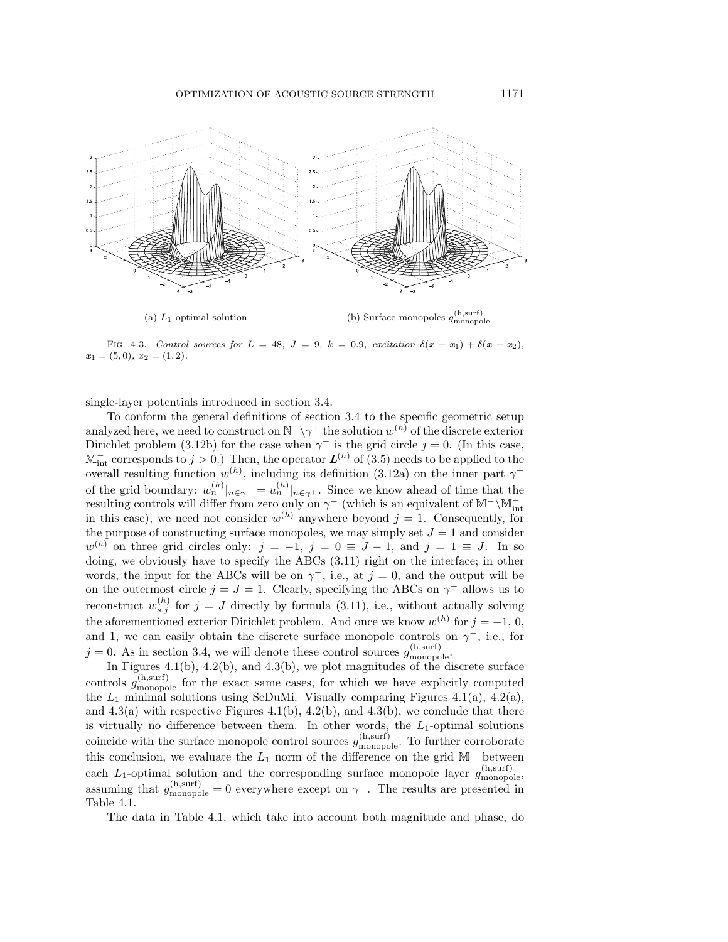

FIG. 4.3. Control sources for  $L = 48$ ,  $J = 9$ ,  $k = 0.9$ , excitation  $\delta(x - x_1) + \delta(x - x_2)$ ,  $x_1 = (5,0), x_2 = (1,2).$ 

single-layer potentials introduced in section 3.4.

To conform the general definitions of section 3.4 to the specific geometric setup analyzed here, we need to construct on  $N^-\setminus \gamma^+$  the solution  $w^{(h)}$  of the discrete exterior Dirichlet problem (3.12b) for the case when  $\gamma^-$  is the grid circle  $j = 0$ . (In this case,  $\mathbb{M}_{\text{int}}^{-}$  corresponds to  $j > 0$ .) Then, the operator  $\mathbf{L}^{(h)}$  of (3.5) needs to be applied to the overall resulting function  $w^{(h)}$ , including its definition (3.12a) on the inner part  $\gamma^+$ of the grid boundary:  $w_n^{(h)}|_{n \in \gamma^+} = u_n^{(h)}|_{n \in \gamma^+}$ . Since we know ahead of time that the resulting controls will differ from zero only on  $\gamma^-$  (which is an equivalent of M<sup>-</sup>\M<sup>-</sup><sub>int</sub> in this case), we need not consider  $w^{(h)}$  anywhere beyond  $j = 1$ . Consequently, for the purpose of constructing surface monopoles, we may simply set  $J = 1$  and consider  $w^{(h)}$  on three grid circles only:  $j = -1$ ,  $j = 0 \equiv J - 1$ , and  $j = 1 \equiv J$ . In so doing, we obviously have to specify the ABCs (3.11) right on the interface; in other words, the input for the ABCs will be on  $\gamma^-$ , i.e., at  $j = 0$ , and the output will be on the outermost circle  $j = J = 1$ . Clearly, specifying the ABCs on  $\gamma$ <sup>-</sup> allows us to reconstruct  $w_{s,j}^{(h)}$  for  $j = J$  directly by formula (3.11), i.e., without actually solving the aforementioned exterior Dirichlet problem. And once we know  $w^{(h)}$  for  $j = -1, 0$ , and 1, we can easily obtain the discrete surface monopole controls on  $\gamma^-$ , i.e., for  $j = 0$ . As in section 3.4, we will denote these control sources  $g_{\text{monopole}}^{(h,\text{surf})}$ .

In Figures 4.1(b), 4.2(b), and 4.3(b), we plot magnitudes of the discrete surface controls  $g_{\text{monopole}}^{(h,\text{surf})}$  for the exact same cases, for which we have explicitly computed the  $L_1$  minimal solutions using SeDuMi. Visually comparing Figures 4.1(a), 4.2(a), and  $4.3(a)$  with respective Figures  $4.1(b)$ ,  $4.2(b)$ , and  $4.3(b)$ , we conclude that there is virtually no difference between them. In other words, the  $L_1$ -optimal solutions coincide with the surface monopole control sources  $g_{\text{monopole}}^{(h,\text{surf})}$ . To further corroborate this conclusion, we evaluate the  $L_1$  norm of the difference on the grid M<sup>-</sup> between each  $L_1$ -optimal solution and the corresponding surface monopole layer  $g_{\text{monopole}}^{(h,\text{surf})}$ assuming that  $g_{\text{monopole}}^{(h,surf)} = 0$  everywhere except on  $\gamma^-$ . The results are presented in Table 4.1.

The data in Table 4.1, which take into account both magnitude and phase, do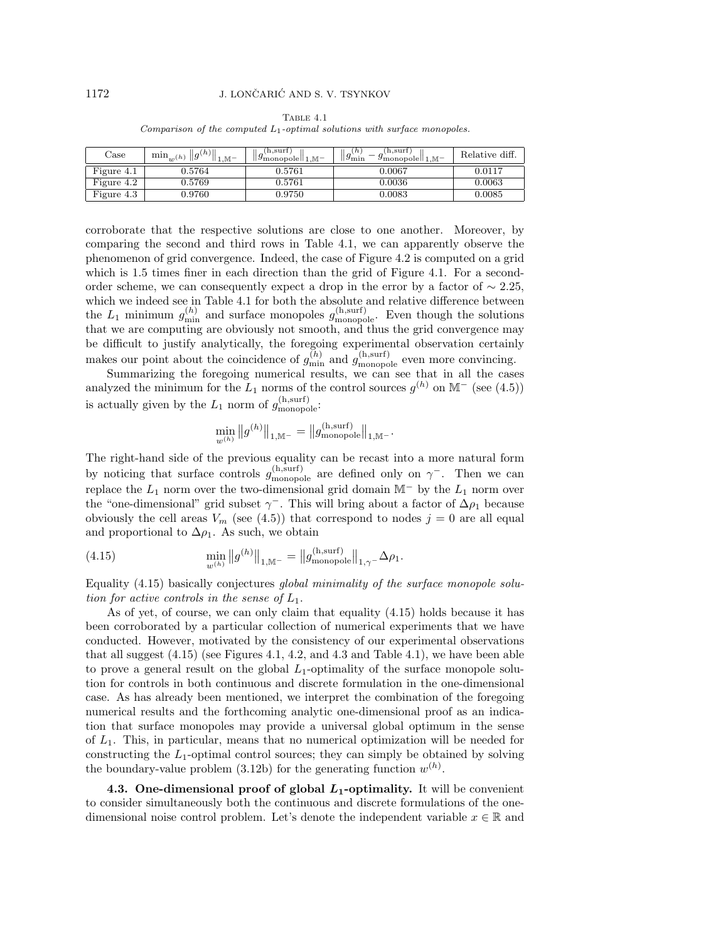| $\rm Case$ | $\ g^{(h)\perp}\ $<br>$\min_{u \in (h)}$<br>$1.M^-$ | (h.surf<br>⊪"monopole    1,M= | (h.surf<br>$ g_{\min}^{(h)} $<br>$\sigma$ monopole    1.M= | Relative diff. |
|------------|-----------------------------------------------------|-------------------------------|------------------------------------------------------------|----------------|
| Figure 4.1 | 0.5764                                              | 0.5761                        | 0.0067                                                     | 0.0117         |
| Figure 4.2 | 0.5769                                              | 0.5761                        | 0.0036                                                     | 0.0063         |
| Figure 4.3 | 0.9760                                              | 0.9750                        | 0.0083                                                     | 0.0085         |

Table 4.1 Comparison of the computed  $L_1$ -optimal solutions with surface monopoles.

corroborate that the respective solutions are close to one another. Moreover, by comparing the second and third rows in Table 4.1, we can apparently observe the phenomenon of grid convergence. Indeed, the case of Figure 4.2 is computed on a grid which is 1.5 times finer in each direction than the grid of Figure 4.1. For a secondorder scheme, we can consequently expect a drop in the error by a factor of  $\sim 2.25$ , which we indeed see in Table 4.1 for both the absolute and relative difference between the  $L_1$  minimum  $g_{\min}^{(h)}$  and surface monopoles  $g_{\text{monopole}}^{(h,\text{surf})}$ . Even though the solutions that we are computing are obviously not smooth, and thus the grid convergence may be difficult to justify analytically, the foregoing experimental observation certainly makes our point about the coincidence of  $g_{\min}^{(h)}$  and  $g_{\text{monopole}}^{(h,\text{surf})}$  even more convincing.

Summarizing the foregoing numerical results, we can see that in all the cases analyzed the minimum for the  $L_1$  norms of the control sources  $g^{(h)}$  on  $\mathbb{M}^-$  (see (4.5)) is actually given by the  $L_1$  norm of  $g_{\text{monopole}}^{(h,\text{surf})}$ :

$$
\min_{w^{(h)}}\left\|g^{(h)}\right\|_{1,\mathbb{M}^-}=\left\|g^{\textup{(h,surf)}}_{\textup{monopole}}\right\|_{1,\mathbb{M}^-}.
$$

The right-hand side of the previous equality can be recast into a more natural form by noticing that surface controls  $g_{\text{monopole}}^{(h,\text{surf})}$  are defined only on  $\gamma^-$ . Then we can replace the  $L_1$  norm over the two-dimensional grid domain M<sup>−</sup> by the  $L_1$  norm over the "one-dimensional" grid subset  $\gamma^-$ . This will bring about a factor of  $\Delta \rho_1$  because obviously the cell areas  $V_m$  (see (4.5)) that correspond to nodes  $j = 0$  are all equal and proportional to  $\Delta \rho_1$ . As such, we obtain

(4.15) 
$$
\min_{w^{(h)}} \|g^{(h)}\|_{1,\mathbb{M}^{-}} = \|g^{(\rm h, surf)}_{\rm monopole}\|_{1,\gamma^{-}} \Delta \rho_1.
$$

Equality (4.15) basically conjectures global minimality of the surface monopole solution for active controls in the sense of  $L_1$ .

As of yet, of course, we can only claim that equality (4.15) holds because it has been corroborated by a particular collection of numerical experiments that we have conducted. However, motivated by the consistency of our experimental observations that all suggest  $(4.15)$  (see Figures 4.1, 4.2, and 4.3 and Table 4.1), we have been able to prove a general result on the global  $L_1$ -optimality of the surface monopole solution for controls in both continuous and discrete formulation in the one-dimensional case. As has already been mentioned, we interpret the combination of the foregoing numerical results and the forthcoming analytic one-dimensional proof as an indication that surface monopoles may provide a universal global optimum in the sense of  $L_1$ . This, in particular, means that no numerical optimization will be needed for constructing the  $L_1$ -optimal control sources; they can simply be obtained by solving the boundary-value problem  $(3.12b)$  for the generating function  $w^{(h)}$ .

**4.3. One-dimensional proof of global**  $L_1$ **-optimality.** It will be convenient to consider simultaneously both the continuous and discrete formulations of the onedimensional noise control problem. Let's denote the independent variable  $x \in \mathbb{R}$  and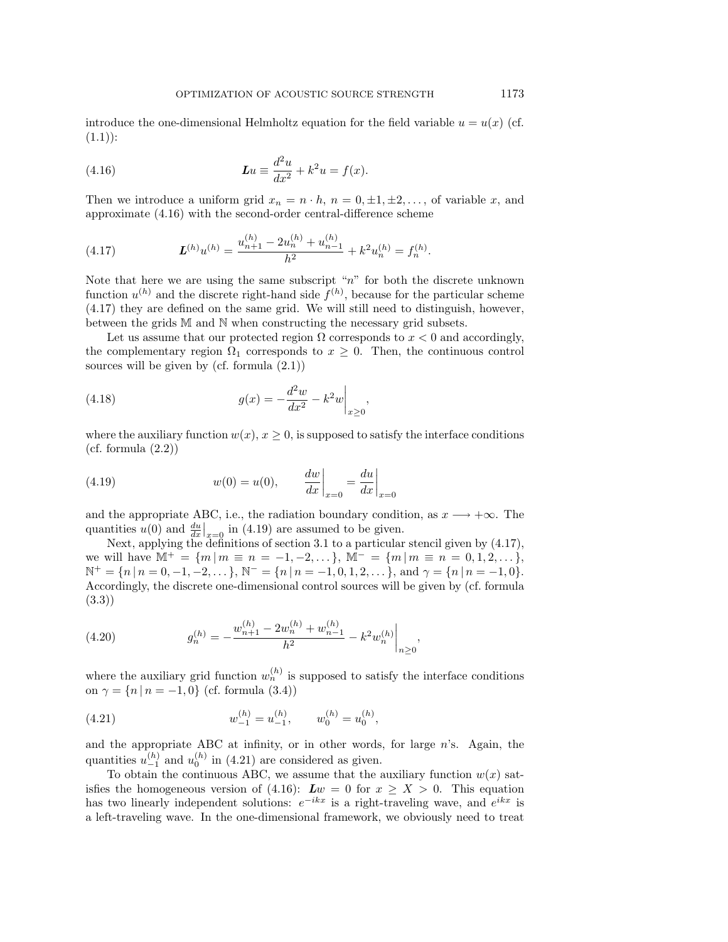introduce the one-dimensional Helmholtz equation for the field variable  $u = u(x)$  (cf.  $(1.1)$ :

(4.16) 
$$
\mathbf{L}u \equiv \frac{d^2u}{dx^2} + k^2u = f(x).
$$

Then we introduce a uniform grid  $x_n = n \cdot h$ ,  $n = 0, \pm 1, \pm 2, \ldots$ , of variable x, and approximate (4.16) with the second-order central-difference scheme

(4.17) 
$$
\mathbf{L}^{(h)}u^{(h)} = \frac{u_{n+1}^{(h)} - 2u_n^{(h)} + u_{n-1}^{(h)}}{h^2} + k^2 u_n^{(h)} = f_n^{(h)}.
$$

Note that here we are using the same subscript " $n$ " for both the discrete unknown function  $u^{(h)}$  and the discrete right-hand side  $f^{(h)}$ , because for the particular scheme (4.17) they are defined on the same grid. We will still need to distinguish, however, between the grids M and N when constructing the necessary grid subsets.

Let us assume that our protected region  $\Omega$  corresponds to  $x < 0$  and accordingly, the complementary region  $\Omega_1$  corresponds to  $x \geq 0$ . Then, the continuous control sources will be given by  $(cf. formula (2.1))$ 

(4.18) 
$$
g(x) = -\frac{d^2w}{dx^2} - k^2w\Big|_{x\geq 0},
$$

where the auxiliary function  $w(x)$ ,  $x \geq 0$ , is supposed to satisfy the interface conditions  $(cf. formula (2.2))$ 

(4.19) 
$$
w(0) = u(0), \qquad \frac{dw}{dx}\bigg|_{x=0} = \frac{du}{dx}\bigg|_{x=0}
$$

and the appropriate ABC, i.e., the radiation boundary condition, as  $x \rightarrow +\infty$ . The quantities  $u(0)$  and  $\frac{du}{dx}\Big|_{x=0}$  in (4.19) are assumed to be given.

Next, applying the definitions of section 3.1 to a particular stencil given by (4.17), we will have  $\mathbb{M}^+ = \{m \mid m \equiv n = -1, -2, \dots\}$ ,  $\mathbb{M}^- = \{m \mid m \equiv n = 0, 1, 2, \dots\}$ ,  $\mathbb{N}^+ = \{n \mid n = 0, -1, -2, \dots\}, \mathbb{N}^- = \{n \mid n = -1, 0, 1, 2, \dots\}, \text{ and } \gamma = \{n \mid n = -1, 0\}.$ Accordingly, the discrete one-dimensional control sources will be given by (cf. formula (3.3))

(4.20) 
$$
g_n^{(h)} = -\frac{w_{n+1}^{(h)} - 2w_n^{(h)} + w_{n-1}^{(h)}}{h^2} - k^2 w_n^{(h)}\bigg|_{n \ge 0},
$$

where the auxiliary grid function  $w_n^{(h)}$  is supposed to satisfy the interface conditions on  $\gamma = \{n \mid n = -1, 0\}$  (cf. formula (3.4))

(4.21) 
$$
w_{-1}^{(h)} = u_{-1}^{(h)}, \qquad w_0^{(h)} = u_0^{(h)},
$$

and the appropriate ABC at infinity, or in other words, for large  $n$ 's. Again, the quantities  $u_{-1}^{(h)}$  and  $u_0^{(h)}$  in (4.21) are considered as given.

To obtain the continuous ABC, we assume that the auxiliary function  $w(x)$  satisfies the homogeneous version of (4.16):  $Lw = 0$  for  $x \ge X > 0$ . This equation has two linearly independent solutions:  $e^{-ikx}$  is a right-traveling wave, and  $e^{ikx}$  is a left-traveling wave. In the one-dimensional framework, we obviously need to treat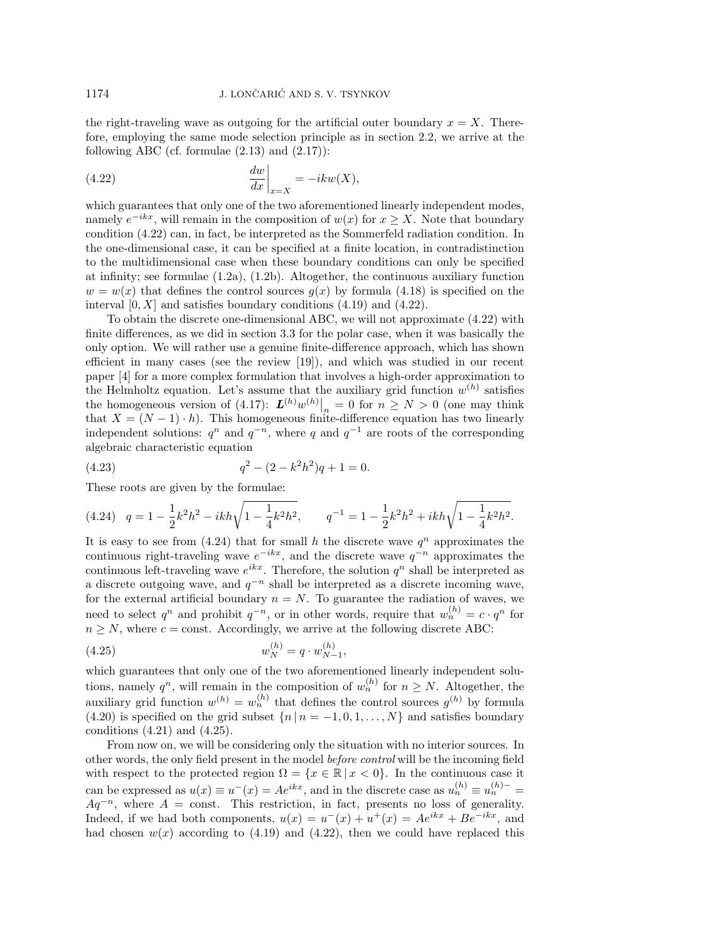the right-traveling wave as outgoing for the artificial outer boundary  $x = X$ . Therefore, employing the same mode selection principle as in section 2.2, we arrive at the following ABC (cf. formulae  $(2.13)$  and  $(2.17)$ ):

(4.22) 
$$
\left. \frac{dw}{dx} \right|_{x=X} = -ikw(X),
$$

which guarantees that only one of the two aforementioned linearly independent modes, namely  $e^{-ikx}$ , will remain in the composition of  $w(x)$  for  $x \geq X$ . Note that boundary condition (4.22) can, in fact, be interpreted as the Sommerfeld radiation condition. In the one-dimensional case, it can be specified at a finite location, in contradistinction to the multidimensional case when these boundary conditions can only be specified at infinity; see formulae (1.2a), (1.2b). Altogether, the continuous auxiliary function  $w = w(x)$  that defines the control sources  $g(x)$  by formula (4.18) is specified on the interval  $[0, X]$  and satisfies boundary conditions  $(4.19)$  and  $(4.22)$ .

To obtain the discrete one-dimensional ABC, we will not approximate (4.22) with finite differences, as we did in section 3.3 for the polar case, when it was basically the only option. We will rather use a genuine finite-difference approach, which has shown efficient in many cases (see the review [19]), and which was studied in our recent paper [4] for a more complex formulation that involves a high-order approximation to the Helmholtz equation. Let's assume that the auxiliary grid function  $w^{(h)}$  satisfies the homogeneous version of (4.17):  $\mathbf{L}^{(h)}w^{(h)}\big|_{n} = 0$  for  $n \geq N > 0$  (one may think that  $X = (N-1) \cdot h$ . This homogeneous finite-difference equation has two linearly independent solutions:  $q^n$  and  $q^{-n}$ , where q and  $q^{-1}$  are roots of the corresponding algebraic characteristic equation

(4.23) 
$$
q^2 - (2 - k^2 h^2)q + 1 = 0.
$$

These roots are given by the formulae:

$$
(4.24) \quad q = 1 - \frac{1}{2}k^2h^2 - ikh\sqrt{1 - \frac{1}{4}k^2h^2}, \qquad q^{-1} = 1 - \frac{1}{2}k^2h^2 + ikh\sqrt{1 - \frac{1}{4}k^2h^2}.
$$

It is easy to see from (4.24) that for small h the discrete wave  $q^n$  approximates the continuous right-traveling wave  $e^{-ikx}$ , and the discrete wave  $q^{-n}$  approximates the continuous left-traveling wave  $e^{ikx}$ . Therefore, the solution  $q^n$  shall be interpreted as a discrete outgoing wave, and  $q^{-n}$  shall be interpreted as a discrete incoming wave, for the external artificial boundary  $n = N$ . To guarantee the radiation of waves, we need to select  $q^n$  and prohibit  $q^{-n}$ , or in other words, require that  $w_n^{(h)} = c \cdot q^n$  for  $n \geq N$ , where  $c = \text{const.}$  Accordingly, we arrive at the following discrete ABC:

(4.25) 
$$
w_N^{(h)} = q \cdot w_{N-1}^{(h)},
$$

which guarantees that only one of the two aforementioned linearly independent solutions, namely  $q^n$ , will remain in the composition of  $w_n^{(h)}$  for  $n \geq N$ . Altogether, the auxiliary grid function  $w^{(h)} = w_n^{(h)}$  that defines the control sources  $q^{(h)}$  by formula (4.20) is specified on the grid subset  $\{n | n = -1, 0, 1, \ldots, N\}$  and satisfies boundary conditions  $(4.21)$  and  $(4.25)$ .

From now on, we will be considering only the situation with no interior sources. In other words, the only field present in the model before control will be the incoming field with respect to the protected region  $\Omega = \{x \in \mathbb{R} \mid x < 0\}$ . In the continuous case it can be expressed as  $u(x) \equiv u^-(x) = Ae^{ikx}$ , and in the discrete case as  $u_n^{(h)} \equiv u_n^{(h)}$  $Aq^{-n}$ , where  $A = \text{const.}$  This restriction, in fact, presents no loss of generality. Indeed, if we had both components,  $u(x) = u^-(x) + u^+(x) = Ae^{ikx} + Be^{-ikx}$ , and had chosen  $w(x)$  according to (4.19) and (4.22), then we could have replaced this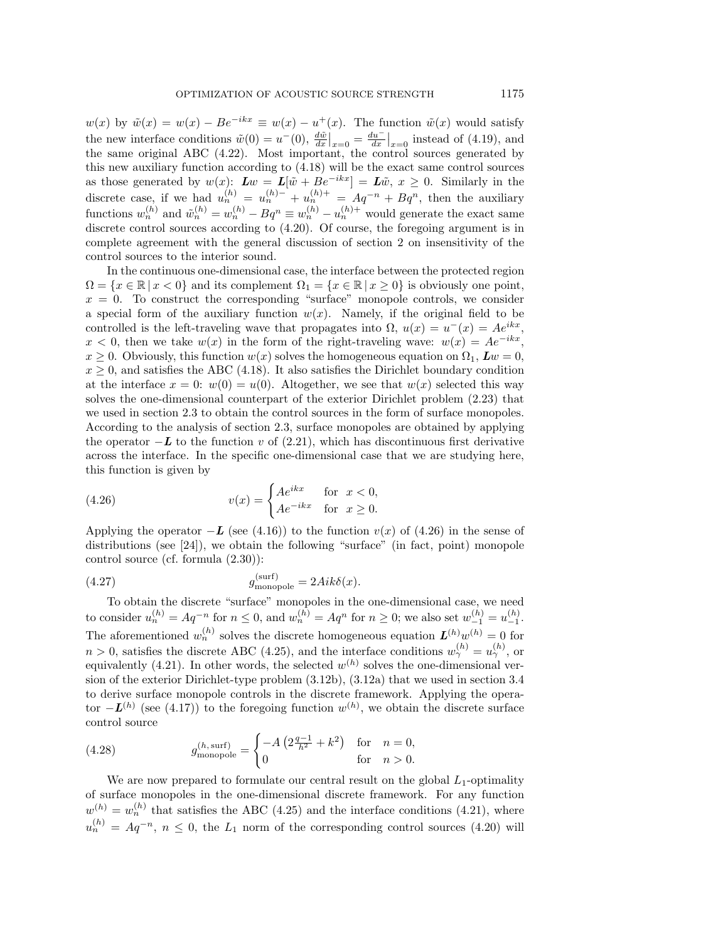$w(x)$  by  $\tilde{w}(x) = w(x) - Be^{-ikx} \equiv w(x) - u^+(x)$ . The function  $\tilde{w}(x)$  would satisfy the new interface conditions  $\tilde{w}(0) = u^{-}(0)$ ,  $\frac{d\tilde{w}}{dx}\Big|_{x=0} = \frac{du^{-}}{dx}\Big|_{x=0}$  instead of (4.19), and the same original ABC (4.22). Most important, the control sources generated by this new auxiliary function according to (4.18) will be the exact same control sources as those generated by  $w(x)$ :  $Lw = L[\tilde{w} + Be^{-ikx}] = L\tilde{w}, x \ge 0$ . Similarly in the discrete case, if we had  $u_n^{(h)} = u_n^{(h)-} + u_n^{(h)+} = Aq^{-n} + Bq^n$ , then the auxiliary functions  $w_n^{(h)}$  and  $\tilde{w}_n^{(h)} = w_n^{(h)} - Bq^n \equiv w_n^{(h)} - u_n^{(h)+}$  would generate the exact same discrete control sources according to (4.20). Of course, the foregoing argument is in complete agreement with the general discussion of section 2 on insensitivity of the control sources to the interior sound.

In the continuous one-dimensional case, the interface between the protected region  $\Omega = \{x \in \mathbb{R} \mid x < 0\}$  and its complement  $\Omega_1 = \{x \in \mathbb{R} \mid x \geq 0\}$  is obviously one point,  $x = 0$ . To construct the corresponding "surface" monopole controls, we consider a special form of the auxiliary function  $w(x)$ . Namely, if the original field to be controlled is the left-traveling wave that propagates into  $\Omega$ ,  $u(x) = u^-(x) = Ae^{ikx}$ ,  $x < 0$ , then we take  $w(x)$  in the form of the right-traveling wave:  $w(x) = Ae^{-ikx}$ ,  $x \geq 0$ . Obviously, this function  $w(x)$  solves the homogeneous equation on  $\Omega_1$ ,  $Lw = 0$ ,  $x \geq 0$ , and satisfies the ABC (4.18). It also satisfies the Dirichlet boundary condition at the interface  $x = 0$ :  $w(0) = u(0)$ . Altogether, we see that  $w(x)$  selected this way solves the one-dimensional counterpart of the exterior Dirichlet problem (2.23) that we used in section 2.3 to obtain the control sources in the form of surface monopoles. According to the analysis of section 2.3, surface monopoles are obtained by applying the operator  $-\mathbf{L}$  to the function v of (2.21), which has discontinuous first derivative across the interface. In the specific one-dimensional case that we are studying here, this function is given by

(4.26) 
$$
v(x) = \begin{cases} Ae^{ikx} & \text{for } x < 0, \\ Ae^{-ikx} & \text{for } x \ge 0. \end{cases}
$$

Applying the operator  $-L$  (see (4.16)) to the function  $v(x)$  of (4.26) in the sense of distributions (see [24]), we obtain the following "surface" (in fact, point) monopole control source (cf. formula (2.30)):

(4.27) 
$$
g_{\text{monopole}}^{(\text{surf})} = 2Aik\delta(x).
$$

To obtain the discrete "surface" monopoles in the one-dimensional case, we need to consider  $u_n^{(h)} = Aq^{-n}$  for  $n \leq 0$ , and  $w_n^{(h)} = Aq^n$  for  $n \geq 0$ ; we also set  $w_{-1}^{(h)} = u_{-1}^{(h)}$ . The aforementioned  $w_n^{(h)}$  solves the discrete homogeneous equation  $\mathbf{L}^{(h)}w^{(h)} = 0$  for  $n > 0$ , satisfies the discrete ABC (4.25), and the interface conditions  $w_{\gamma}^{(h)} = u_{\gamma}^{(h)}$ , or equivalently (4.21). In other words, the selected  $w^{(h)}$  solves the one-dimensional version of the exterior Dirichlet-type problem (3.12b), (3.12a) that we used in section 3.4 to derive surface monopole controls in the discrete framework. Applying the operator  $-L^{(h)}$  (see (4.17)) to the foregoing function  $w^{(h)}$ , we obtain the discrete surface control source

(4.28) 
$$
g_{\text{monopole}}^{(h,\text{surf})} = \begin{cases} -A(2\frac{q-1}{h^2} + k^2) & \text{for } n = 0, \\ 0 & \text{for } n > 0. \end{cases}
$$

We are now prepared to formulate our central result on the global  $L_1$ -optimality of surface monopoles in the one-dimensional discrete framework. For any function  $w^{(h)} = w_n^{(h)}$  that satisfies the ABC (4.25) and the interface conditions (4.21), where  $u_n^{(h)} = Aq^{-n}, n \leq 0$ , the  $L_1$  norm of the corresponding control sources (4.20) will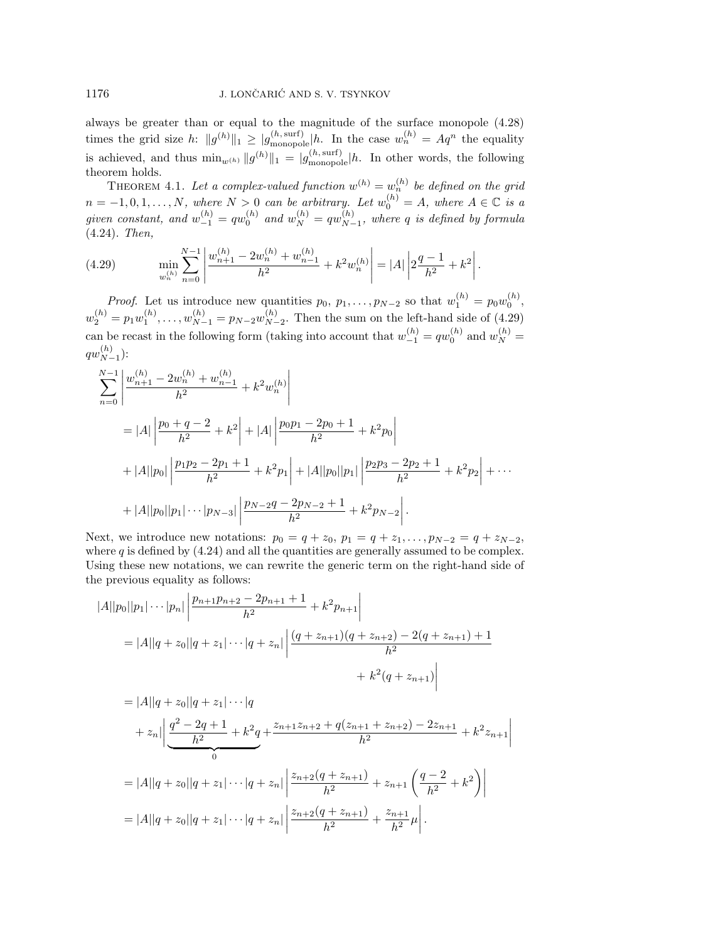always be greater than or equal to the magnitude of the surface monopole (4.28) times the grid size h:  $||g^{(h)}||_1 \geq |g^{(h,\text{surf})}_{\text{monopole}}|h$ . In the case  $w_n^{(h)} = Aq^n$  the equality is achieved, and thus  $\min_{w^{(h)}} \|g^{(h)}\|_1 = |g^{(h,\text{surf})}_{\text{monopole}}|h$ . In other words, the following theorem holds.

THEOREM 4.1. Let a complex-valued function  $w^{(h)} = w_n^{(h)}$  be defined on the grid  $n = -1, 0, 1, \ldots, N$ , where  $N > 0$  can be arbitrary. Let  $w_0^{(h)} = A$ , where  $A \in \mathbb{C}$  is a given constant, and  $w_{-1}^{(h)} = q w_0^{(h)}$  and  $w_N^{(h)} = q w_{N-1}^{(h)}$ , where q is defined by formula (4.24). Then,

(4.29) 
$$
\min_{w_n^{(h)}} \sum_{n=0}^{N-1} \left| \frac{w_{n+1}^{(h)} - 2w_n^{(h)} + w_{n-1}^{(h)}}{h^2} + k^2 w_n^{(h)} \right| = |A| \left| 2 \frac{q-1}{h^2} + k^2 \right|.
$$

*Proof.* Let us introduce new quantities  $p_0, p_1, \ldots, p_{N-2}$  so that  $w_1^{(h)} = p_0 w_0^{(h)}$ ,  $w_2^{(h)} = p_1 w_1^{(h)}, \dots, w_{N-1}^{(h)} = p_{N-2} w_{N-2}^{(h)}$ . Then the sum on the left-hand side of (4.29) can be recast in the following form (taking into account that  $w_{-1}^{(h)} = q w_0^{(h)}$  and  $w_N^{(h)} =$  $qw_{N-1}^{(h)}$ :

$$
\sum_{n=0}^{N-1} \left| \frac{w_{n+1}^{(h)} - 2w_n^{(h)} + w_{n-1}^{(h)}}{h^2} + k^2 w_n^{(h)} \right|
$$
  
= |A|  $\left| \frac{p_0 + q - 2}{h^2} + k^2 \right| + |A| \left| \frac{p_0 p_1 - 2p_0 + 1}{h^2} + k^2 p_0 \right|$   
+ |A||p<sub>0</sub>|  $\left| \frac{p_1 p_2 - 2p_1 + 1}{h^2} + k^2 p_1 \right| + |A||p_0||p_1| \left| \frac{p_2 p_3 - 2p_2 + 1}{h^2} + k^2 p_2 \right| + \cdots$   
+ |A||p<sub>0</sub>||p<sub>1</sub>| \cdots |p<sub>N-3</sub>|  $\left| \frac{p_{N-2} q - 2p_{N-2} + 1}{h^2} + k^2 p_{N-2} \right|$ .

Next, we introduce new notations:  $p_0 = q + z_0$ ,  $p_1 = q + z_1$ , ...,  $p_{N-2} = q + z_{N-2}$ , where  $q$  is defined by (4.24) and all the quantities are generally assumed to be complex. Using these new notations, we can rewrite the generic term on the right-hand side of the previous equality as follows:

$$
|A||p_0||p_1|\cdots|p_n|\left|\frac{p_{n+1}p_{n+2}-2p_{n+1}+1}{h^2}+k^2p_{n+1}\right|
$$
  
=  $|A||q+z_0||q+z_1|\cdots|q+z_n|\left|\frac{(q+z_{n+1})(q+z_{n+2})-2(q+z_{n+1})+1}{h^2}+k^2(q+z_{n+1})\right|$ 

$$
= |A||q + z_0||q + z_1|\cdots|q
$$
  
+  $z_n \Big| \underbrace{\left| \frac{q^2 - 2q + 1}{h^2} + k^2 q + \frac{z_{n+1}z_{n+2} + q(z_{n+1} + z_{n+2}) - 2z_{n+1}}{h^2} + k^2 z_{n+1} \right|}_{0}$   
=  $|A||q + z_0||q + z_1|\cdots|q + z_n|\left| \frac{z_{n+2}(q + z_{n+1})}{h^2} + z_{n+1}\left(\frac{q-2}{h^2} + k^2\right) \right|$   
=  $|A||q + z_0||q + z_1|\cdots|q + z_n|\left| \frac{z_{n+2}(q + z_{n+1})}{h^2} + \frac{z_{n+1}}{h^2}\mu \right|.$ 

 $\overline{\phantom{a}}$  $\overline{\phantom{a}}$  $\overline{\phantom{a}}$  $\mid$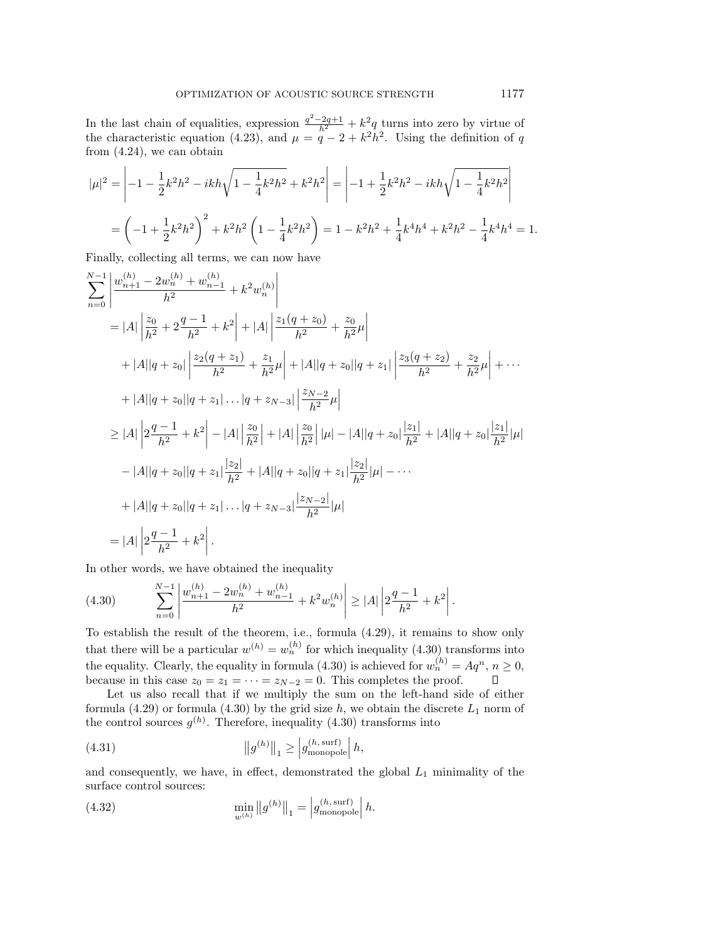In the last chain of equalities, expression  $\frac{q^2-2q+1}{h^2} + k^2q$  turns into zero by virtue of the characteristic equation (4.23), and  $\mu = \tilde{q} - 2 + k^2 h^2$ . Using the definition of q from (4.24), we can obtain

$$
|\mu|^2 = \left| -1 - \frac{1}{2}k^2h^2 - ikh\sqrt{1 - \frac{1}{4}k^2h^2} + k^2h^2 \right| = \left| -1 + \frac{1}{2}k^2h^2 - ikh\sqrt{1 - \frac{1}{4}k^2h^2} \right|
$$
  
=  $\left( -1 + \frac{1}{2}k^2h^2 \right)^2 + k^2h^2 \left( 1 - \frac{1}{4}k^2h^2 \right) = 1 - k^2h^2 + \frac{1}{4}k^4h^4 + k^2h^2 - \frac{1}{4}k^4h^4 = 1.$ 

Finally, collecting all terms, we can now have

$$
\sum_{n=0}^{N-1} \left| \frac{w_{n+1}^{(h)} - 2w_n^{(h)} + w_{n-1}^{(h)}}{h^2} + k^2 w_n^{(h)} \right|
$$
  
\n
$$
= |A| \left| \frac{z_0}{h^2} + 2 \frac{q-1}{h^2} + k^2 \right| + |A| \left| \frac{z_1(q+z_0)}{h^2} + \frac{z_0}{h^2} \mu \right|
$$
  
\n
$$
+ |A||q+z_0| \left| \frac{z_2(q+z_1)}{h^2} + \frac{z_1}{h^2} \mu \right| + |A||q+z_0||q+z_1| \left| \frac{z_3(q+z_2)}{h^2} + \frac{z_2}{h^2} \mu \right| + \cdots
$$
  
\n
$$
+ |A||q+z_0||q+z_1| \ldots |q+z_{N-3}| \left| \frac{z_{N-2}}{h^2} \mu \right|
$$
  
\n
$$
\geq |A| \left| 2 \frac{q-1}{h^2} + k^2 \right| - |A| \left| \frac{z_0}{h^2} \right| + |A| \left| \frac{z_0}{h^2} \right| |\mu| - |A||q+z_0| \frac{|z_1|}{h^2} + |A||q+z_0| \frac{|z_1|}{h^2} |\mu| - \cdots
$$
  
\n
$$
- |A||q+z_0||q+z_1| \frac{|z_2|}{h^2} + |A||q+z_0||q+z_1| \frac{|z_2|}{h^2} |\mu| - \cdots
$$
  
\n
$$
+ |A||q+z_0||q+z_1| \ldots |q+z_{N-3}| \frac{|z_{N-2}|}{h^2} |\mu|
$$
  
\n
$$
= |A| \left| 2 \frac{q-1}{h^2} + k^2 \right|.
$$

In other words, we have obtained the inequality

$$
(4.30) \qquad \sum_{n=0}^{N-1} \left| \frac{w_{n+1}^{(h)} - 2w_n^{(h)} + w_{n-1}^{(h)}}{h^2} + k^2 w_n^{(h)} \right| \ge |A| \left| 2 \frac{q-1}{h^2} + k^2 \right|.
$$

To establish the result of the theorem, i.e., formula (4.29), it remains to show only that there will be a particular  $w^{(h)} = w_n^{(h)}$  for which inequality (4.30) transforms into the equality. Clearly, the equality in formula (4.30) is achieved for  $w_n^{(h)} = Aq^n$ ,  $n \ge 0$ , because in this case  $z_0 = z_1 = \cdots = z_{N-2} = 0$ . This completes the proof.  $\Box$ 

Let us also recall that if we multiply the sum on the left-hand side of either formula (4.29) or formula (4.30) by the grid size h, we obtain the discrete  $L_1$  norm of the control sources  $g^{(h)}$ . Therefore, inequality (4.30) transforms into

(4.31) 
$$
\|g^{(h)}\|_1 \geq \left|g_{\text{monopole}}^{(h,\text{surf})}\right| h,
$$

and consequently, we have, in effect, demonstrated the global  $L_1$  minimality of the surface control sources:

(4.32) 
$$
\min_{w^{(h)}} \|g^{(h)}\|_1 = |g_{\text{monopole}}^{(h,\text{surf})}| h.
$$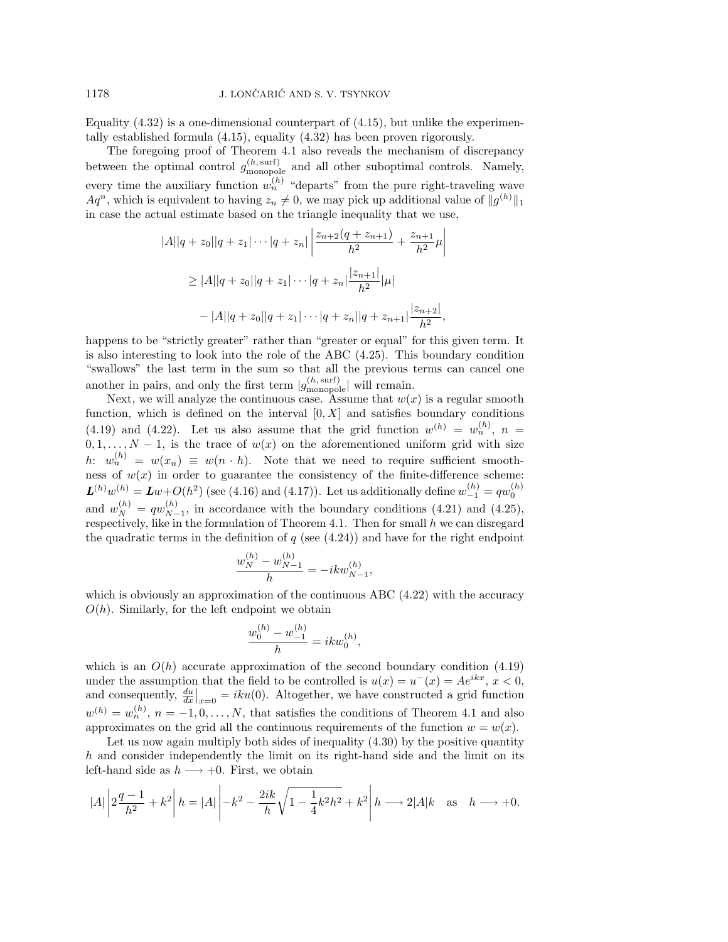Equality  $(4.32)$  is a one-dimensional counterpart of  $(4.15)$ , but unlike the experimentally established formula (4.15), equality (4.32) has been proven rigorously.

The foregoing proof of Theorem 4.1 also reveals the mechanism of discrepancy between the optimal control  $g_{\text{monopole}}^{(h,\text{surf})}$  and all other suboptimal controls. Namely, every time the auxiliary function  $w_n^{(h)}$  "departs" from the pure right-traveling wave  $Aq^n$ , which is equivalent to having  $z_n \neq 0$ , we may pick up additional value of  $||g^{(h)}||_1$ in case the actual estimate based on the triangle inequality that we use,

$$
|A||q + z_0||q + z_1|\cdots|q + z_n|\left|\frac{z_{n+2}(q + z_{n+1})}{h^2} + \frac{z_{n+1}}{h^2}\mu\right|
$$
  
\n
$$
\geq |A||q + z_0||q + z_1|\cdots|q + z_n|\frac{|z_{n+1}|}{h^2}|\mu|
$$
  
\n
$$
-|A||q + z_0||q + z_1|\cdots|q + z_n||q + z_{n+1}|\frac{|z_{n+2}|}{h^2},
$$

happens to be "strictly greater" rather than "greater or equal" for this given term. It is also interesting to look into the role of the ABC (4.25). This boundary condition "swallows" the last term in the sum so that all the previous terms can cancel one another in pairs, and only the first term  $|g_{\text{monopole}}^{(h,\text{surf})}|$  will remain.

Next, we will analyze the continuous case. Assume that  $w(x)$  is a regular smooth function, which is defined on the interval  $[0, X]$  and satisfies boundary conditions (4.19) and (4.22). Let us also assume that the grid function  $w^{(h)} = w_n^{(h)}$ ,  $n =$  $0, 1, \ldots, N-1$ , is the trace of  $w(x)$  on the aforementioned uniform grid with size h:  $w_n^{(h)} = w(x_n) \equiv w(n \cdot h)$ . Note that we need to require sufficient smoothness of  $w(x)$  in order to guarantee the consistency of the finite-difference scheme:  $L^{(h)}w^{(h)} = Lw + O(h^2)$  (see (4.16) and (4.17)). Let us additionally define  $w_{-1}^{(h)} = qw_0^{(h)}$ and  $w_N^{(h)} = q w_{N-1}^{(h)}$ , in accordance with the boundary conditions (4.21) and (4.25), respectively, like in the formulation of Theorem 4.1. Then for small  $h$  we can disregard the quadratic terms in the definition of  $q$  (see  $(4.24)$ ) and have for the right endpoint

$$
\frac{w_N^{(h)} - w_{N-1}^{(h)}}{h} = -ikw_{N-1}^{(h)},
$$

which is obviously an approximation of the continuous ABC  $(4.22)$  with the accuracy  $O(h)$ . Similarly, for the left endpoint we obtain

$$
\frac{w_0^{(h)} - w_{-1}^{(h)}}{h} = ikw_0^{(h)},
$$

which is an  $O(h)$  accurate approximation of the second boundary condition (4.19) under the assumption that the field to be controlled is  $u(x) = u^-(x) = Ae^{ikx}$ ,  $x < 0$ , and consequently,  $\frac{du}{dx}\Big|_{x=0} = iku(0)$ . Altogether, we have constructed a grid function  $w^{(h)} = w_n^{(h)}$ ,  $n = -1, 0, \ldots, N$ , that satisfies the conditions of Theorem 4.1 and also approximates on the grid all the continuous requirements of the function  $w = w(x)$ .

Let us now again multiply both sides of inequality  $(4.30)$  by the positive quantity h and consider independently the limit on its right-hand side and the limit on its left-hand side as  $h \longrightarrow +0$ . First, we obtain

$$
|A| \left| 2\frac{q-1}{h^2} + k^2 \right| h = |A| \left| -k^2 - \frac{2ik}{h} \sqrt{1 - \frac{1}{4}k^2h^2} + k^2 \right| h \longrightarrow 2|A|k \text{ as } h \longrightarrow +0.
$$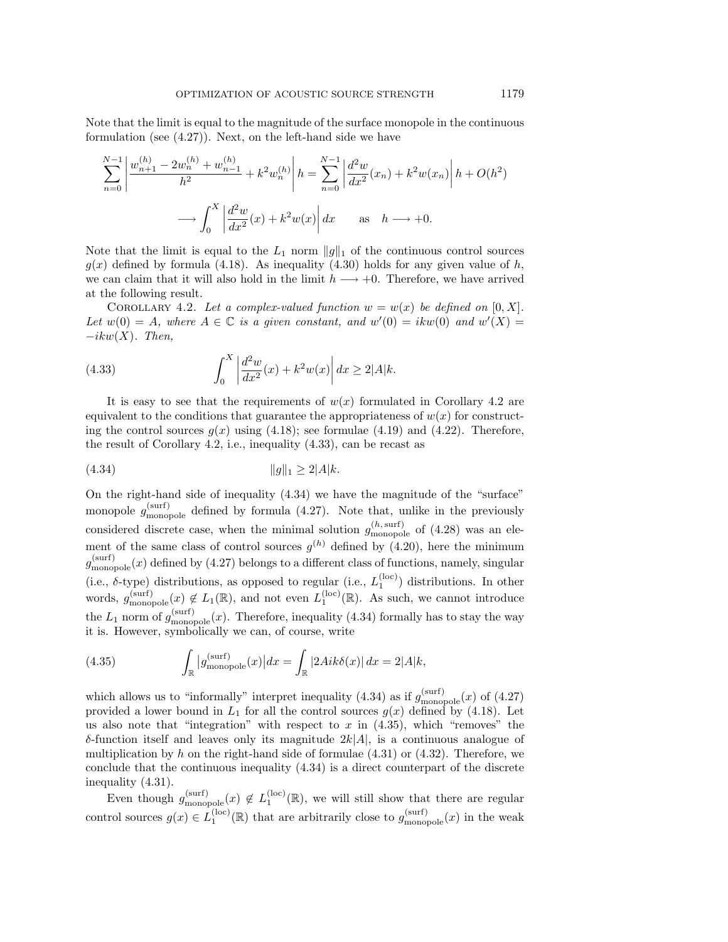Note that the limit is equal to the magnitude of the surface monopole in the continuous formulation (see (4.27)). Next, on the left-hand side we have

$$
\sum_{n=0}^{N-1} \left| \frac{w_{n+1}^{(h)} - 2w_n^{(h)} + w_{n-1}^{(h)}}{h^2} + k^2 w_n^{(h)} \right| h = \sum_{n=0}^{N-1} \left| \frac{d^2 w}{dx^2} (x_n) + k^2 w(x_n) \right| h + O(h^2)
$$

$$
\longrightarrow \int_0^X \left| \frac{d^2 w}{dx^2} (x) + k^2 w(x) \right| dx \quad \text{as} \quad h \longrightarrow +0.
$$

Note that the limit is equal to the  $L_1$  norm  $||g||_1$  of the continuous control sources  $g(x)$  defined by formula (4.18). As inequality (4.30) holds for any given value of h, we can claim that it will also hold in the limit  $h \longrightarrow +0$ . Therefore, we have arrived at the following result.

COROLLARY 4.2. Let a complex-valued function  $w = w(x)$  be defined on  $[0, X]$ . Let  $w(0) = A$ , where  $A \in \mathbb{C}$  is a given constant, and  $w'(0) = ikw(0)$  and  $w'(X) =$  $-ikw(X)$ . Then,

(4.33) 
$$
\int_0^X \left| \frac{d^2 w}{dx^2}(x) + k^2 w(x) \right| dx \ge 2|A|k.
$$

It is easy to see that the requirements of  $w(x)$  formulated in Corollary 4.2 are equivalent to the conditions that guarantee the appropriateness of  $w(x)$  for constructing the control sources  $g(x)$  using (4.18); see formulae (4.19) and (4.22). Therefore, the result of Corollary 4.2, i.e., inequality (4.33), can be recast as

(4.34) 
$$
||g||_1 \ge 2|A|k.
$$

On the right-hand side of inequality (4.34) we have the magnitude of the "surface" monopole  $g_{\text{monopole}}^{(\text{surf})}$  defined by formula (4.27). Note that, unlike in the previously considered discrete case, when the minimal solution  $g_{\text{monopole}}^{(h,\text{surf})}$  of (4.28) was an element of the same class of control sources  $g^{(h)}$  defined by (4.20), here the minimum  $g_{\text{monopole}}^{(\text{surf})}(x)$  defined by (4.27) belongs to a different class of functions, namely, singular (i.e.,  $\delta$ -type) distributions, as opposed to regular (i.e.,  $L_1^{(\text{loc})}$ ) distributions. In other words,  $g_{\text{monopole}}^{(\text{surf})}(x) \notin L_1(\mathbb{R})$ , and not even  $L_1^{(\text{loc})}(\mathbb{R})$ . As such, we cannot introduce the  $L_1$  norm of  $g_{\text{monopole}}^{\text{(surf)}}(x)$ . Therefore, inequality (4.34) formally has to stay the way it is. However, symbolically we can, of course, write

(4.35) 
$$
\int_{\mathbb{R}} |g_{\text{monopole}}^{(\text{surf})}(x)| dx = \int_{\mathbb{R}} |2Aik\delta(x)| dx = 2|A|k,
$$

which allows us to "informally" interpret inequality (4.34) as if  $g_{\text{monopole}}^{(\text{surf})}(x)$  of (4.27) provided a lower bound in  $L_1$  for all the control sources  $g(x)$  defined by (4.18). Let us also note that "integration" with respect to  $x$  in (4.35), which "removes" the δ-function itself and leaves only its magnitude 2k|A|, is a continuous analogue of multiplication by h on the right-hand side of formulae  $(4.31)$  or  $(4.32)$ . Therefore, we conclude that the continuous inequality (4.34) is a direct counterpart of the discrete inequality (4.31).

Even though  $g_{\text{monopole}}^{(\text{surf})}(x) \notin L_1^{(\text{loc})}(\mathbb{R})$ , we will still show that there are regular control sources  $g(x) \in L_1^{(\text{loc})}(\mathbb{R})$  that are arbitrarily close to  $g_{\text{monopole}}^{(\text{surf})}(x)$  in the weak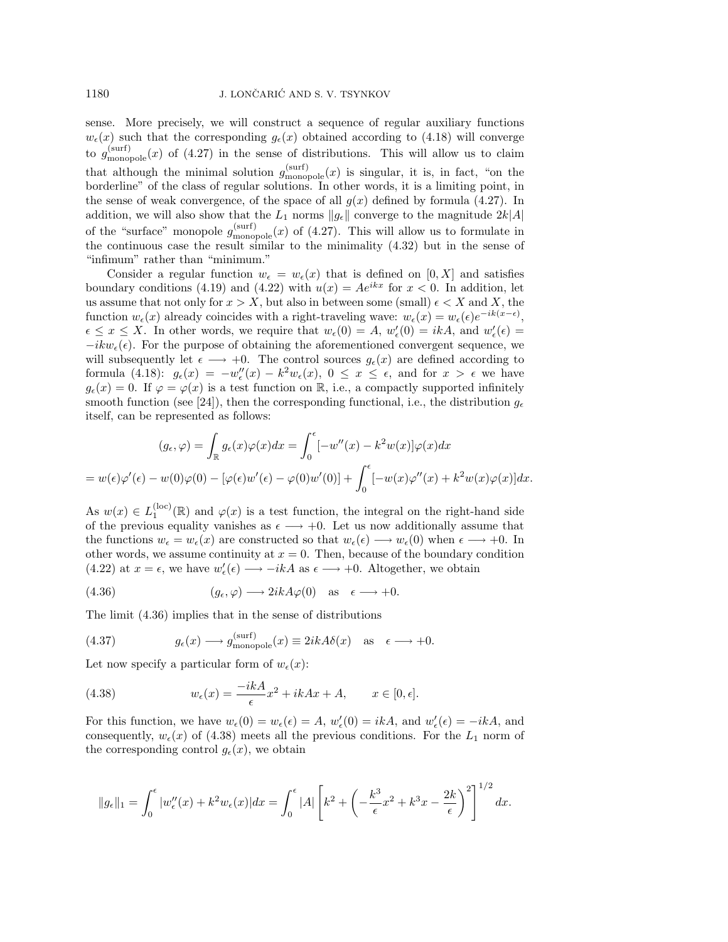sense. More precisely, we will construct a sequence of regular auxiliary functions  $w_{\epsilon}(x)$  such that the corresponding  $g_{\epsilon}(x)$  obtained according to (4.18) will converge to  $g_{\text{monopole}}^{(\text{surf})}(x)$  of (4.27) in the sense of distributions. This will allow us to claim that although the minimal solution  $g_{\text{monopole}}^{(\text{surf})}(x)$  is singular, it is, in fact, "on the borderline" of the class of regular solutions. In other words, it is a limiting point, in the sense of weak convergence, of the space of all  $g(x)$  defined by formula (4.27). In addition, we will also show that the  $L_1$  norms  $||g_{\epsilon}||$  converge to the magnitude  $2k|A|$ of the "surface" monopole  $g_{\text{monopole}}^{(\text{surf})}(x)$  of (4.27). This will allow us to formulate in the continuous case the result similar to the minimality (4.32) but in the sense of "infimum" rather than "minimum."

Consider a regular function  $w_{\epsilon} = w_{\epsilon}(x)$  that is defined on  $[0, X]$  and satisfies boundary conditions (4.19) and (4.22) with  $u(x) = Ae^{ikx}$  for  $x < 0$ . In addition, let us assume that not only for  $x>X$ , but also in between some (small)  $\epsilon < X$  and X, the function  $w_{\epsilon}(x)$  already coincides with a right-traveling wave:  $w_{\epsilon}(x) = w_{\epsilon}(\epsilon)e^{-ik(x-\epsilon)}$ ,  $\epsilon \leq x \leq X$ . In other words, we require that  $w_{\epsilon}(0) = A, w'_{\epsilon}(0) = ikA$ , and  $w'_{\epsilon}(\epsilon) =$  $-ikw_{\epsilon}(\epsilon)$ . For the purpose of obtaining the aforementioned convergent sequence, we will subsequently let  $\epsilon \longrightarrow +0$ . The control sources  $g_{\epsilon}(x)$  are defined according to formula (4.18):  $g_{\epsilon}(x) = -w_{\epsilon}''(x) - k^2 w_{\epsilon}(x)$ ,  $0 \le x \le \epsilon$ , and for  $x > \epsilon$  we have  $g_{\epsilon}(x) = 0$ . If  $\varphi = \varphi(x)$  is a test function on R, i.e., a compactly supported infinitely smooth function (see [24]), then the corresponding functional, i.e., the distribution  $q_e$ itself, can be represented as follows:

$$
(g_{\epsilon}, \varphi) = \int_{\mathbb{R}} g_{\epsilon}(x)\varphi(x)dx = \int_{0}^{\epsilon} [-w''(x) - k^{2}w(x)]\varphi(x)dx
$$
  
=  $w(\epsilon)\varphi'(\epsilon) - w(0)\varphi(0) - [\varphi(\epsilon)w'(\epsilon) - \varphi(0)w'(0)] + \int_{0}^{\epsilon} [-w(x)\varphi''(x) + k^{2}w(x)\varphi(x)]dx.$ 

As  $w(x) \in L_1^{(\text{loc})}(\mathbb{R})$  and  $\varphi(x)$  is a test function, the integral on the right-hand side of the previous equality vanishes as  $\epsilon \longrightarrow +0$ . Let us now additionally assume that the functions  $w_{\epsilon} = w_{\epsilon}(x)$  are constructed so that  $w_{\epsilon}(\epsilon) \longrightarrow w_{\epsilon}(0)$  when  $\epsilon \longrightarrow +0$ . In other words, we assume continuity at  $x = 0$ . Then, because of the boundary condition (4.22) at  $x = \epsilon$ , we have  $w'_\epsilon(\epsilon) \longrightarrow -ikA$  as  $\epsilon \longrightarrow +0$ . Altogether, we obtain

(4.36) 
$$
(g_{\epsilon}, \varphi) \longrightarrow 2ikA\varphi(0) \text{ as } \epsilon \longrightarrow +0.
$$

The limit (4.36) implies that in the sense of distributions

(4.37) 
$$
g_{\epsilon}(x) \longrightarrow g_{\text{monopole}}^{(\text{surf})}(x) \equiv 2ikA\delta(x) \quad \text{as} \quad \epsilon \longrightarrow +0.
$$

Let now specify a particular form of  $w_{\epsilon}(x)$ :

(4.38) 
$$
w_{\epsilon}(x) = \frac{-ikA}{\epsilon}x^2 + ikAx + A, \qquad x \in [0, \epsilon].
$$

For this function, we have  $w_{\epsilon}(0) = w_{\epsilon}(\epsilon) = A$ ,  $w'_{\epsilon}(0) = ikA$ , and  $w'_{\epsilon}(\epsilon) = -ikA$ , and consequently,  $w_{\epsilon}(x)$  of (4.38) meets all the previous conditions. For the  $L_1$  norm of the corresponding control  $g_{\epsilon}(x)$ , we obtain

$$
||g_{\epsilon}||_1 = \int_0^{\epsilon} |w_{\epsilon}''(x) + k^2 w_{\epsilon}(x)| dx = \int_0^{\epsilon} |A| \left[ k^2 + \left( -\frac{k^3}{\epsilon} x^2 + k^3 x - \frac{2k}{\epsilon} \right)^2 \right]^{1/2} dx.
$$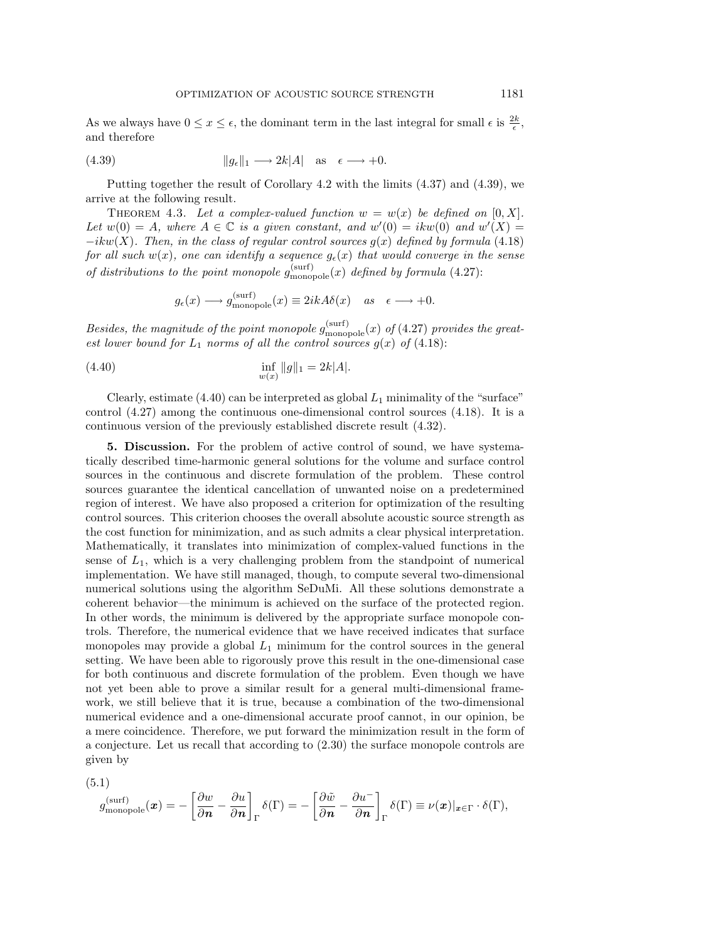As we always have  $0 \le x \le \epsilon$ , the dominant term in the last integral for small  $\epsilon$  is  $\frac{2k}{\epsilon}$ , and therefore

(4.39) 
$$
\|g_{\epsilon}\|_{1} \longrightarrow 2k|A| \text{ as } \epsilon \longrightarrow +0.
$$

Putting together the result of Corollary 4.2 with the limits (4.37) and (4.39), we arrive at the following result.

THEOREM 4.3. Let a complex-valued function  $w = w(x)$  be defined on  $[0, X]$ . Let  $w(0) = A$ , where  $A \in \mathbb{C}$  is a given constant, and  $w'(0) = ikw(0)$  and  $w'(X) =$  $-ikw(X)$ . Then, in the class of regular control sources  $g(x)$  defined by formula (4.18) for all such  $w(x)$ , one can identify a sequence  $g_{\epsilon}(x)$  that would converge in the sense of distributions to the point monopole  $g_{\text{monopole}}^{(\text{surf})}(x)$  defined by formula (4.27):

$$
g_{\epsilon}(x) \longrightarrow g_{\text{monopole}}^{(\text{surf})}(x) \equiv 2ikA\delta(x) \quad as \quad \epsilon \longrightarrow +0.
$$

Besides, the magnitude of the point monopole  $g_{\text{monopole}}^{(\text{surf})}(x)$  of (4.27) provides the greatest lower bound for  $L_1$  norms of all the control sources  $g(x)$  of  $(4.18)$ :

(4.40) 
$$
\inf_{w(x)} \|g\|_1 = 2k|A|.
$$

Clearly, estimate  $(4.40)$  can be interpreted as global  $L_1$  minimality of the "surface" control (4.27) among the continuous one-dimensional control sources (4.18). It is a continuous version of the previously established discrete result (4.32).

**5. Discussion.** For the problem of active control of sound, we have systematically described time-harmonic general solutions for the volume and surface control sources in the continuous and discrete formulation of the problem. These control sources guarantee the identical cancellation of unwanted noise on a predetermined region of interest. We have also proposed a criterion for optimization of the resulting control sources. This criterion chooses the overall absolute acoustic source strength as the cost function for minimization, and as such admits a clear physical interpretation. Mathematically, it translates into minimization of complex-valued functions in the sense of  $L_1$ , which is a very challenging problem from the standpoint of numerical implementation. We have still managed, though, to compute several two-dimensional numerical solutions using the algorithm SeDuMi. All these solutions demonstrate a coherent behavior—the minimum is achieved on the surface of the protected region. In other words, the minimum is delivered by the appropriate surface monopole controls. Therefore, the numerical evidence that we have received indicates that surface monopoles may provide a global  $L_1$  minimum for the control sources in the general setting. We have been able to rigorously prove this result in the one-dimensional case for both continuous and discrete formulation of the problem. Even though we have not yet been able to prove a similar result for a general multi-dimensional framework, we still believe that it is true, because a combination of the two-dimensional numerical evidence and a one-dimensional accurate proof cannot, in our opinion, be a mere coincidence. Therefore, we put forward the minimization result in the form of a conjecture. Let us recall that according to (2.30) the surface monopole controls are given by

(5.1)

$$
g_{\rm monopole}^{\rm (surf)}(\boldsymbol{x})=-\left[\frac{\partial w}{\partial \boldsymbol{n}}-\frac{\partial u}{\partial \boldsymbol{n}}\right]_{\Gamma}\delta(\Gamma)=-\left[\frac{\partial \tilde{w}}{\partial \boldsymbol{n}}-\frac{\partial u^{-}}{\partial \boldsymbol{n}}\right]_{\Gamma}\delta(\Gamma)\equiv\nu(\boldsymbol{x})|_{\boldsymbol{x}\in\Gamma}\cdot\delta(\Gamma),
$$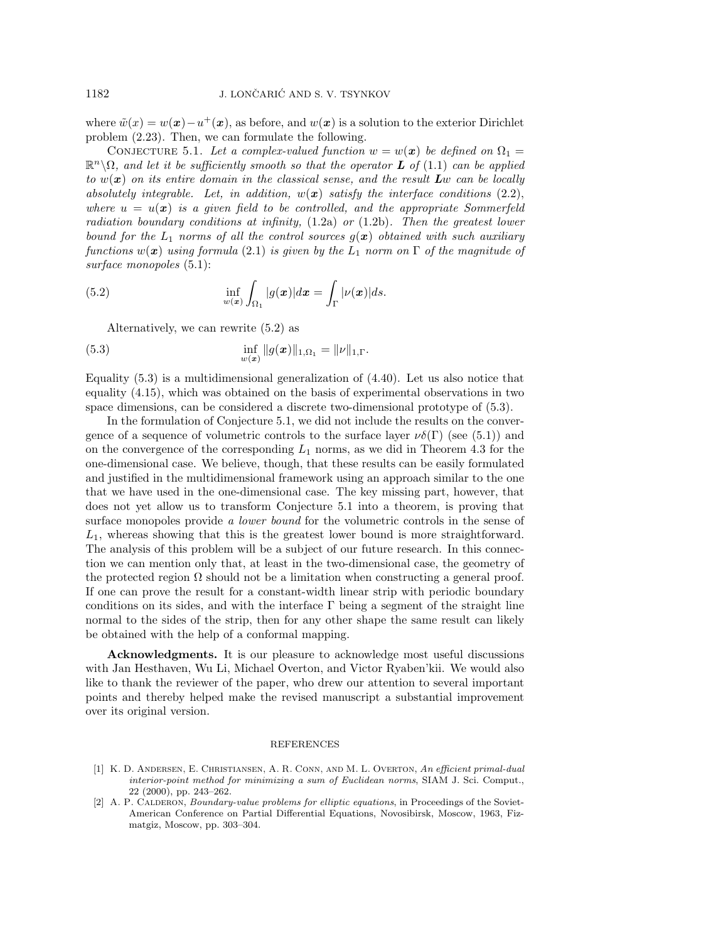where  $\tilde{w}(x) = w(x) - u^+(x)$ , as before, and  $w(x)$  is a solution to the exterior Dirichlet problem (2.23). Then, we can formulate the following.

CONJECTURE 5.1. Let a complex-valued function  $w = w(\boldsymbol{x})$  be defined on  $\Omega_1 =$  $\mathbb{R}^n\backslash\Omega$ , and let it be sufficiently smooth so that the operator **L** of (1.1) can be applied to  $w(x)$  on its entire domain in the classical sense, and the result **L**w can be locally absolutely integrable. Let, in addition,  $w(x)$  satisfy the interface conditions (2.2), where  $u = u(x)$  is a given field to be controlled, and the appropriate Sommerfeld radiation boundary conditions at infinity,  $(1.2a)$  or  $(1.2b)$ . Then the greatest lower bound for the  $L_1$  norms of all the control sources  $g(x)$  obtained with such auxiliary functions  $w(x)$  using formula (2.1) is given by the  $L_1$  norm on  $\Gamma$  of the magnitude of surface monopoles (5.1):

(5.2) 
$$
\inf_{w(x)} \int_{\Omega_1} |g(x)| dx = \int_{\Gamma} |\nu(x)| ds.
$$

Alternatively, we can rewrite (5.2) as

(5.3) 
$$
\inf_{w(x)} \|g(x)\|_{1,\Omega_1} = \|\nu\|_{1,\Gamma}.
$$

Equality  $(5.3)$  is a multidimensional generalization of  $(4.40)$ . Let us also notice that equality (4.15), which was obtained on the basis of experimental observations in two space dimensions, can be considered a discrete two-dimensional prototype of (5.3).

In the formulation of Conjecture 5.1, we did not include the results on the convergence of a sequence of volumetric controls to the surface layer  $\nu \delta(\Gamma)$  (see (5.1)) and on the convergence of the corresponding  $L_1$  norms, as we did in Theorem 4.3 for the one-dimensional case. We believe, though, that these results can be easily formulated and justified in the multidimensional framework using an approach similar to the one that we have used in the one-dimensional case. The key missing part, however, that does not yet allow us to transform Conjecture 5.1 into a theorem, is proving that surface monopoles provide a *lower bound* for the volumetric controls in the sense of  $L_1$ , whereas showing that this is the greatest lower bound is more straightforward. The analysis of this problem will be a subject of our future research. In this connection we can mention only that, at least in the two-dimensional case, the geometry of the protected region  $\Omega$  should not be a limitation when constructing a general proof. If one can prove the result for a constant-width linear strip with periodic boundary conditions on its sides, and with the interface  $\Gamma$  being a segment of the straight line normal to the sides of the strip, then for any other shape the same result can likely be obtained with the help of a conformal mapping.

**Acknowledgments.** It is our pleasure to acknowledge most useful discussions with Jan Hesthaven, Wu Li, Michael Overton, and Victor Ryaben'kii. We would also like to thank the reviewer of the paper, who drew our attention to several important points and thereby helped make the revised manuscript a substantial improvement over its original version.

## REFERENCES

- [1] K. D. Andersen, E. Christiansen, A. R. Conn, and M. L. Overton, An efficient primal-dual interior-point method for minimizing a sum of Euclidean norms, SIAM J. Sci. Comput., 22 (2000), pp. 243–262.
- [2] A. P. CALDERON, *Boundary-value problems for elliptic equations*, in Proceedings of the Soviet-American Conference on Partial Differential Equations, Novosibirsk, Moscow, 1963, Fizmatgiz, Moscow, pp. 303–304.